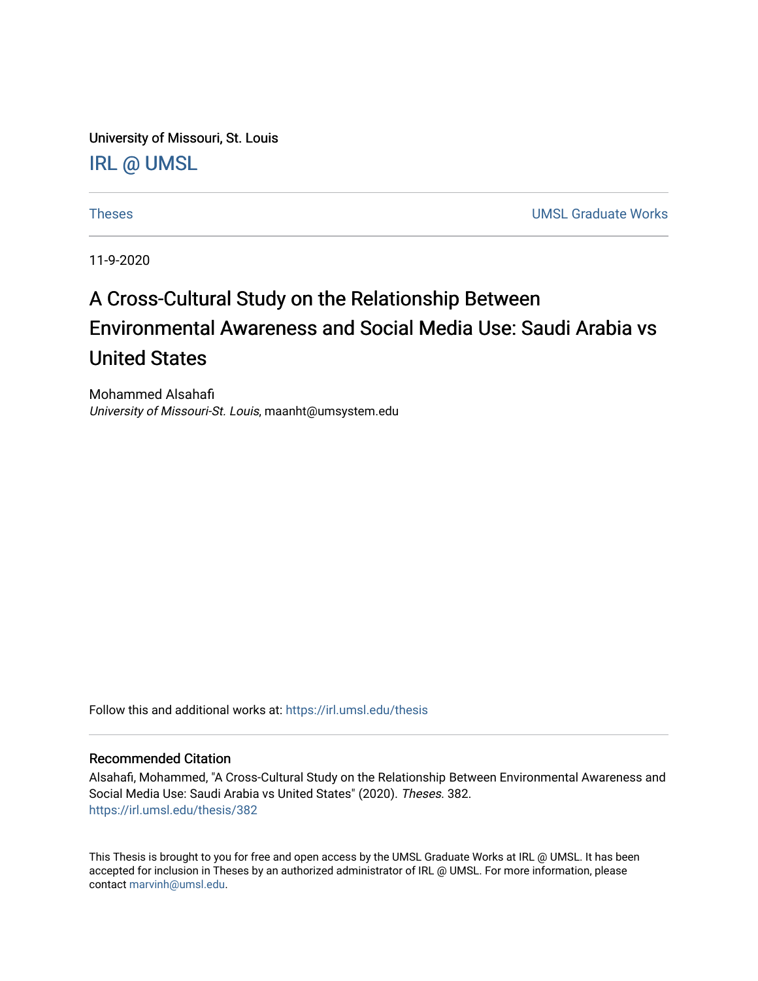University of Missouri, St. Louis [IRL @ UMSL](https://irl.umsl.edu/) 

[Theses](https://irl.umsl.edu/thesis) [UMSL Graduate Works](https://irl.umsl.edu/grad) 

11-9-2020

# A Cross-Cultural Study on the Relationship Between Environmental Awareness and Social Media Use: Saudi Arabia vs United States

Mohammed Alsahafi University of Missouri-St. Louis, maanht@umsystem.edu

Follow this and additional works at: [https://irl.umsl.edu/thesis](https://irl.umsl.edu/thesis?utm_source=irl.umsl.edu%2Fthesis%2F382&utm_medium=PDF&utm_campaign=PDFCoverPages) 

# Recommended Citation

Alsahafi, Mohammed, "A Cross-Cultural Study on the Relationship Between Environmental Awareness and Social Media Use: Saudi Arabia vs United States" (2020). Theses. 382. [https://irl.umsl.edu/thesis/382](https://irl.umsl.edu/thesis/382?utm_source=irl.umsl.edu%2Fthesis%2F382&utm_medium=PDF&utm_campaign=PDFCoverPages) 

This Thesis is brought to you for free and open access by the UMSL Graduate Works at IRL @ UMSL. It has been accepted for inclusion in Theses by an authorized administrator of IRL @ UMSL. For more information, please contact [marvinh@umsl.edu.](mailto:marvinh@umsl.edu)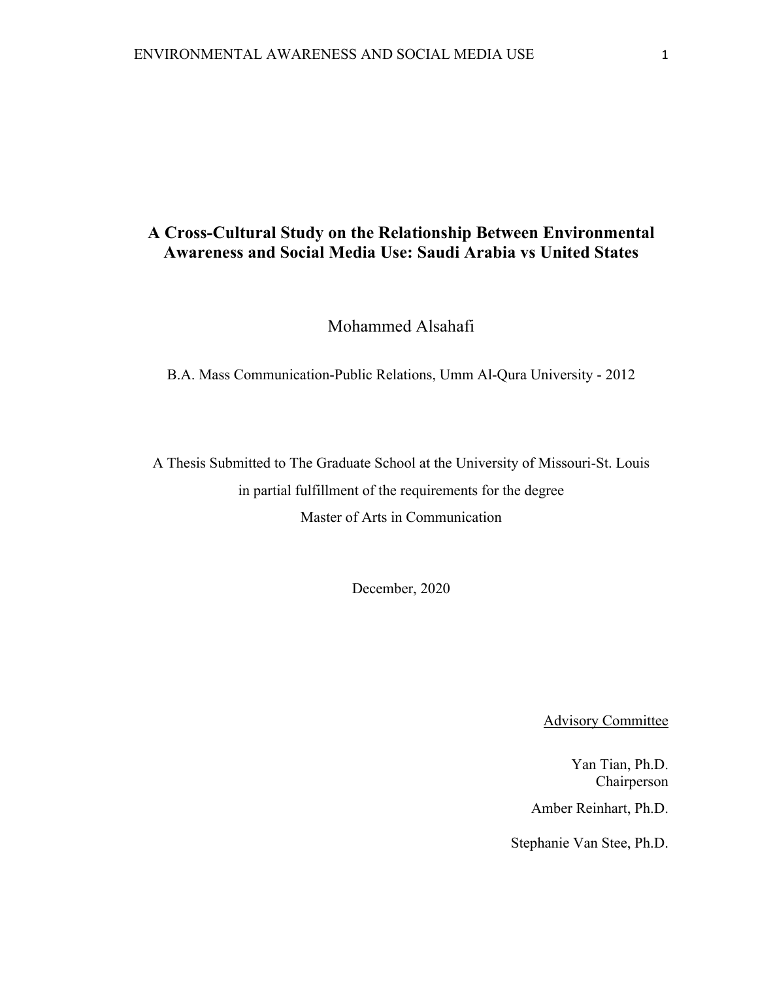# **A Cross-Cultural Study on the Relationship Between Environmental Awareness and Social Media Use: Saudi Arabia vs United States**

Mohammed Alsahafi

B.A. Mass Communication-Public Relations, Umm Al-Qura University - 2012

A Thesis Submitted to The Graduate School at the University of Missouri-St. Louis in partial fulfillment of the requirements for the degree Master of Arts in Communication

December, 2020

Advisory Committee

Yan Tian, Ph.D. Chairperson Amber Reinhart, Ph.D.

Stephanie Van Stee, Ph.D.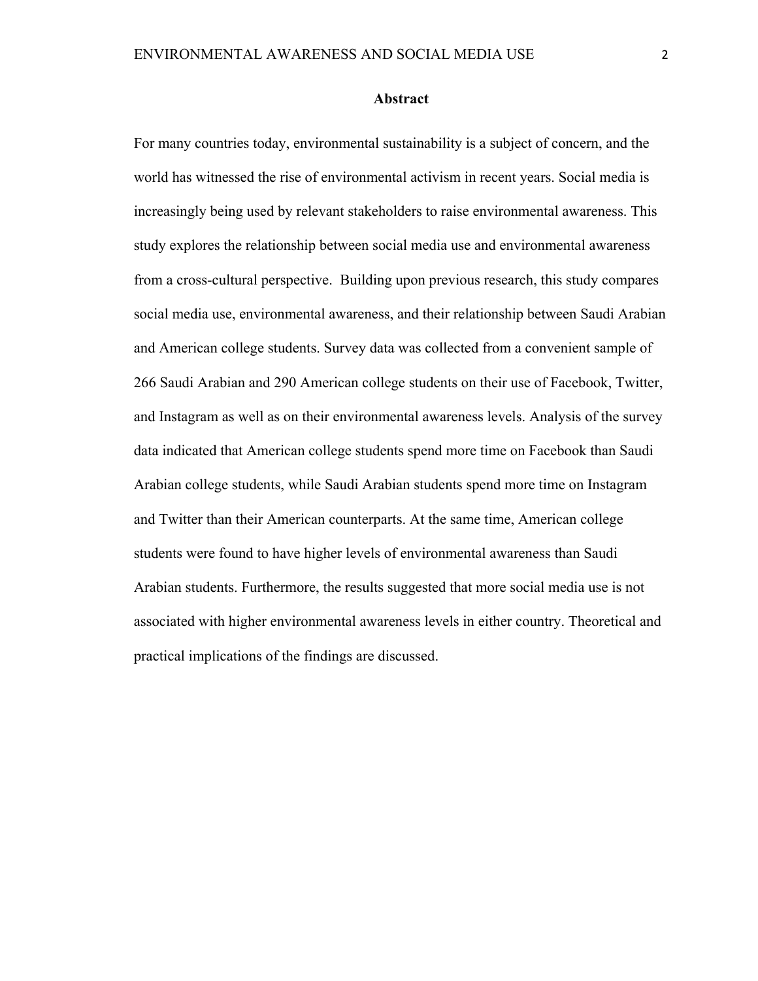#### **Abstract**

For many countries today, environmental sustainability is a subject of concern, and the world has witnessed the rise of environmental activism in recent years. Social media is increasingly being used by relevant stakeholders to raise environmental awareness. This study explores the relationship between social media use and environmental awareness from a cross-cultural perspective. Building upon previous research, this study compares social media use, environmental awareness, and their relationship between Saudi Arabian and American college students. Survey data was collected from a convenient sample of 266 Saudi Arabian and 290 American college students on their use of Facebook, Twitter, and Instagram as well as on their environmental awareness levels. Analysis of the survey data indicated that American college students spend more time on Facebook than Saudi Arabian college students, while Saudi Arabian students spend more time on Instagram and Twitter than their American counterparts. At the same time, American college students were found to have higher levels of environmental awareness than Saudi Arabian students. Furthermore, the results suggested that more social media use is not associated with higher environmental awareness levels in either country. Theoretical and practical implications of the findings are discussed.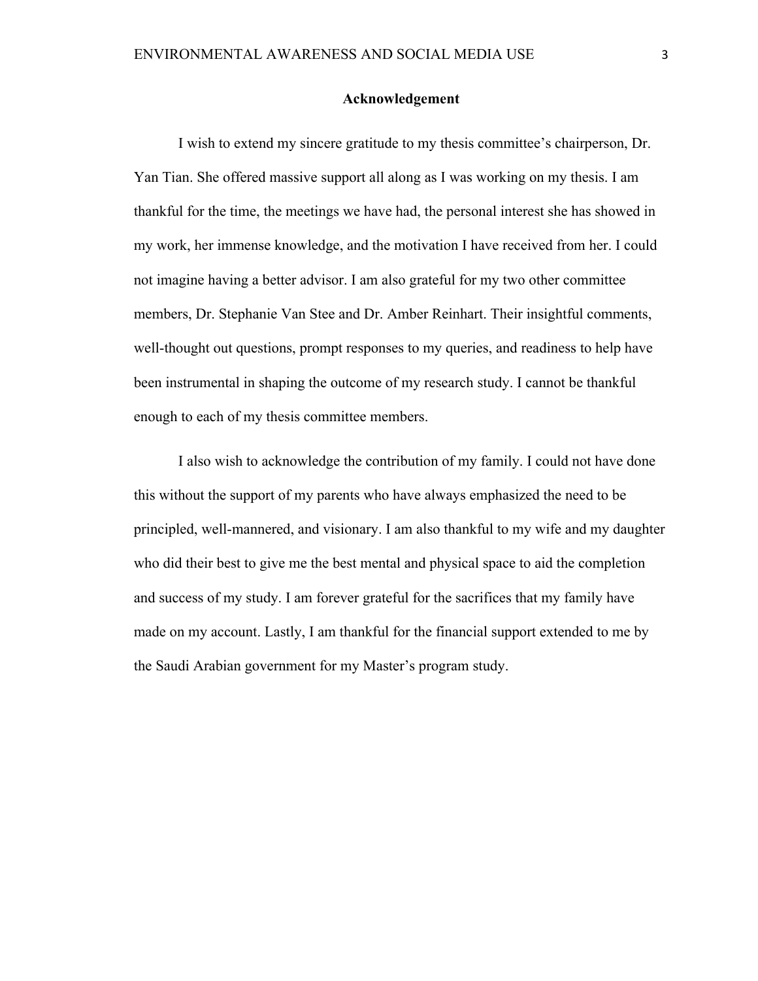### **Acknowledgement**

I wish to extend my sincere gratitude to my thesis committee's chairperson, Dr. Yan Tian. She offered massive support all along as I was working on my thesis. I am thankful for the time, the meetings we have had, the personal interest she has showed in my work, her immense knowledge, and the motivation I have received from her. I could not imagine having a better advisor. I am also grateful for my two other committee members, Dr. Stephanie Van Stee and Dr. Amber Reinhart. Their insightful comments, well-thought out questions, prompt responses to my queries, and readiness to help have been instrumental in shaping the outcome of my research study. I cannot be thankful enough to each of my thesis committee members.

I also wish to acknowledge the contribution of my family. I could not have done this without the support of my parents who have always emphasized the need to be principled, well-mannered, and visionary. I am also thankful to my wife and my daughter who did their best to give me the best mental and physical space to aid the completion and success of my study. I am forever grateful for the sacrifices that my family have made on my account. Lastly, I am thankful for the financial support extended to me by the Saudi Arabian government for my Master's program study.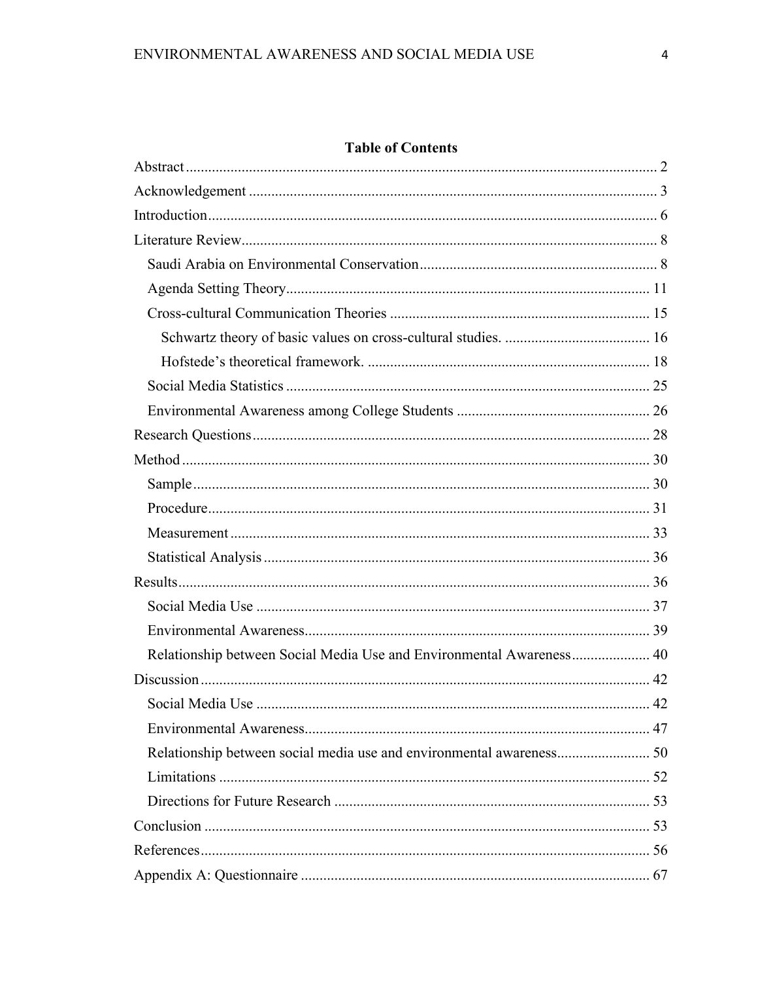# **Table of Contents**

| Relationship between Social Media Use and Environmental Awareness 40 |
|----------------------------------------------------------------------|
|                                                                      |
|                                                                      |
|                                                                      |
| Relationship between social media use and environmental awareness 50 |
|                                                                      |
|                                                                      |
|                                                                      |
|                                                                      |
|                                                                      |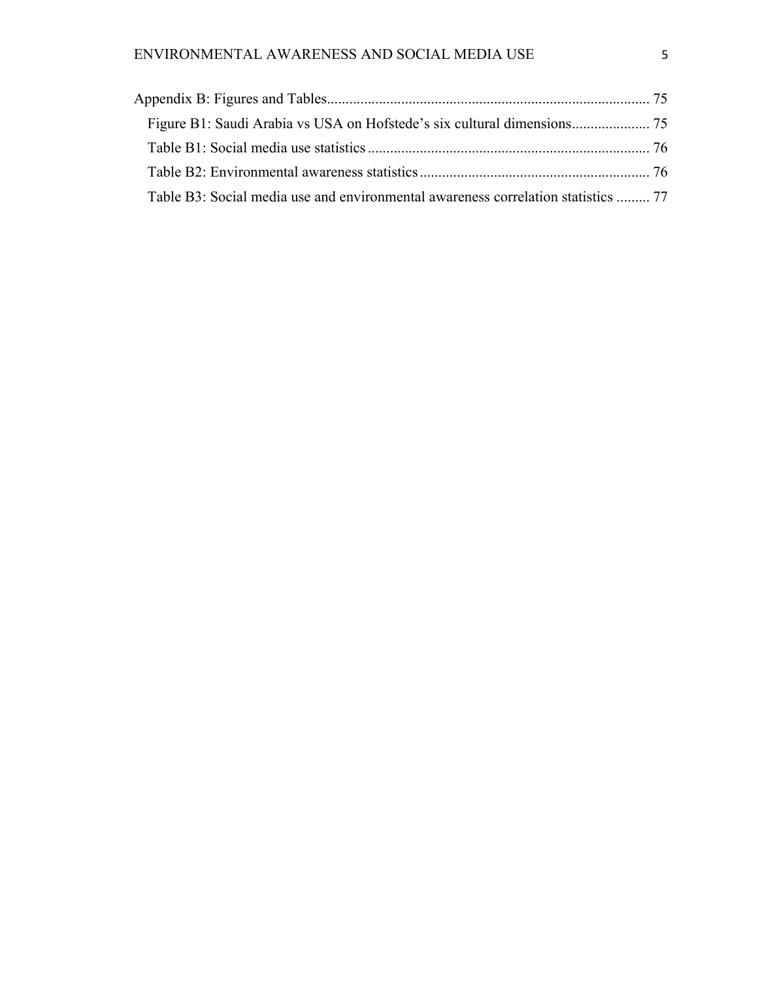| Table B3: Social media use and environmental awareness correlation statistics  77 |  |
|-----------------------------------------------------------------------------------|--|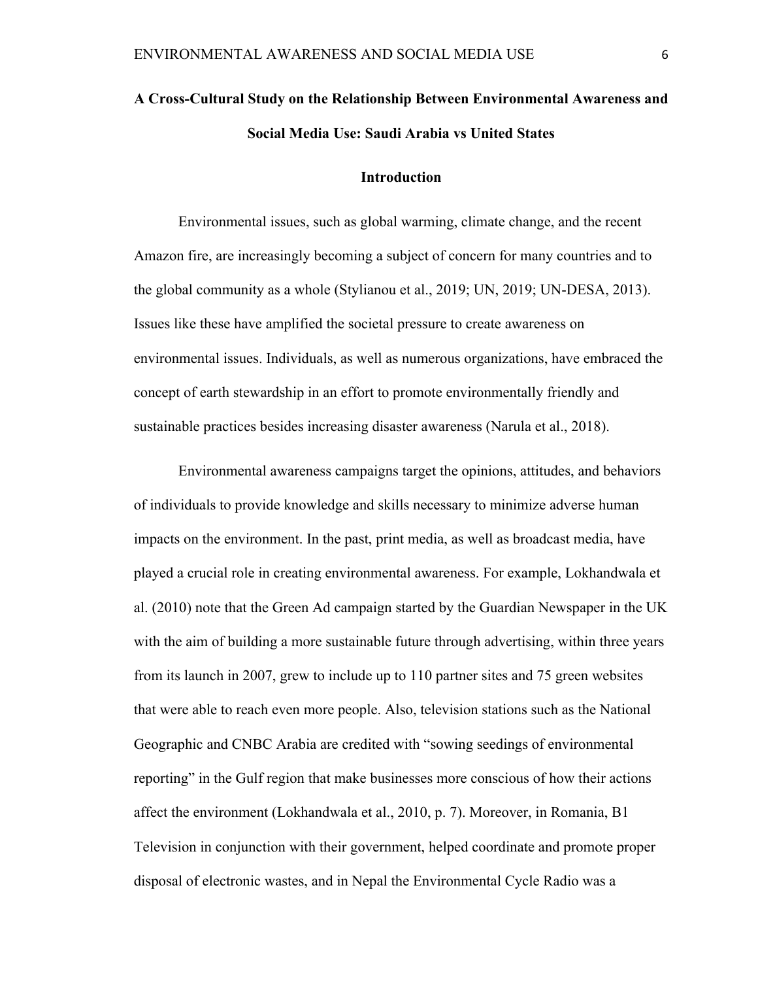# **A Cross-Cultural Study on the Relationship Between Environmental Awareness and Social Media Use: Saudi Arabia vs United States**

# **Introduction**

Environmental issues, such as global warming, climate change, and the recent Amazon fire, are increasingly becoming a subject of concern for many countries and to the global community as a whole (Stylianou et al., 2019; UN, 2019; UN-DESA, 2013). Issues like these have amplified the societal pressure to create awareness on environmental issues. Individuals, as well as numerous organizations, have embraced the concept of earth stewardship in an effort to promote environmentally friendly and sustainable practices besides increasing disaster awareness (Narula et al., 2018).

Environmental awareness campaigns target the opinions, attitudes, and behaviors of individuals to provide knowledge and skills necessary to minimize adverse human impacts on the environment. In the past, print media, as well as broadcast media, have played a crucial role in creating environmental awareness. For example, Lokhandwala et al. (2010) note that the Green Ad campaign started by the Guardian Newspaper in the UK with the aim of building a more sustainable future through advertising, within three years from its launch in 2007, grew to include up to 110 partner sites and 75 green websites that were able to reach even more people. Also, television stations such as the National Geographic and CNBC Arabia are credited with "sowing seedings of environmental reporting" in the Gulf region that make businesses more conscious of how their actions affect the environment (Lokhandwala et al., 2010, p. 7). Moreover, in Romania, B1 Television in conjunction with their government, helped coordinate and promote proper disposal of electronic wastes, and in Nepal the Environmental Cycle Radio was a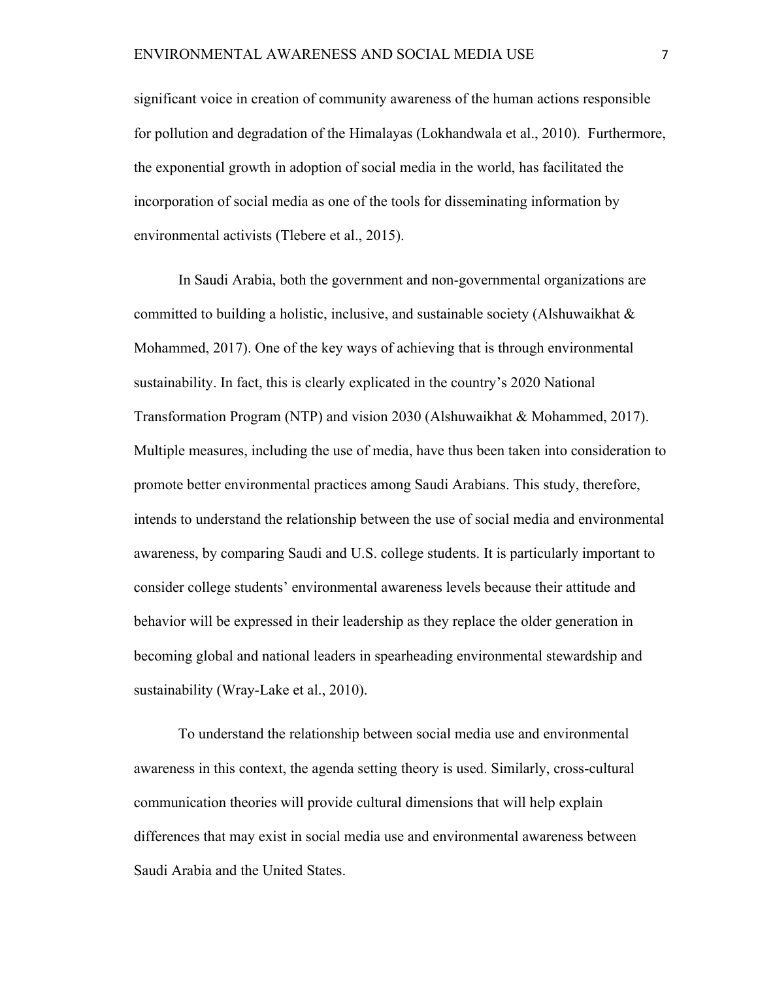significant voice in creation of community awareness of the human actions responsible for pollution and degradation of the Himalayas (Lokhandwala et al., 2010). Furthermore, the exponential growth in adoption of social media in the world, has facilitated the incorporation of social media as one of the tools for disseminating information by environmental activists (Tlebere et al., 2015).

In Saudi Arabia, both the government and non-governmental organizations are committed to building a holistic, inclusive, and sustainable society (Alshuwaikhat  $\&$ Mohammed, 2017). One of the key ways of achieving that is through environmental sustainability. In fact, this is clearly explicated in the country's 2020 National Transformation Program (NTP) and vision 2030 (Alshuwaikhat & Mohammed, 2017). Multiple measures, including the use of media, have thus been taken into consideration to promote better environmental practices among Saudi Arabians. This study, therefore, intends to understand the relationship between the use of social media and environmental awareness, by comparing Saudi and U.S. college students. It is particularly important to consider college students' environmental awareness levels because their attitude and behavior will be expressed in their leadership as they replace the older generation in becoming global and national leaders in spearheading environmental stewardship and sustainability (Wray-Lake et al., 2010).

To understand the relationship between social media use and environmental awareness in this context, the agenda setting theory is used. Similarly, cross-cultural communication theories will provide cultural dimensions that will help explain differences that may exist in social media use and environmental awareness between Saudi Arabia and the United States.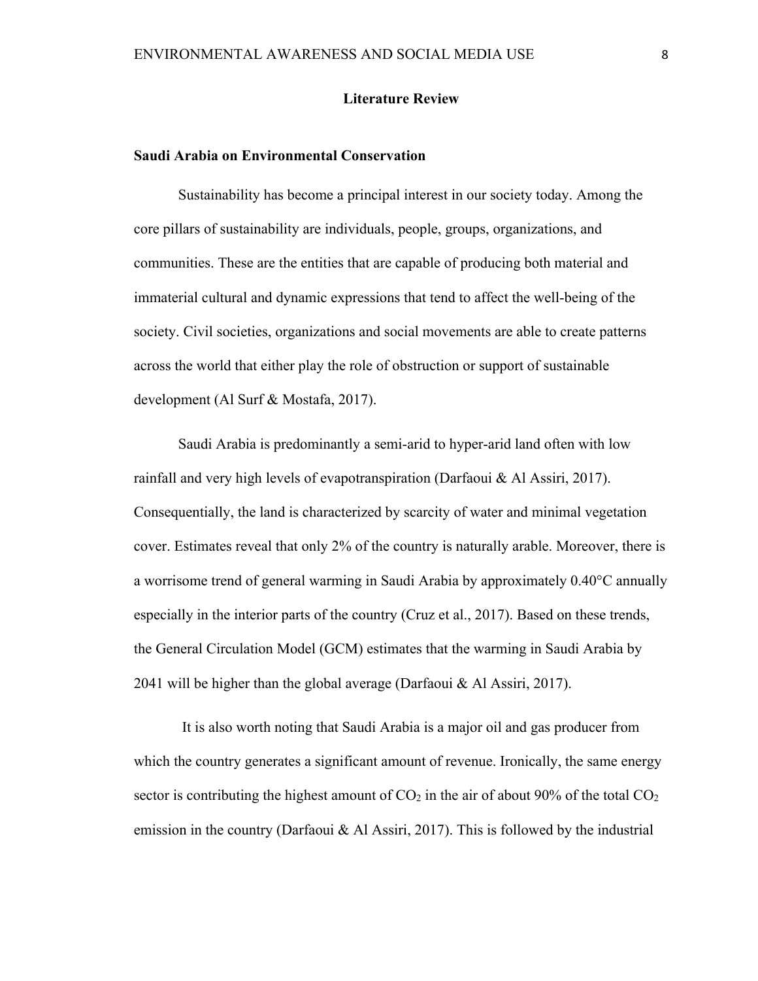### **Literature Review**

### **Saudi Arabia on Environmental Conservation**

Sustainability has become a principal interest in our society today. Among the core pillars of sustainability are individuals, people, groups, organizations, and communities. These are the entities that are capable of producing both material and immaterial cultural and dynamic expressions that tend to affect the well-being of the society. Civil societies, organizations and social movements are able to create patterns across the world that either play the role of obstruction or support of sustainable development (Al Surf & Mostafa, 2017).

Saudi Arabia is predominantly a semi-arid to hyper-arid land often with low rainfall and very high levels of evapotranspiration (Darfaoui & Al Assiri, 2017). Consequentially, the land is characterized by scarcity of water and minimal vegetation cover. Estimates reveal that only 2% of the country is naturally arable. Moreover, there is a worrisome trend of general warming in Saudi Arabia by approximately 0.40°C annually especially in the interior parts of the country (Cruz et al., 2017). Based on these trends, the General Circulation Model (GCM) estimates that the warming in Saudi Arabia by 2041 will be higher than the global average (Darfaoui & Al Assiri, 2017).

It is also worth noting that Saudi Arabia is a major oil and gas producer from which the country generates a significant amount of revenue. Ironically, the same energy sector is contributing the highest amount of  $CO<sub>2</sub>$  in the air of about 90% of the total  $CO<sub>2</sub>$ emission in the country (Darfaoui & Al Assiri, 2017). This is followed by the industrial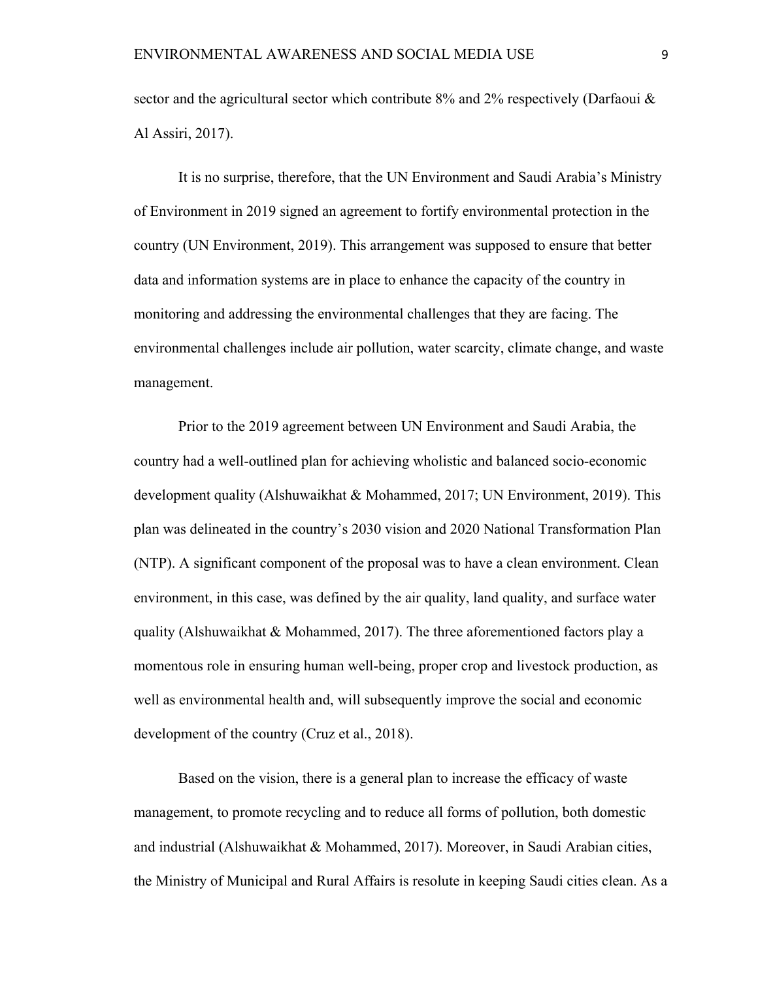sector and the agricultural sector which contribute  $8\%$  and  $2\%$  respectively (Darfaoui  $\&$ Al Assiri, 2017).

It is no surprise, therefore, that the UN Environment and Saudi Arabia's Ministry of Environment in 2019 signed an agreement to fortify environmental protection in the country (UN Environment, 2019). This arrangement was supposed to ensure that better data and information systems are in place to enhance the capacity of the country in monitoring and addressing the environmental challenges that they are facing. The environmental challenges include air pollution, water scarcity, climate change, and waste management.

Prior to the 2019 agreement between UN Environment and Saudi Arabia, the country had a well-outlined plan for achieving wholistic and balanced socio-economic development quality (Alshuwaikhat & Mohammed, 2017; UN Environment, 2019). This plan was delineated in the country's 2030 vision and 2020 National Transformation Plan (NTP). A significant component of the proposal was to have a clean environment. Clean environment, in this case, was defined by the air quality, land quality, and surface water quality (Alshuwaikhat & Mohammed, 2017). The three aforementioned factors play a momentous role in ensuring human well-being, proper crop and livestock production, as well as environmental health and, will subsequently improve the social and economic development of the country (Cruz et al., 2018).

Based on the vision, there is a general plan to increase the efficacy of waste management, to promote recycling and to reduce all forms of pollution, both domestic and industrial (Alshuwaikhat & Mohammed, 2017). Moreover, in Saudi Arabian cities, the Ministry of Municipal and Rural Affairs is resolute in keeping Saudi cities clean. As a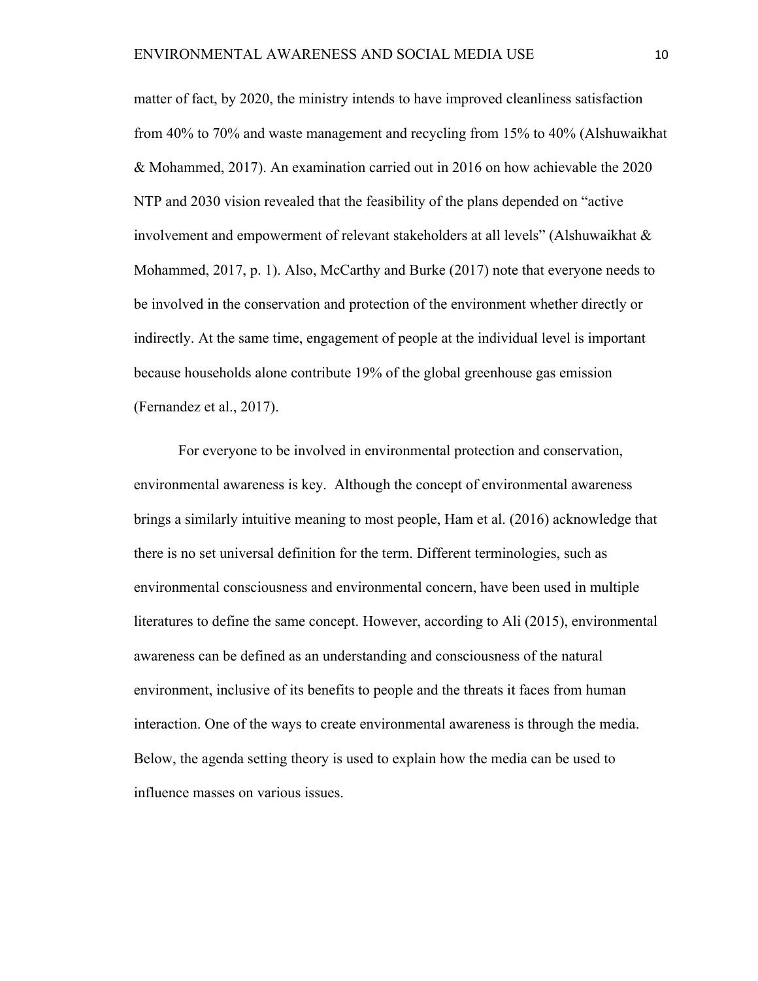matter of fact, by 2020, the ministry intends to have improved cleanliness satisfaction from 40% to 70% and waste management and recycling from 15% to 40% (Alshuwaikhat & Mohammed, 2017). An examination carried out in 2016 on how achievable the 2020 NTP and 2030 vision revealed that the feasibility of the plans depended on "active involvement and empowerment of relevant stakeholders at all levels" (Alshuwaikhat & Mohammed, 2017, p. 1). Also, McCarthy and Burke (2017) note that everyone needs to be involved in the conservation and protection of the environment whether directly or indirectly. At the same time, engagement of people at the individual level is important because households alone contribute 19% of the global greenhouse gas emission (Fernandez et al., 2017).

For everyone to be involved in environmental protection and conservation, environmental awareness is key. Although the concept of environmental awareness brings a similarly intuitive meaning to most people, Ham et al. (2016) acknowledge that there is no set universal definition for the term. Different terminologies, such as environmental consciousness and environmental concern, have been used in multiple literatures to define the same concept. However, according to Ali (2015), environmental awareness can be defined as an understanding and consciousness of the natural environment, inclusive of its benefits to people and the threats it faces from human interaction. One of the ways to create environmental awareness is through the media. Below, the agenda setting theory is used to explain how the media can be used to influence masses on various issues.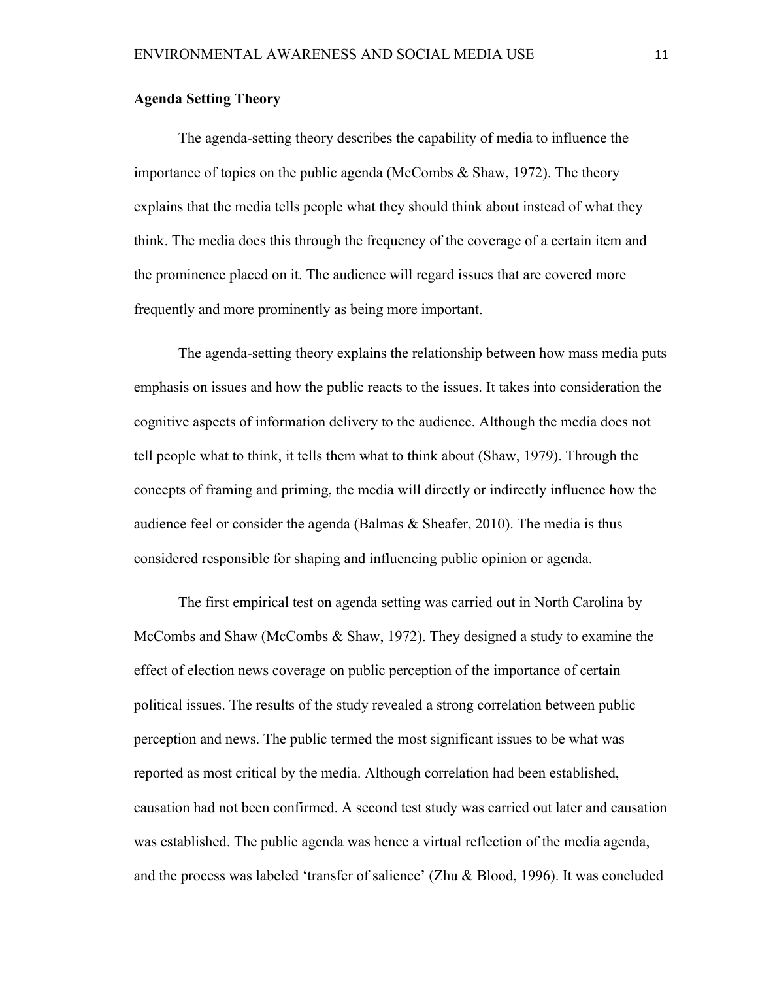# **Agenda Setting Theory**

The agenda-setting theory describes the capability of media to influence the importance of topics on the public agenda (McCombs & Shaw, 1972). The theory explains that the media tells people what they should think about instead of what they think. The media does this through the frequency of the coverage of a certain item and the prominence placed on it. The audience will regard issues that are covered more frequently and more prominently as being more important.

The agenda-setting theory explains the relationship between how mass media puts emphasis on issues and how the public reacts to the issues. It takes into consideration the cognitive aspects of information delivery to the audience. Although the media does not tell people what to think, it tells them what to think about (Shaw, 1979). Through the concepts of framing and priming, the media will directly or indirectly influence how the audience feel or consider the agenda (Balmas & Sheafer, 2010). The media is thus considered responsible for shaping and influencing public opinion or agenda.

The first empirical test on agenda setting was carried out in North Carolina by McCombs and Shaw (McCombs & Shaw, 1972). They designed a study to examine the effect of election news coverage on public perception of the importance of certain political issues. The results of the study revealed a strong correlation between public perception and news. The public termed the most significant issues to be what was reported as most critical by the media. Although correlation had been established, causation had not been confirmed. A second test study was carried out later and causation was established. The public agenda was hence a virtual reflection of the media agenda, and the process was labeled 'transfer of salience' (Zhu & Blood, 1996). It was concluded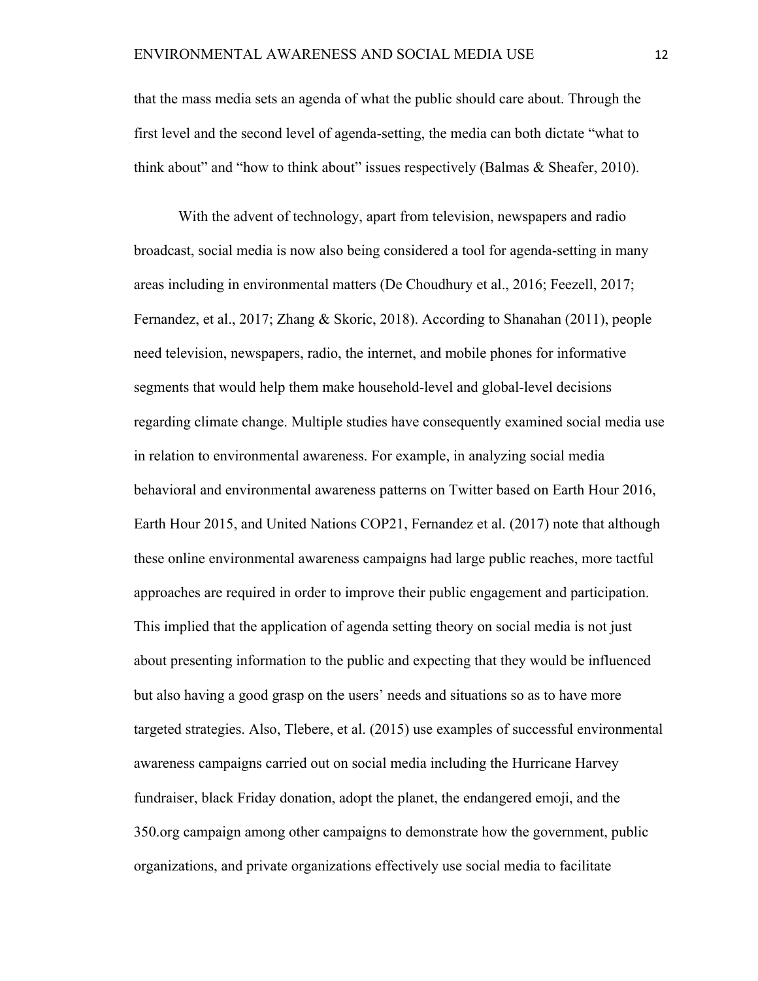that the mass media sets an agenda of what the public should care about. Through the first level and the second level of agenda-setting, the media can both dictate "what to think about" and "how to think about" issues respectively (Balmas & Sheafer, 2010).

With the advent of technology, apart from television, newspapers and radio broadcast, social media is now also being considered a tool for agenda-setting in many areas including in environmental matters (De Choudhury et al., 2016; Feezell, 2017; Fernandez, et al., 2017; Zhang & Skoric, 2018). According to Shanahan (2011), people need television, newspapers, radio, the internet, and mobile phones for informative segments that would help them make household-level and global-level decisions regarding climate change. Multiple studies have consequently examined social media use in relation to environmental awareness. For example, in analyzing social media behavioral and environmental awareness patterns on Twitter based on Earth Hour 2016, Earth Hour 2015, and United Nations COP21, Fernandez et al. (2017) note that although these online environmental awareness campaigns had large public reaches, more tactful approaches are required in order to improve their public engagement and participation. This implied that the application of agenda setting theory on social media is not just about presenting information to the public and expecting that they would be influenced but also having a good grasp on the users' needs and situations so as to have more targeted strategies. Also, Tlebere, et al. (2015) use examples of successful environmental awareness campaigns carried out on social media including the Hurricane Harvey fundraiser, black Friday donation, adopt the planet, the endangered emoji, and the 350.org campaign among other campaigns to demonstrate how the government, public organizations, and private organizations effectively use social media to facilitate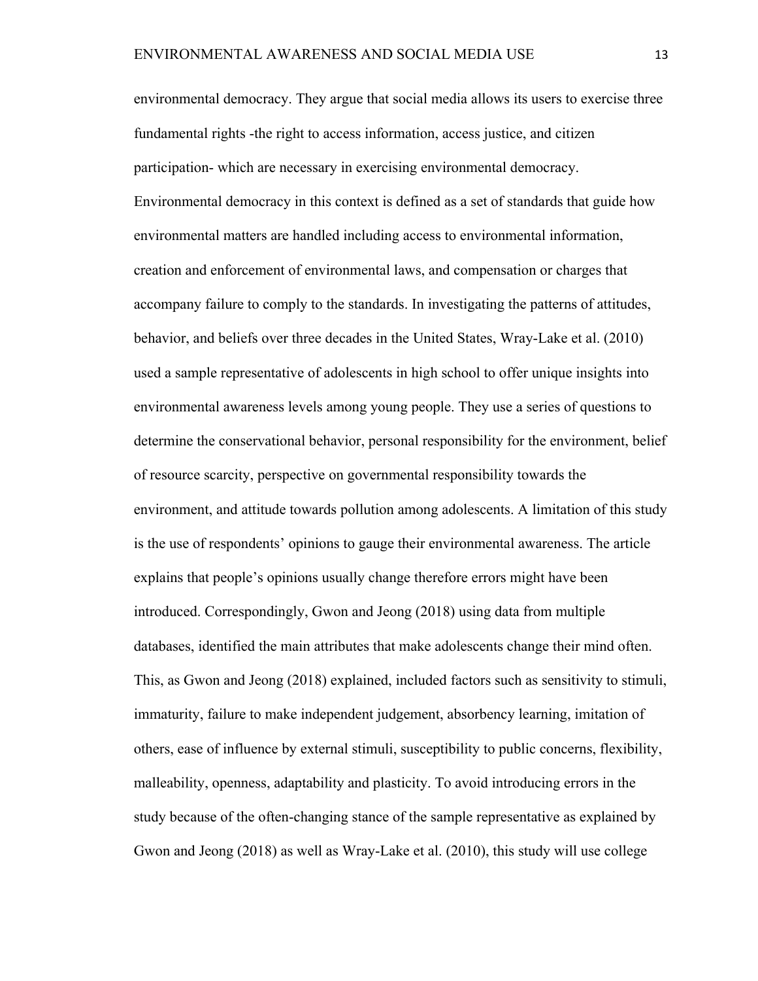environmental democracy. They argue that social media allows its users to exercise three fundamental rights -the right to access information, access justice, and citizen participation- which are necessary in exercising environmental democracy. Environmental democracy in this context is defined as a set of standards that guide how environmental matters are handled including access to environmental information, creation and enforcement of environmental laws, and compensation or charges that accompany failure to comply to the standards. In investigating the patterns of attitudes, behavior, and beliefs over three decades in the United States, Wray-Lake et al. (2010) used a sample representative of adolescents in high school to offer unique insights into environmental awareness levels among young people. They use a series of questions to determine the conservational behavior, personal responsibility for the environment, belief of resource scarcity, perspective on governmental responsibility towards the environment, and attitude towards pollution among adolescents. A limitation of this study is the use of respondents' opinions to gauge their environmental awareness. The article explains that people's opinions usually change therefore errors might have been introduced. Correspondingly, Gwon and Jeong (2018) using data from multiple databases, identified the main attributes that make adolescents change their mind often. This, as Gwon and Jeong (2018) explained, included factors such as sensitivity to stimuli, immaturity, failure to make independent judgement, absorbency learning, imitation of others, ease of influence by external stimuli, susceptibility to public concerns, flexibility, malleability, openness, adaptability and plasticity. To avoid introducing errors in the study because of the often-changing stance of the sample representative as explained by Gwon and Jeong (2018) as well as Wray-Lake et al. (2010), this study will use college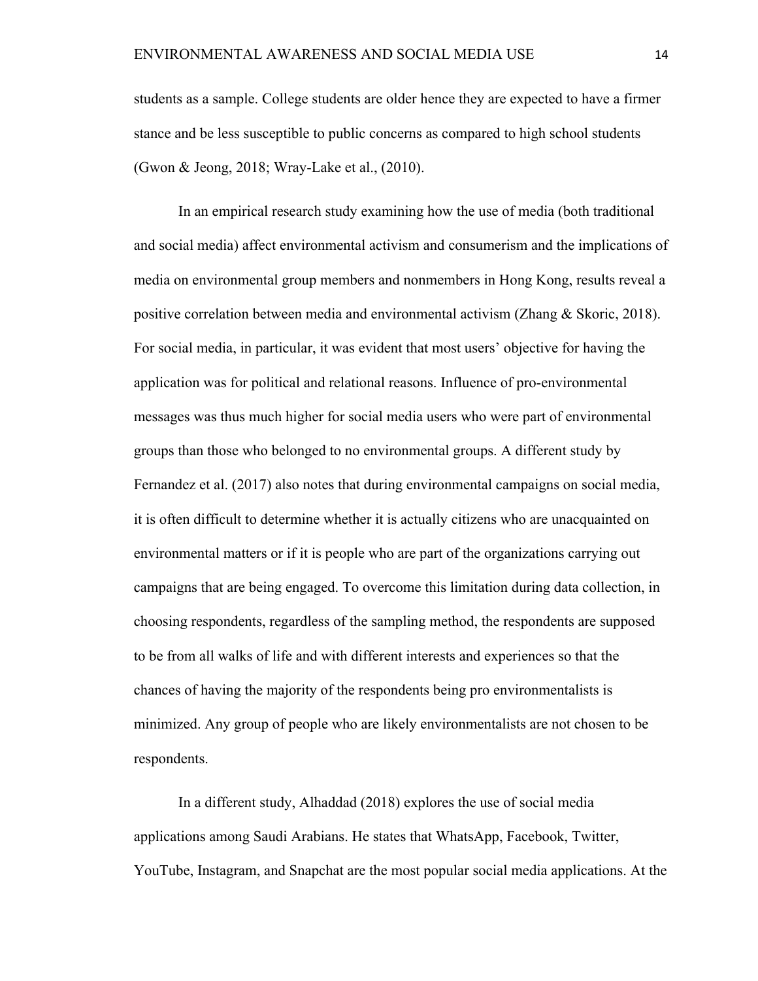students as a sample. College students are older hence they are expected to have a firmer stance and be less susceptible to public concerns as compared to high school students (Gwon & Jeong, 2018; Wray-Lake et al., (2010).

In an empirical research study examining how the use of media (both traditional and social media) affect environmental activism and consumerism and the implications of media on environmental group members and nonmembers in Hong Kong, results reveal a positive correlation between media and environmental activism (Zhang & Skoric, 2018). For social media, in particular, it was evident that most users' objective for having the application was for political and relational reasons. Influence of pro-environmental messages was thus much higher for social media users who were part of environmental groups than those who belonged to no environmental groups. A different study by Fernandez et al. (2017) also notes that during environmental campaigns on social media, it is often difficult to determine whether it is actually citizens who are unacquainted on environmental matters or if it is people who are part of the organizations carrying out campaigns that are being engaged. To overcome this limitation during data collection, in choosing respondents, regardless of the sampling method, the respondents are supposed to be from all walks of life and with different interests and experiences so that the chances of having the majority of the respondents being pro environmentalists is minimized. Any group of people who are likely environmentalists are not chosen to be respondents.

In a different study, Alhaddad (2018) explores the use of social media applications among Saudi Arabians. He states that WhatsApp, Facebook, Twitter, YouTube, Instagram, and Snapchat are the most popular social media applications. At the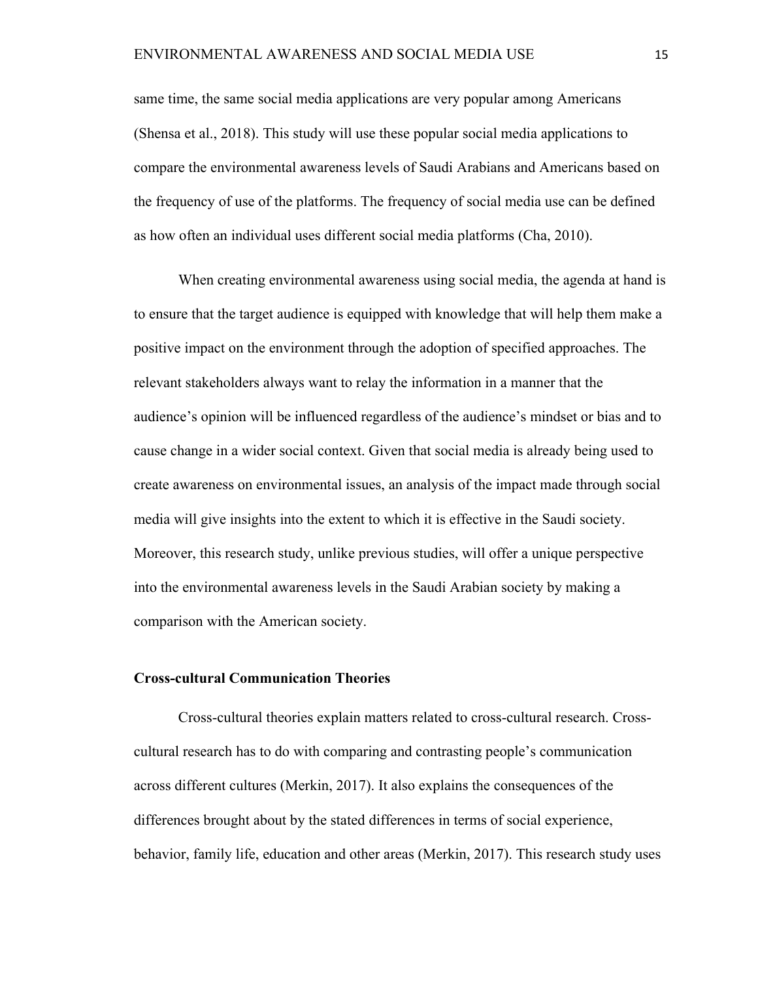same time, the same social media applications are very popular among Americans (Shensa et al., 2018). This study will use these popular social media applications to compare the environmental awareness levels of Saudi Arabians and Americans based on the frequency of use of the platforms. The frequency of social media use can be defined as how often an individual uses different social media platforms (Cha, 2010).

When creating environmental awareness using social media, the agenda at hand is to ensure that the target audience is equipped with knowledge that will help them make a positive impact on the environment through the adoption of specified approaches. The relevant stakeholders always want to relay the information in a manner that the audience's opinion will be influenced regardless of the audience's mindset or bias and to cause change in a wider social context. Given that social media is already being used to create awareness on environmental issues, an analysis of the impact made through social media will give insights into the extent to which it is effective in the Saudi society. Moreover, this research study, unlike previous studies, will offer a unique perspective into the environmental awareness levels in the Saudi Arabian society by making a comparison with the American society.

#### **Cross-cultural Communication Theories**

Cross-cultural theories explain matters related to cross-cultural research. Crosscultural research has to do with comparing and contrasting people's communication across different cultures (Merkin, 2017). It also explains the consequences of the differences brought about by the stated differences in terms of social experience, behavior, family life, education and other areas (Merkin, 2017). This research study uses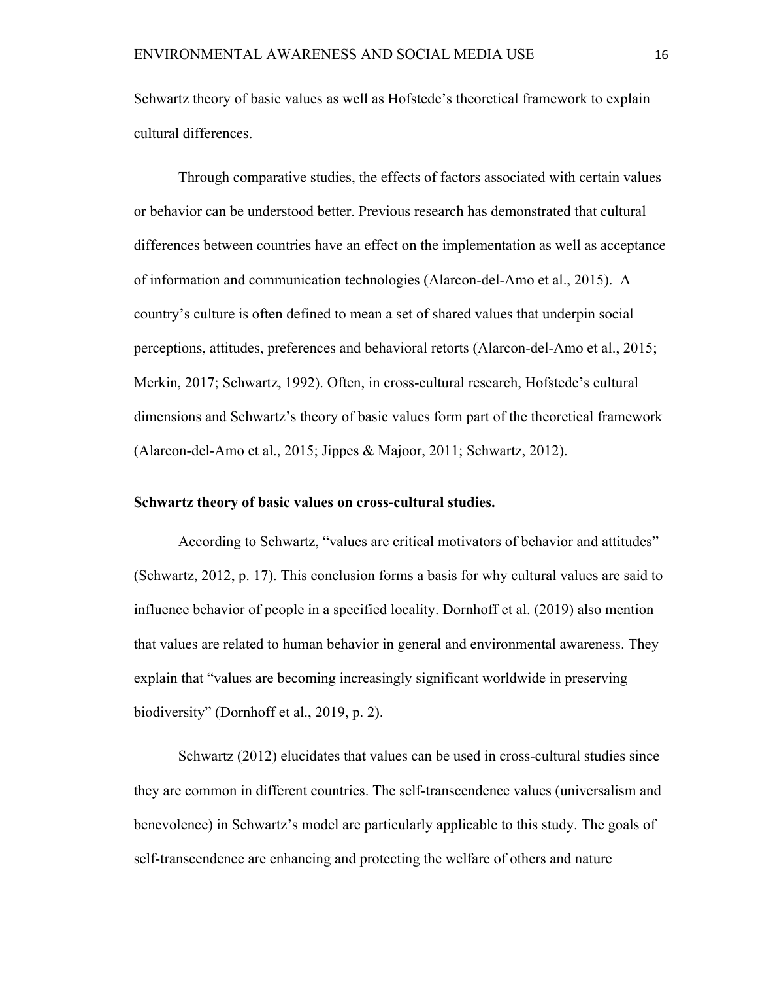Schwartz theory of basic values as well as Hofstede's theoretical framework to explain cultural differences.

Through comparative studies, the effects of factors associated with certain values or behavior can be understood better. Previous research has demonstrated that cultural differences between countries have an effect on the implementation as well as acceptance of information and communication technologies (Alarcon-del-Amo et al., 2015). A country's culture is often defined to mean a set of shared values that underpin social perceptions, attitudes, preferences and behavioral retorts (Alarcon-del-Amo et al., 2015; Merkin, 2017; Schwartz, 1992). Often, in cross-cultural research, Hofstede's cultural dimensions and Schwartz's theory of basic values form part of the theoretical framework (Alarcon-del-Amo et al., 2015; Jippes & Majoor, 2011; Schwartz, 2012).

#### **Schwartz theory of basic values on cross-cultural studies.**

According to Schwartz, "values are critical motivators of behavior and attitudes" (Schwartz, 2012, p. 17). This conclusion forms a basis for why cultural values are said to influence behavior of people in a specified locality. Dornhoff et al. (2019) also mention that values are related to human behavior in general and environmental awareness. They explain that "values are becoming increasingly significant worldwide in preserving biodiversity" (Dornhoff et al., 2019, p. 2).

Schwartz (2012) elucidates that values can be used in cross-cultural studies since they are common in different countries. The self-transcendence values (universalism and benevolence) in Schwartz's model are particularly applicable to this study. The goals of self-transcendence are enhancing and protecting the welfare of others and nature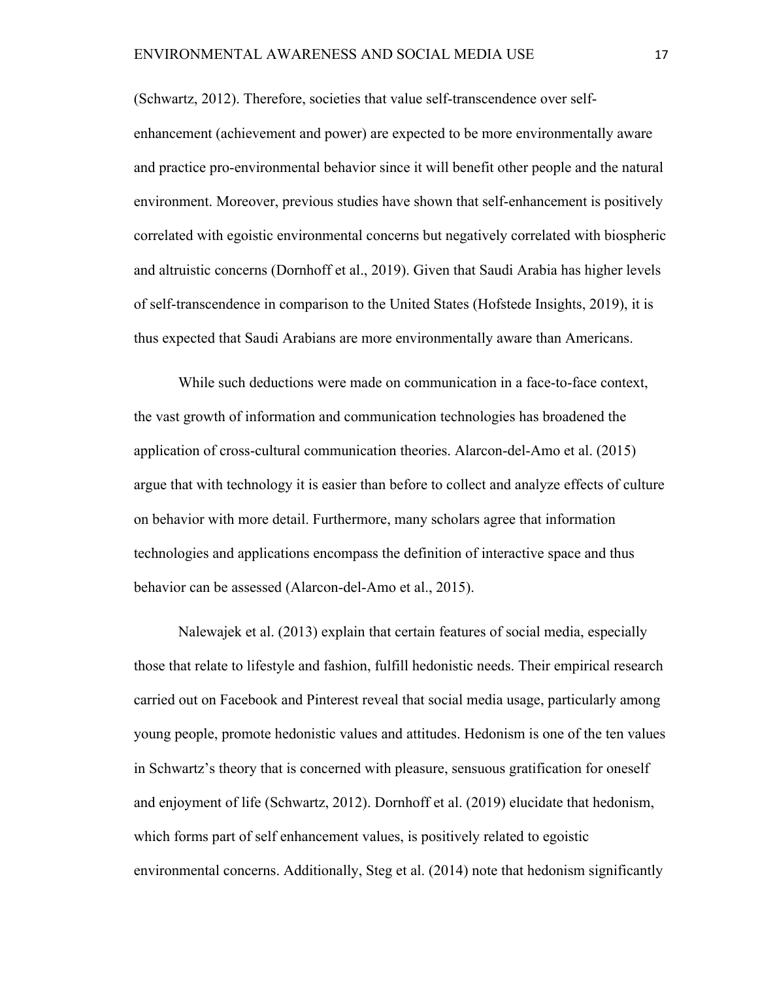(Schwartz, 2012). Therefore, societies that value self-transcendence over self-

enhancement (achievement and power) are expected to be more environmentally aware and practice pro-environmental behavior since it will benefit other people and the natural environment. Moreover, previous studies have shown that self-enhancement is positively correlated with egoistic environmental concerns but negatively correlated with biospheric and altruistic concerns (Dornhoff et al., 2019). Given that Saudi Arabia has higher levels of self-transcendence in comparison to the United States (Hofstede Insights, 2019), it is thus expected that Saudi Arabians are more environmentally aware than Americans.

While such deductions were made on communication in a face-to-face context, the vast growth of information and communication technologies has broadened the application of cross-cultural communication theories. Alarcon-del-Amo et al. (2015) argue that with technology it is easier than before to collect and analyze effects of culture on behavior with more detail. Furthermore, many scholars agree that information technologies and applications encompass the definition of interactive space and thus behavior can be assessed (Alarcon-del-Amo et al., 2015).

Nalewajek et al. (2013) explain that certain features of social media, especially those that relate to lifestyle and fashion, fulfill hedonistic needs. Their empirical research carried out on Facebook and Pinterest reveal that social media usage, particularly among young people, promote hedonistic values and attitudes. Hedonism is one of the ten values in Schwartz's theory that is concerned with pleasure, sensuous gratification for oneself and enjoyment of life (Schwartz, 2012). Dornhoff et al. (2019) elucidate that hedonism, which forms part of self enhancement values, is positively related to egoistic environmental concerns. Additionally, Steg et al. (2014) note that hedonism significantly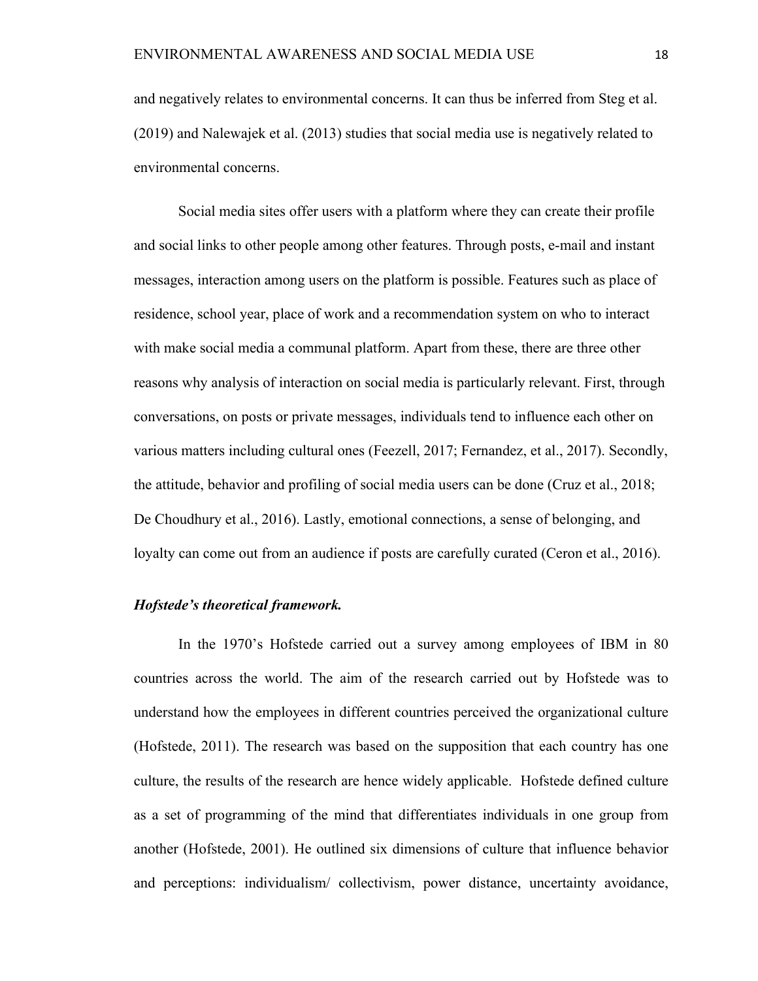and negatively relates to environmental concerns. It can thus be inferred from Steg et al. (2019) and Nalewajek et al. (2013) studies that social media use is negatively related to environmental concerns.

Social media sites offer users with a platform where they can create their profile and social links to other people among other features. Through posts, e-mail and instant messages, interaction among users on the platform is possible. Features such as place of residence, school year, place of work and a recommendation system on who to interact with make social media a communal platform. Apart from these, there are three other reasons why analysis of interaction on social media is particularly relevant. First, through conversations, on posts or private messages, individuals tend to influence each other on various matters including cultural ones (Feezell, 2017; Fernandez, et al., 2017). Secondly, the attitude, behavior and profiling of social media users can be done (Cruz et al., 2018; De Choudhury et al., 2016). Lastly, emotional connections, a sense of belonging, and loyalty can come out from an audience if posts are carefully curated (Ceron et al., 2016).

#### *Hofstede's theoretical framework.*

In the 1970's Hofstede carried out a survey among employees of IBM in 80 countries across the world. The aim of the research carried out by Hofstede was to understand how the employees in different countries perceived the organizational culture (Hofstede, 2011). The research was based on the supposition that each country has one culture, the results of the research are hence widely applicable. Hofstede defined culture as a set of programming of the mind that differentiates individuals in one group from another (Hofstede, 2001). He outlined six dimensions of culture that influence behavior and perceptions: individualism/ collectivism, power distance, uncertainty avoidance,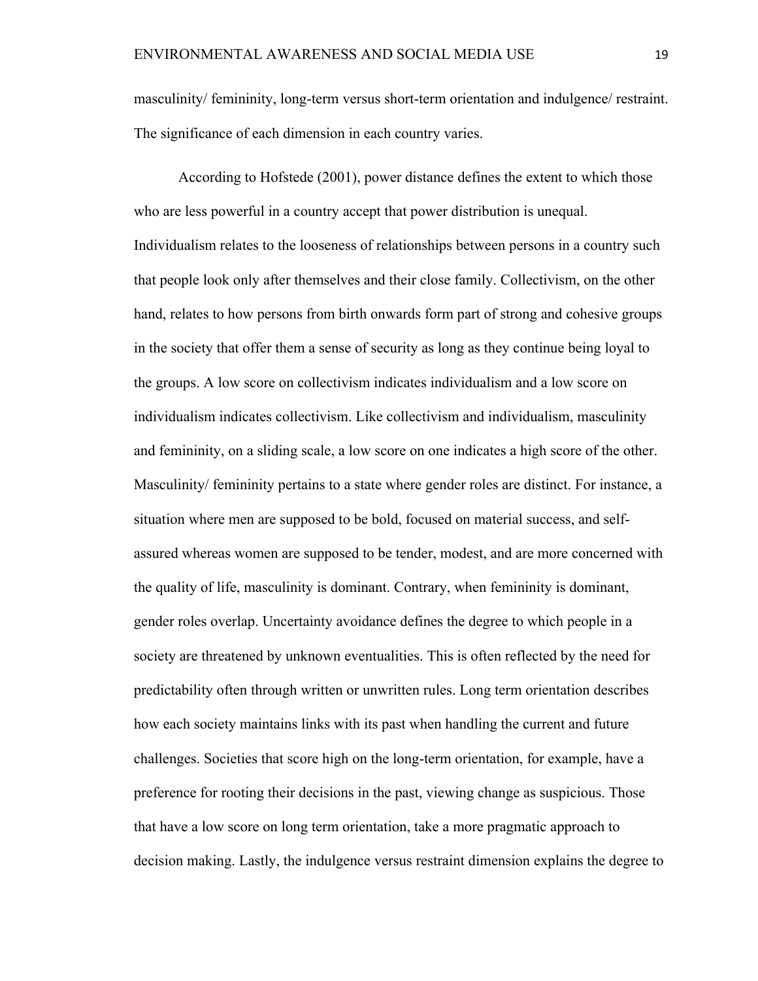masculinity/ femininity, long-term versus short-term orientation and indulgence/ restraint. The significance of each dimension in each country varies.

According to Hofstede (2001), power distance defines the extent to which those who are less powerful in a country accept that power distribution is unequal. Individualism relates to the looseness of relationships between persons in a country such that people look only after themselves and their close family. Collectivism, on the other hand, relates to how persons from birth onwards form part of strong and cohesive groups in the society that offer them a sense of security as long as they continue being loyal to the groups. A low score on collectivism indicates individualism and a low score on individualism indicates collectivism. Like collectivism and individualism, masculinity and femininity, on a sliding scale, a low score on one indicates a high score of the other. Masculinity/ femininity pertains to a state where gender roles are distinct. For instance, a situation where men are supposed to be bold, focused on material success, and selfassured whereas women are supposed to be tender, modest, and are more concerned with the quality of life, masculinity is dominant. Contrary, when femininity is dominant, gender roles overlap. Uncertainty avoidance defines the degree to which people in a society are threatened by unknown eventualities. This is often reflected by the need for predictability often through written or unwritten rules. Long term orientation describes how each society maintains links with its past when handling the current and future challenges. Societies that score high on the long-term orientation, for example, have a preference for rooting their decisions in the past, viewing change as suspicious. Those that have a low score on long term orientation, take a more pragmatic approach to decision making. Lastly, the indulgence versus restraint dimension explains the degree to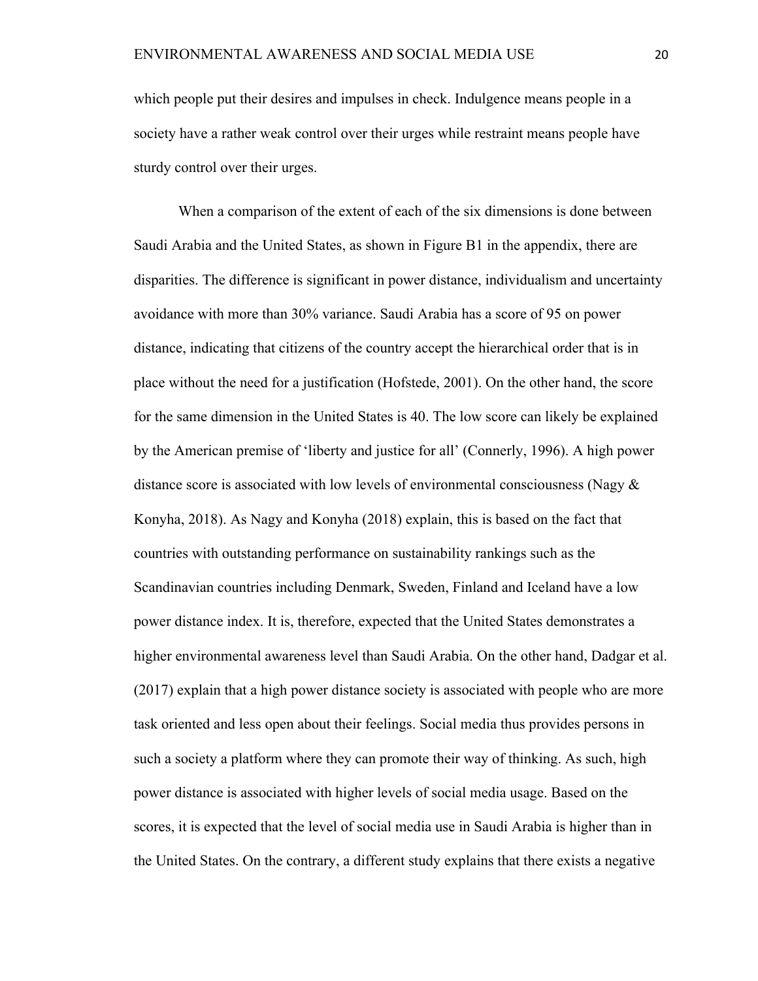which people put their desires and impulses in check. Indulgence means people in a society have a rather weak control over their urges while restraint means people have sturdy control over their urges.

When a comparison of the extent of each of the six dimensions is done between Saudi Arabia and the United States, as shown in Figure B1 in the appendix, there are disparities. The difference is significant in power distance, individualism and uncertainty avoidance with more than 30% variance. Saudi Arabia has a score of 95 on power distance, indicating that citizens of the country accept the hierarchical order that is in place without the need for a justification (Hofstede, 2001). On the other hand, the score for the same dimension in the United States is 40. The low score can likely be explained by the American premise of 'liberty and justice for all' (Connerly, 1996). A high power distance score is associated with low levels of environmental consciousness (Nagy & Konyha, 2018). As Nagy and Konyha (2018) explain, this is based on the fact that countries with outstanding performance on sustainability rankings such as the Scandinavian countries including Denmark, Sweden, Finland and Iceland have a low power distance index. It is, therefore, expected that the United States demonstrates a higher environmental awareness level than Saudi Arabia. On the other hand, Dadgar et al. (2017) explain that a high power distance society is associated with people who are more task oriented and less open about their feelings. Social media thus provides persons in such a society a platform where they can promote their way of thinking. As such, high power distance is associated with higher levels of social media usage. Based on the scores, it is expected that the level of social media use in Saudi Arabia is higher than in the United States. On the contrary, a different study explains that there exists a negative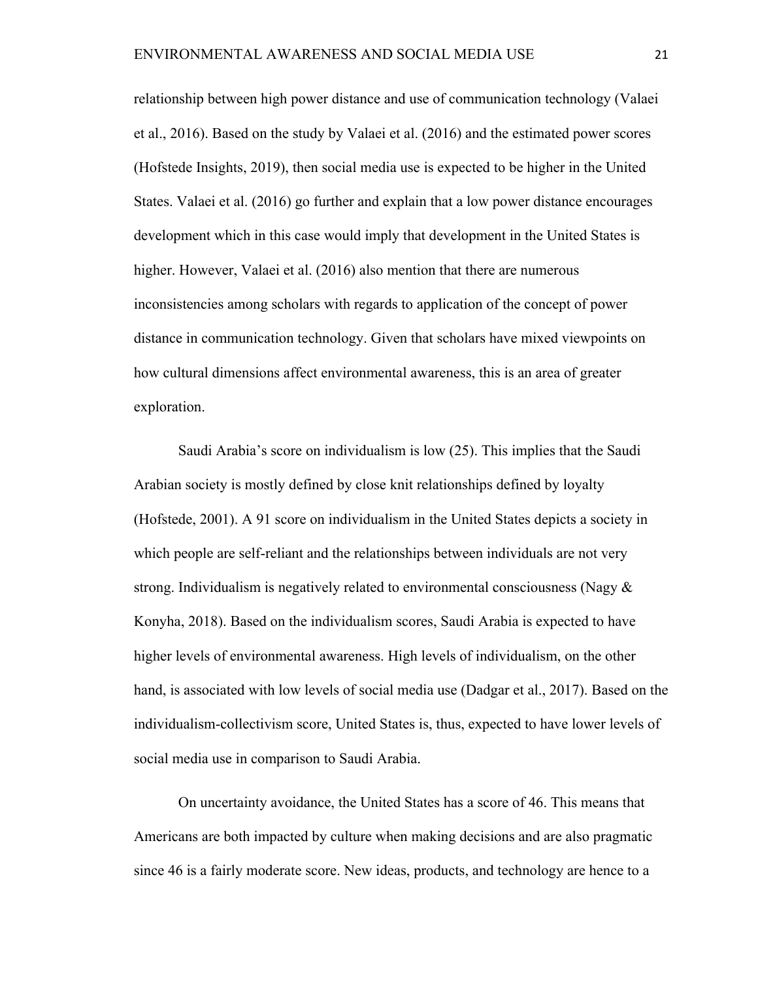relationship between high power distance and use of communication technology (Valaei et al., 2016). Based on the study by Valaei et al. (2016) and the estimated power scores (Hofstede Insights, 2019), then social media use is expected to be higher in the United States. Valaei et al. (2016) go further and explain that a low power distance encourages development which in this case would imply that development in the United States is higher. However, Valaei et al. (2016) also mention that there are numerous inconsistencies among scholars with regards to application of the concept of power distance in communication technology. Given that scholars have mixed viewpoints on how cultural dimensions affect environmental awareness, this is an area of greater exploration.

Saudi Arabia's score on individualism is low (25). This implies that the Saudi Arabian society is mostly defined by close knit relationships defined by loyalty (Hofstede, 2001). A 91 score on individualism in the United States depicts a society in which people are self-reliant and the relationships between individuals are not very strong. Individualism is negatively related to environmental consciousness (Nagy & Konyha, 2018). Based on the individualism scores, Saudi Arabia is expected to have higher levels of environmental awareness. High levels of individualism, on the other hand, is associated with low levels of social media use (Dadgar et al., 2017). Based on the individualism-collectivism score, United States is, thus, expected to have lower levels of social media use in comparison to Saudi Arabia.

On uncertainty avoidance, the United States has a score of 46. This means that Americans are both impacted by culture when making decisions and are also pragmatic since 46 is a fairly moderate score. New ideas, products, and technology are hence to a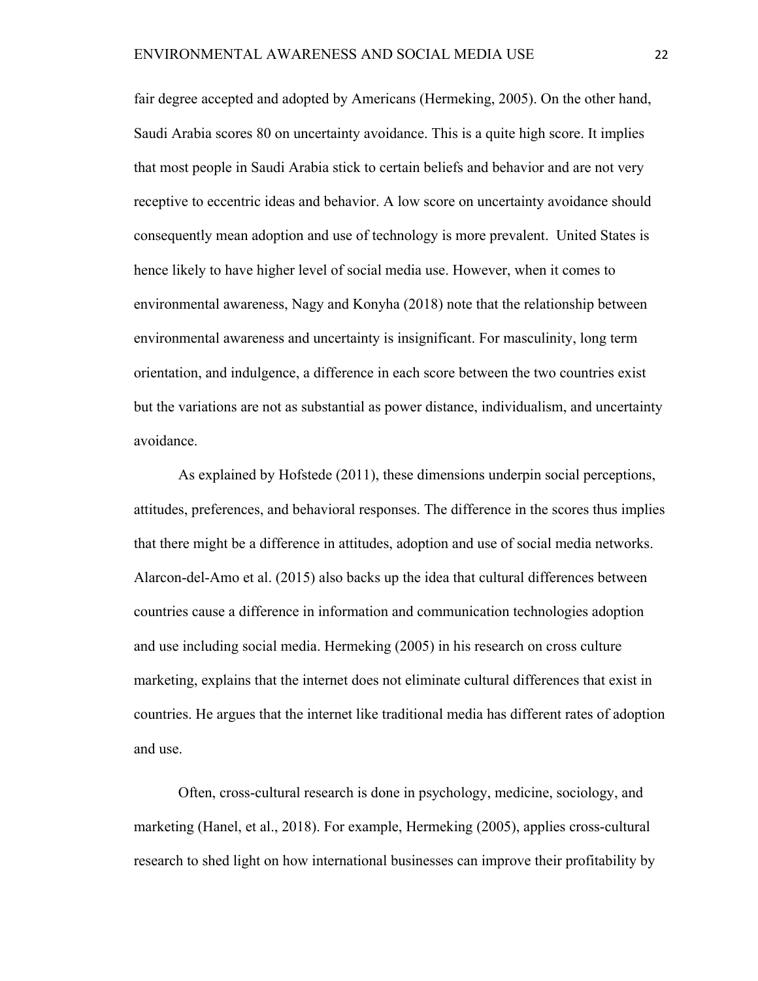fair degree accepted and adopted by Americans (Hermeking, 2005). On the other hand, Saudi Arabia scores 80 on uncertainty avoidance. This is a quite high score. It implies that most people in Saudi Arabia stick to certain beliefs and behavior and are not very receptive to eccentric ideas and behavior. A low score on uncertainty avoidance should consequently mean adoption and use of technology is more prevalent. United States is hence likely to have higher level of social media use. However, when it comes to environmental awareness, Nagy and Konyha (2018) note that the relationship between environmental awareness and uncertainty is insignificant. For masculinity, long term orientation, and indulgence, a difference in each score between the two countries exist but the variations are not as substantial as power distance, individualism, and uncertainty avoidance.

As explained by Hofstede (2011), these dimensions underpin social perceptions, attitudes, preferences, and behavioral responses. The difference in the scores thus implies that there might be a difference in attitudes, adoption and use of social media networks. Alarcon-del-Amo et al. (2015) also backs up the idea that cultural differences between countries cause a difference in information and communication technologies adoption and use including social media. Hermeking (2005) in his research on cross culture marketing, explains that the internet does not eliminate cultural differences that exist in countries. He argues that the internet like traditional media has different rates of adoption and use.

Often, cross-cultural research is done in psychology, medicine, sociology, and marketing (Hanel, et al., 2018). For example, Hermeking (2005), applies cross-cultural research to shed light on how international businesses can improve their profitability by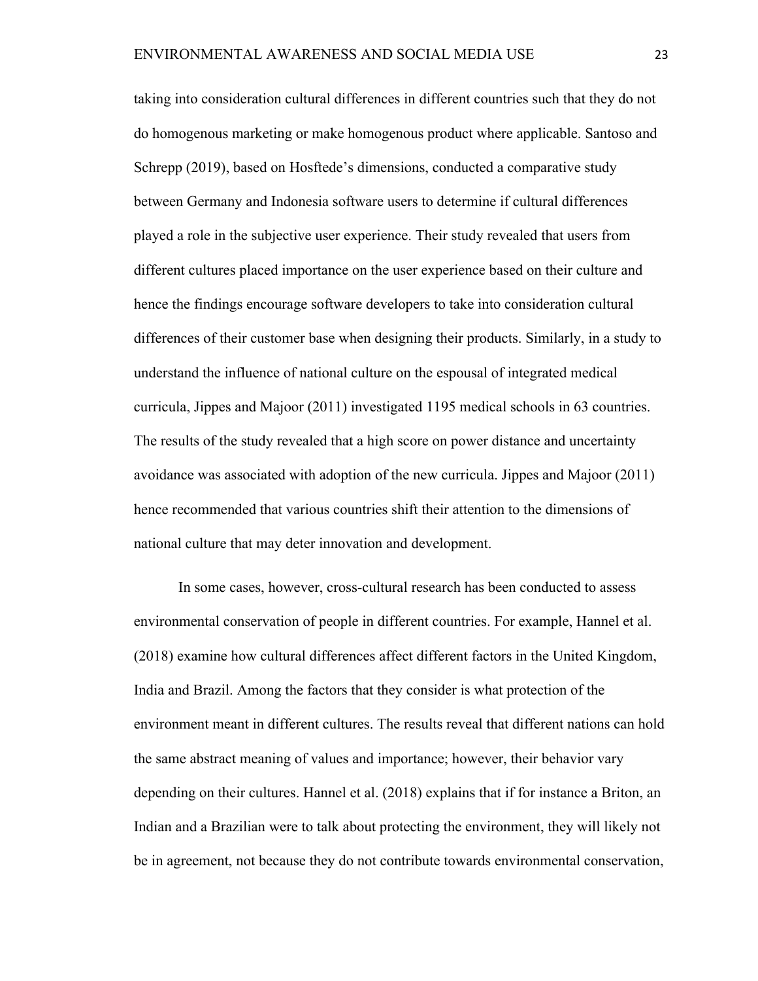taking into consideration cultural differences in different countries such that they do not do homogenous marketing or make homogenous product where applicable. Santoso and Schrepp (2019), based on Hosftede's dimensions, conducted a comparative study between Germany and Indonesia software users to determine if cultural differences played a role in the subjective user experience. Their study revealed that users from different cultures placed importance on the user experience based on their culture and hence the findings encourage software developers to take into consideration cultural differences of their customer base when designing their products. Similarly, in a study to understand the influence of national culture on the espousal of integrated medical curricula, Jippes and Majoor (2011) investigated 1195 medical schools in 63 countries. The results of the study revealed that a high score on power distance and uncertainty avoidance was associated with adoption of the new curricula. Jippes and Majoor (2011) hence recommended that various countries shift their attention to the dimensions of national culture that may deter innovation and development.

In some cases, however, cross-cultural research has been conducted to assess environmental conservation of people in different countries. For example, Hannel et al. (2018) examine how cultural differences affect different factors in the United Kingdom, India and Brazil. Among the factors that they consider is what protection of the environment meant in different cultures. The results reveal that different nations can hold the same abstract meaning of values and importance; however, their behavior vary depending on their cultures. Hannel et al. (2018) explains that if for instance a Briton, an Indian and a Brazilian were to talk about protecting the environment, they will likely not be in agreement, not because they do not contribute towards environmental conservation,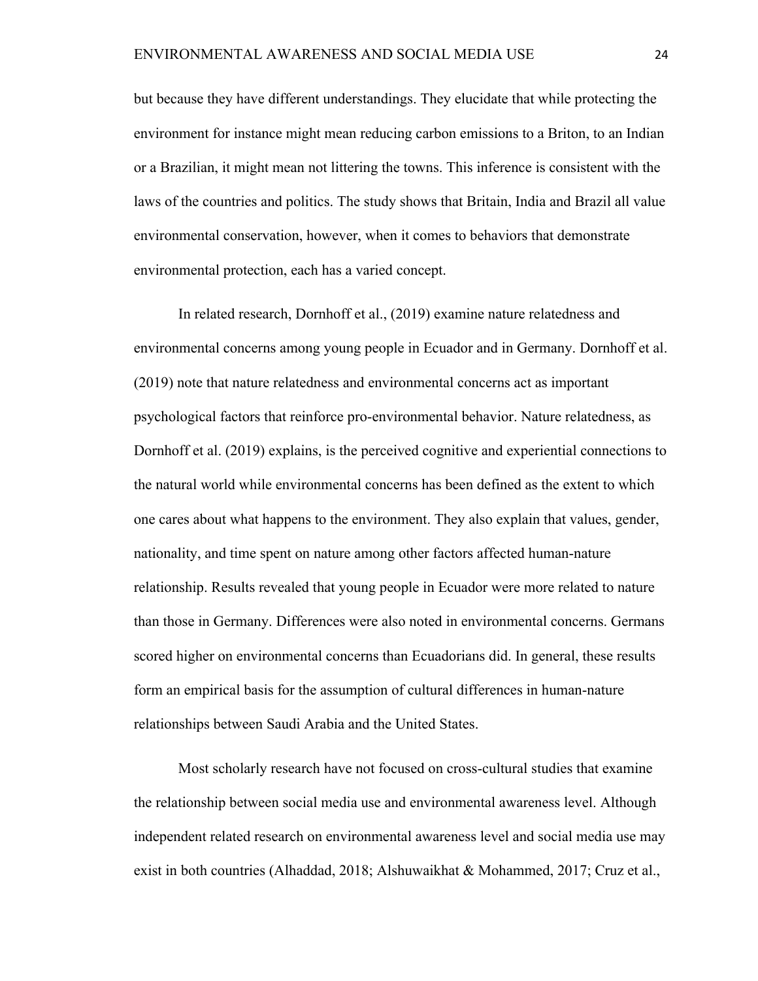but because they have different understandings. They elucidate that while protecting the environment for instance might mean reducing carbon emissions to a Briton, to an Indian or a Brazilian, it might mean not littering the towns. This inference is consistent with the laws of the countries and politics. The study shows that Britain, India and Brazil all value environmental conservation, however, when it comes to behaviors that demonstrate environmental protection, each has a varied concept.

In related research, Dornhoff et al., (2019) examine nature relatedness and environmental concerns among young people in Ecuador and in Germany. Dornhoff et al. (2019) note that nature relatedness and environmental concerns act as important psychological factors that reinforce pro-environmental behavior. Nature relatedness, as Dornhoff et al. (2019) explains, is the perceived cognitive and experiential connections to the natural world while environmental concerns has been defined as the extent to which one cares about what happens to the environment. They also explain that values, gender, nationality, and time spent on nature among other factors affected human-nature relationship. Results revealed that young people in Ecuador were more related to nature than those in Germany. Differences were also noted in environmental concerns. Germans scored higher on environmental concerns than Ecuadorians did. In general, these results form an empirical basis for the assumption of cultural differences in human-nature relationships between Saudi Arabia and the United States.

Most scholarly research have not focused on cross-cultural studies that examine the relationship between social media use and environmental awareness level. Although independent related research on environmental awareness level and social media use may exist in both countries (Alhaddad, 2018; Alshuwaikhat & Mohammed, 2017; Cruz et al.,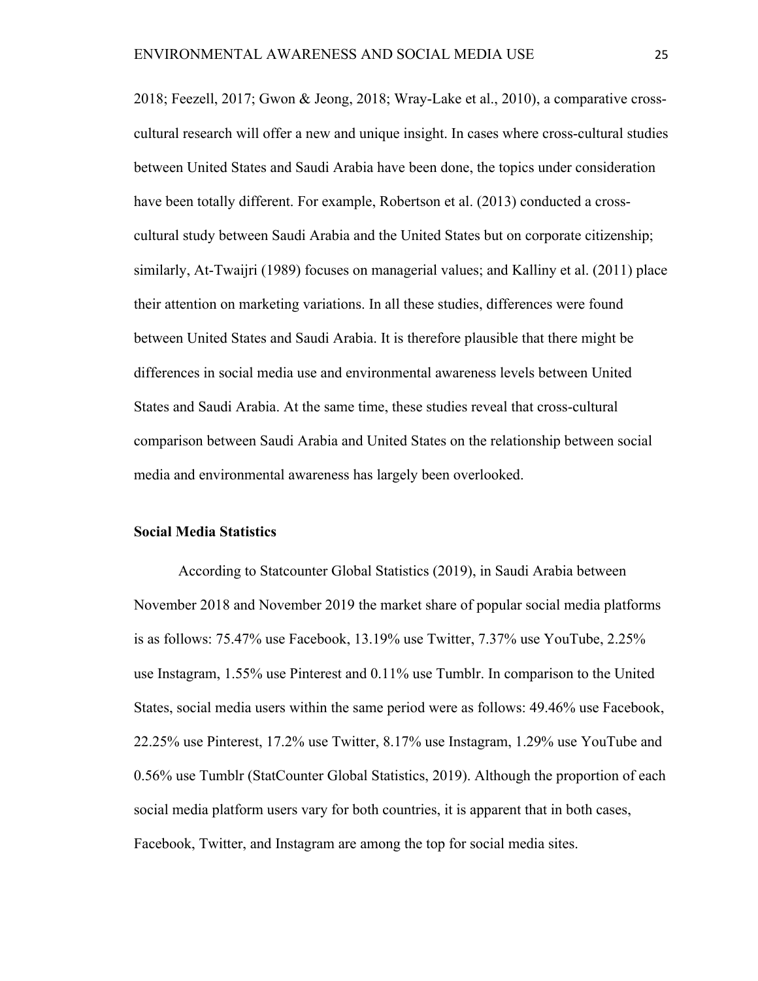2018; Feezell, 2017; Gwon & Jeong, 2018; Wray-Lake et al., 2010), a comparative crosscultural research will offer a new and unique insight. In cases where cross-cultural studies between United States and Saudi Arabia have been done, the topics under consideration have been totally different. For example, Robertson et al. (2013) conducted a crosscultural study between Saudi Arabia and the United States but on corporate citizenship; similarly, At-Twaijri (1989) focuses on managerial values; and Kalliny et al. (2011) place their attention on marketing variations. In all these studies, differences were found between United States and Saudi Arabia. It is therefore plausible that there might be differences in social media use and environmental awareness levels between United States and Saudi Arabia. At the same time, these studies reveal that cross-cultural comparison between Saudi Arabia and United States on the relationship between social media and environmental awareness has largely been overlooked.

# **Social Media Statistics**

According to Statcounter Global Statistics (2019), in Saudi Arabia between November 2018 and November 2019 the market share of popular social media platforms is as follows: 75.47% use Facebook, 13.19% use Twitter, 7.37% use YouTube, 2.25% use Instagram, 1.55% use Pinterest and 0.11% use Tumblr. In comparison to the United States, social media users within the same period were as follows: 49.46% use Facebook, 22.25% use Pinterest, 17.2% use Twitter, 8.17% use Instagram, 1.29% use YouTube and 0.56% use Tumblr (StatCounter Global Statistics, 2019). Although the proportion of each social media platform users vary for both countries, it is apparent that in both cases, Facebook, Twitter, and Instagram are among the top for social media sites.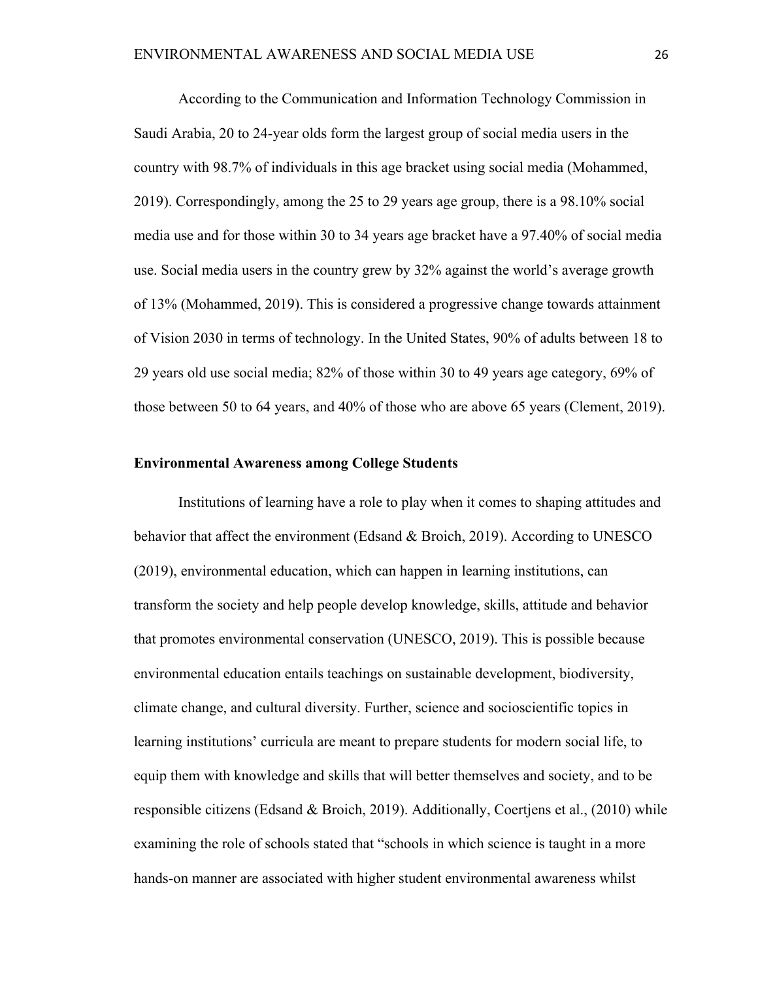According to the Communication and Information Technology Commission in Saudi Arabia, 20 to 24-year olds form the largest group of social media users in the country with 98.7% of individuals in this age bracket using social media (Mohammed, 2019). Correspondingly, among the 25 to 29 years age group, there is a 98.10% social media use and for those within 30 to 34 years age bracket have a 97.40% of social media use. Social media users in the country grew by 32% against the world's average growth of 13% (Mohammed, 2019). This is considered a progressive change towards attainment of Vision 2030 in terms of technology. In the United States, 90% of adults between 18 to 29 years old use social media; 82% of those within 30 to 49 years age category, 69% of those between 50 to 64 years, and 40% of those who are above 65 years (Clement, 2019).

#### **Environmental Awareness among College Students**

Institutions of learning have a role to play when it comes to shaping attitudes and behavior that affect the environment (Edsand & Broich, 2019). According to UNESCO (2019), environmental education, which can happen in learning institutions, can transform the society and help people develop knowledge, skills, attitude and behavior that promotes environmental conservation (UNESCO, 2019). This is possible because environmental education entails teachings on sustainable development, biodiversity, climate change, and cultural diversity. Further, science and socioscientific topics in learning institutions' curricula are meant to prepare students for modern social life, to equip them with knowledge and skills that will better themselves and society, and to be responsible citizens (Edsand & Broich, 2019). Additionally, Coertjens et al., (2010) while examining the role of schools stated that "schools in which science is taught in a more hands-on manner are associated with higher student environmental awareness whilst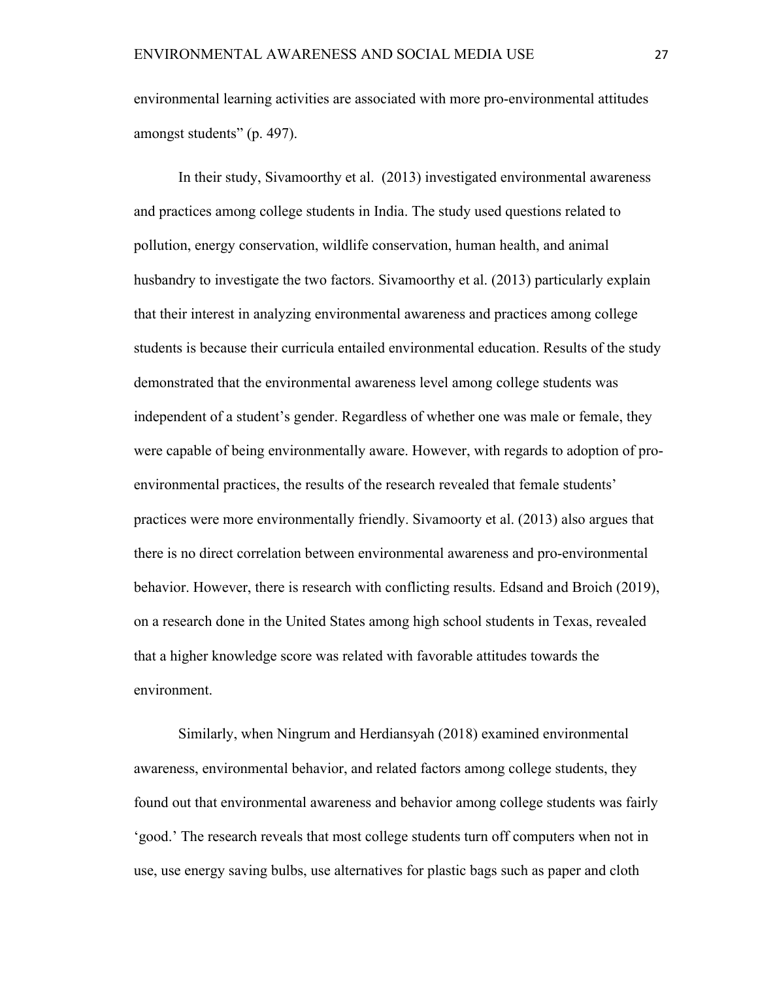environmental learning activities are associated with more pro-environmental attitudes amongst students" (p. 497).

In their study, Sivamoorthy et al. (2013) investigated environmental awareness and practices among college students in India. The study used questions related to pollution, energy conservation, wildlife conservation, human health, and animal husbandry to investigate the two factors. Sivamoorthy et al. (2013) particularly explain that their interest in analyzing environmental awareness and practices among college students is because their curricula entailed environmental education. Results of the study demonstrated that the environmental awareness level among college students was independent of a student's gender. Regardless of whether one was male or female, they were capable of being environmentally aware. However, with regards to adoption of proenvironmental practices, the results of the research revealed that female students' practices were more environmentally friendly. Sivamoorty et al. (2013) also argues that there is no direct correlation between environmental awareness and pro-environmental behavior. However, there is research with conflicting results. Edsand and Broich (2019), on a research done in the United States among high school students in Texas, revealed that a higher knowledge score was related with favorable attitudes towards the environment.

Similarly, when Ningrum and Herdiansyah (2018) examined environmental awareness, environmental behavior, and related factors among college students, they found out that environmental awareness and behavior among college students was fairly 'good.' The research reveals that most college students turn off computers when not in use, use energy saving bulbs, use alternatives for plastic bags such as paper and cloth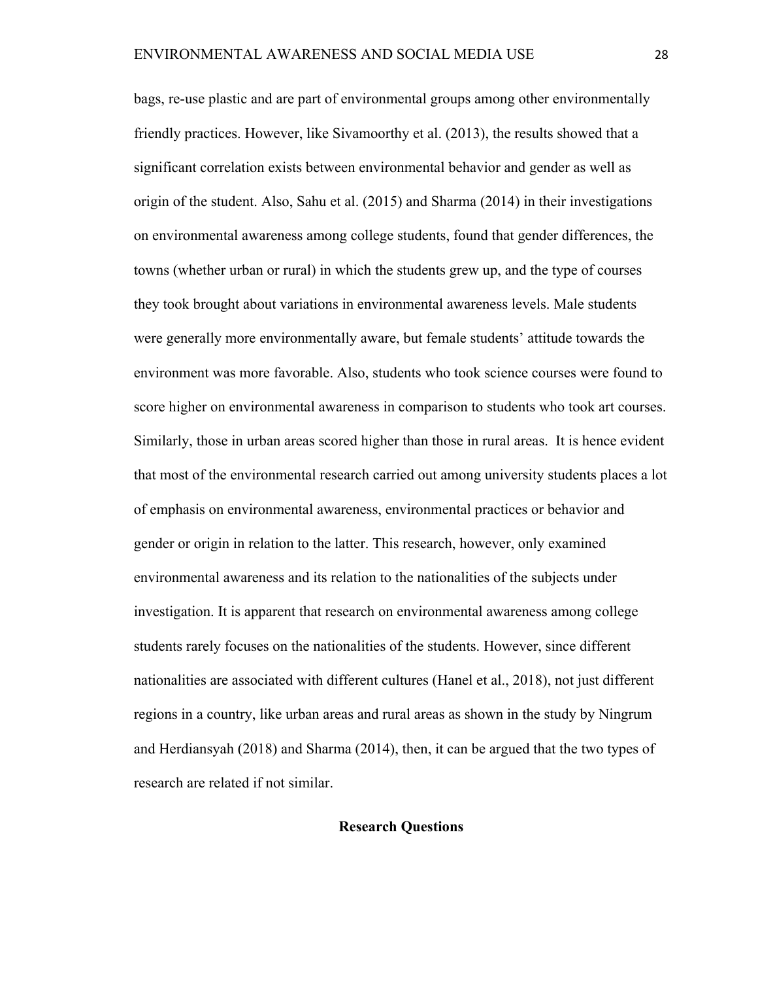bags, re-use plastic and are part of environmental groups among other environmentally friendly practices. However, like Sivamoorthy et al. (2013), the results showed that a significant correlation exists between environmental behavior and gender as well as origin of the student. Also, Sahu et al. (2015) and Sharma (2014) in their investigations on environmental awareness among college students, found that gender differences, the towns (whether urban or rural) in which the students grew up, and the type of courses they took brought about variations in environmental awareness levels. Male students were generally more environmentally aware, but female students' attitude towards the environment was more favorable. Also, students who took science courses were found to score higher on environmental awareness in comparison to students who took art courses. Similarly, those in urban areas scored higher than those in rural areas. It is hence evident that most of the environmental research carried out among university students places a lot of emphasis on environmental awareness, environmental practices or behavior and gender or origin in relation to the latter. This research, however, only examined environmental awareness and its relation to the nationalities of the subjects under investigation. It is apparent that research on environmental awareness among college students rarely focuses on the nationalities of the students. However, since different nationalities are associated with different cultures (Hanel et al., 2018), not just different regions in a country, like urban areas and rural areas as shown in the study by Ningrum and Herdiansyah (2018) and Sharma (2014), then, it can be argued that the two types of research are related if not similar.

## **Research Questions**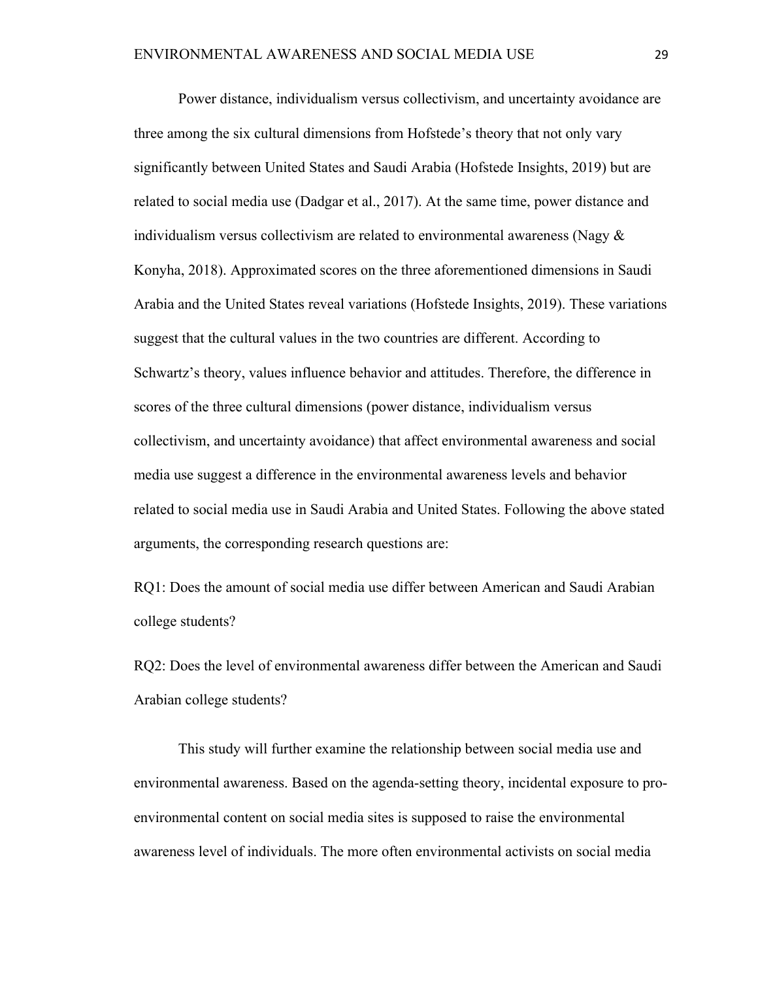Power distance, individualism versus collectivism, and uncertainty avoidance are three among the six cultural dimensions from Hofstede's theory that not only vary significantly between United States and Saudi Arabia (Hofstede Insights, 2019) but are related to social media use (Dadgar et al., 2017). At the same time, power distance and individualism versus collectivism are related to environmental awareness (Nagy  $\&$ Konyha, 2018). Approximated scores on the three aforementioned dimensions in Saudi Arabia and the United States reveal variations (Hofstede Insights, 2019). These variations suggest that the cultural values in the two countries are different. According to Schwartz's theory, values influence behavior and attitudes. Therefore, the difference in scores of the three cultural dimensions (power distance, individualism versus collectivism, and uncertainty avoidance) that affect environmental awareness and social media use suggest a difference in the environmental awareness levels and behavior related to social media use in Saudi Arabia and United States. Following the above stated arguments, the corresponding research questions are:

RQ1: Does the amount of social media use differ between American and Saudi Arabian college students?

RQ2: Does the level of environmental awareness differ between the American and Saudi Arabian college students?

This study will further examine the relationship between social media use and environmental awareness. Based on the agenda-setting theory, incidental exposure to proenvironmental content on social media sites is supposed to raise the environmental awareness level of individuals. The more often environmental activists on social media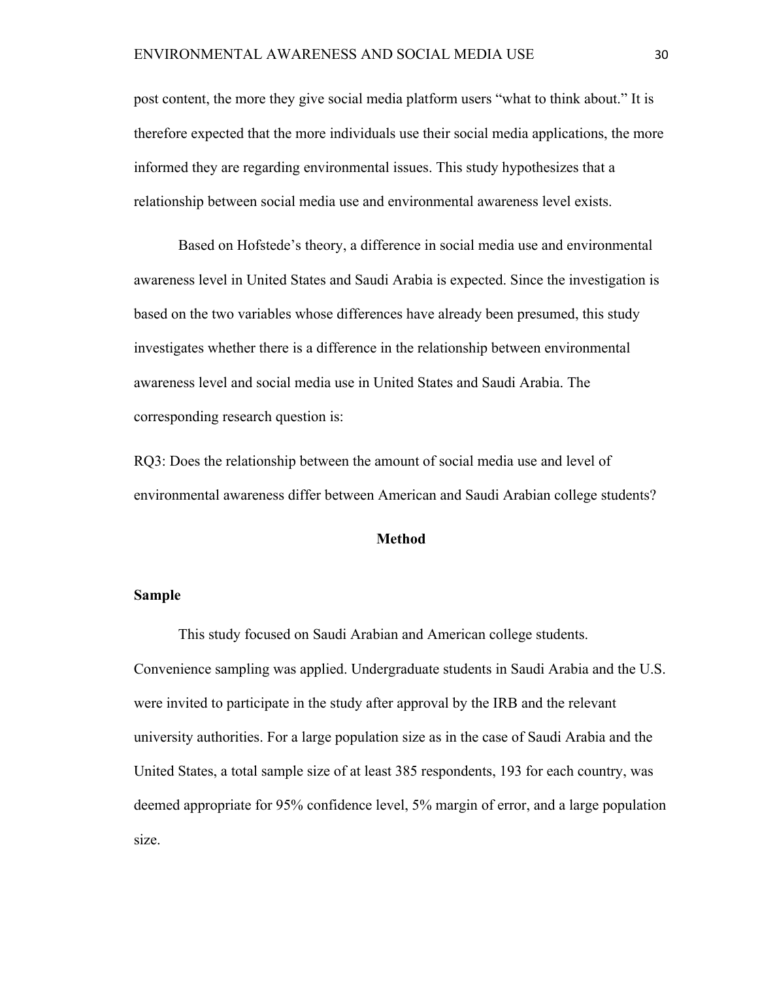post content, the more they give social media platform users "what to think about." It is therefore expected that the more individuals use their social media applications, the more informed they are regarding environmental issues. This study hypothesizes that a relationship between social media use and environmental awareness level exists.

Based on Hofstede's theory, a difference in social media use and environmental awareness level in United States and Saudi Arabia is expected. Since the investigation is based on the two variables whose differences have already been presumed, this study investigates whether there is a difference in the relationship between environmental awareness level and social media use in United States and Saudi Arabia. The corresponding research question is:

RQ3: Does the relationship between the amount of social media use and level of environmental awareness differ between American and Saudi Arabian college students?

## **Method**

# **Sample**

This study focused on Saudi Arabian and American college students. Convenience sampling was applied. Undergraduate students in Saudi Arabia and the U.S. were invited to participate in the study after approval by the IRB and the relevant university authorities. For a large population size as in the case of Saudi Arabia and the United States, a total sample size of at least 385 respondents, 193 for each country, was deemed appropriate for 95% confidence level, 5% margin of error, and a large population size.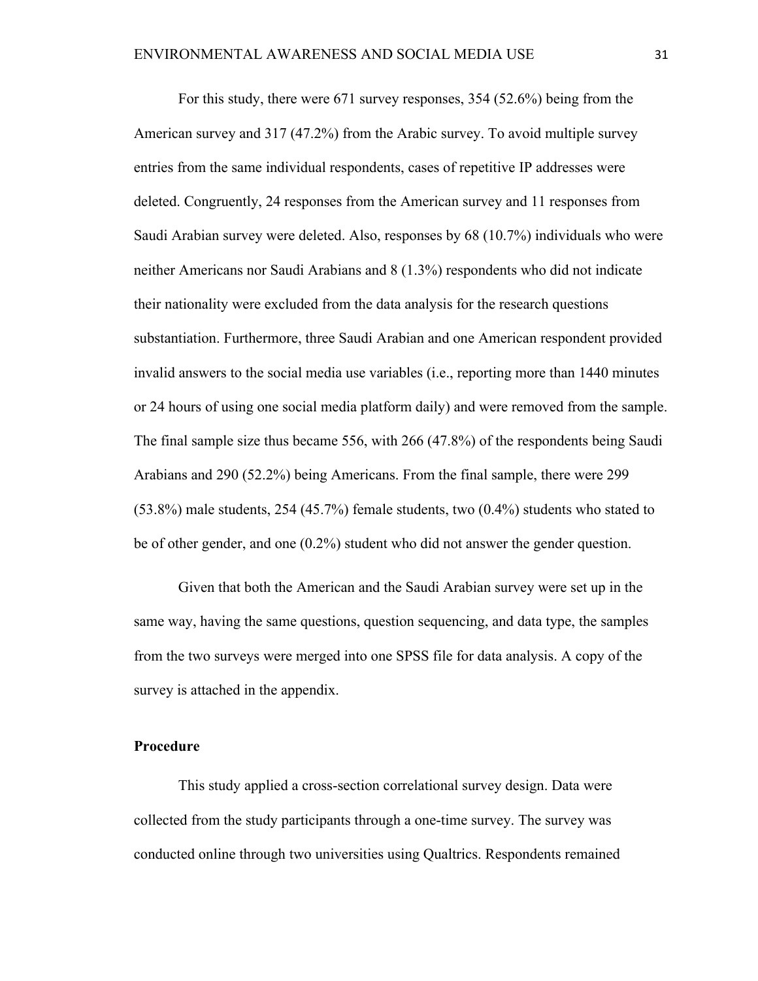For this study, there were 671 survey responses, 354 (52.6%) being from the American survey and 317 (47.2%) from the Arabic survey. To avoid multiple survey entries from the same individual respondents, cases of repetitive IP addresses were deleted. Congruently, 24 responses from the American survey and 11 responses from Saudi Arabian survey were deleted. Also, responses by 68 (10.7%) individuals who were neither Americans nor Saudi Arabians and 8 (1.3%) respondents who did not indicate their nationality were excluded from the data analysis for the research questions substantiation. Furthermore, three Saudi Arabian and one American respondent provided invalid answers to the social media use variables (i.e., reporting more than 1440 minutes or 24 hours of using one social media platform daily) and were removed from the sample. The final sample size thus became 556, with 266 (47.8%) of the respondents being Saudi Arabians and 290 (52.2%) being Americans. From the final sample, there were 299 (53.8%) male students, 254 (45.7%) female students, two (0.4%) students who stated to be of other gender, and one (0.2%) student who did not answer the gender question.

Given that both the American and the Saudi Arabian survey were set up in the same way, having the same questions, question sequencing, and data type, the samples from the two surveys were merged into one SPSS file for data analysis. A copy of the survey is attached in the appendix.

### **Procedure**

This study applied a cross-section correlational survey design. Data were collected from the study participants through a one-time survey. The survey was conducted online through two universities using Qualtrics. Respondents remained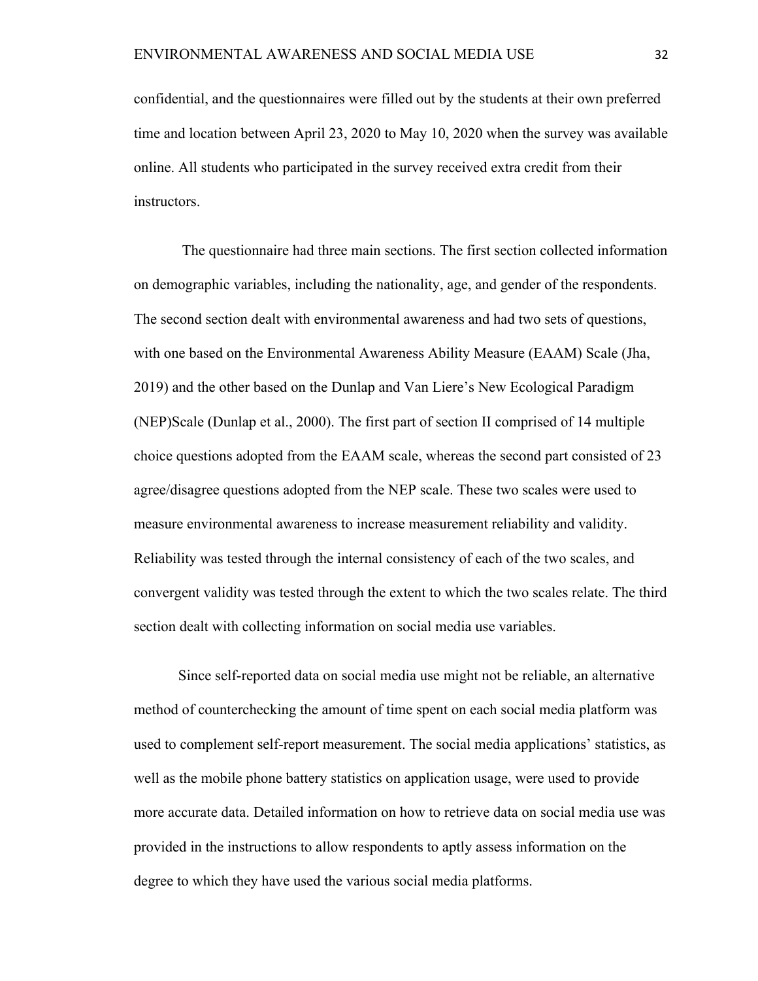confidential, and the questionnaires were filled out by the students at their own preferred time and location between April 23, 2020 to May 10, 2020 when the survey was available online. All students who participated in the survey received extra credit from their instructors.

The questionnaire had three main sections. The first section collected information on demographic variables, including the nationality, age, and gender of the respondents. The second section dealt with environmental awareness and had two sets of questions, with one based on the Environmental Awareness Ability Measure (EAAM) Scale (Jha, 2019) and the other based on the Dunlap and Van Liere's New Ecological Paradigm (NEP)Scale (Dunlap et al., 2000). The first part of section II comprised of 14 multiple choice questions adopted from the EAAM scale, whereas the second part consisted of 23 agree/disagree questions adopted from the NEP scale. These two scales were used to measure environmental awareness to increase measurement reliability and validity. Reliability was tested through the internal consistency of each of the two scales, and convergent validity was tested through the extent to which the two scales relate. The third section dealt with collecting information on social media use variables.

Since self-reported data on social media use might not be reliable, an alternative method of counterchecking the amount of time spent on each social media platform was used to complement self-report measurement. The social media applications' statistics, as well as the mobile phone battery statistics on application usage, were used to provide more accurate data. Detailed information on how to retrieve data on social media use was provided in the instructions to allow respondents to aptly assess information on the degree to which they have used the various social media platforms.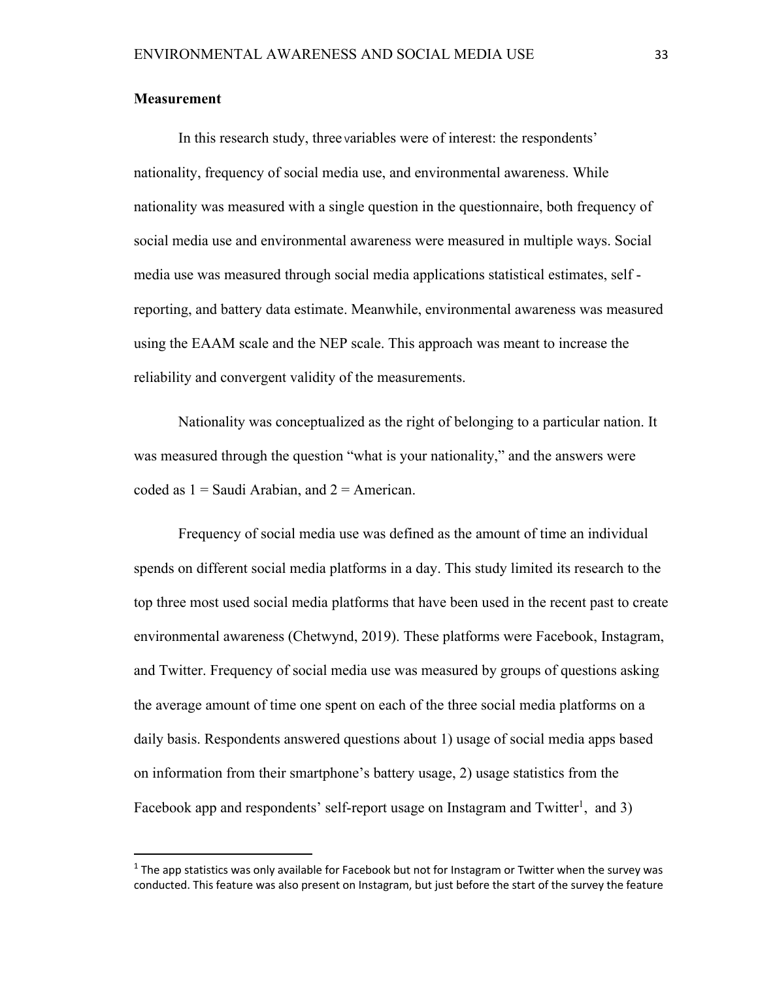## **Measurement**

In this research study, three variables were of interest: the respondents' nationality, frequency of social media use, and environmental awareness. While nationality was measured with a single question in the questionnaire, both frequency of social media use and environmental awareness were measured in multiple ways. Social media use was measured through social media applications statistical estimates, self reporting, and battery data estimate. Meanwhile, environmental awareness was measured using the EAAM scale and the NEP scale. This approach was meant to increase the reliability and convergent validity of the measurements.

Nationality was conceptualized as the right of belonging to a particular nation. It was measured through the question "what is your nationality," and the answers were coded as  $1 =$  Saudi Arabian, and  $2 =$  American.

Frequency of social media use was defined as the amount of time an individual spends on different social media platforms in a day. This study limited its research to the top three most used social media platforms that have been used in the recent past to create environmental awareness (Chetwynd, 2019). These platforms were Facebook, Instagram, and Twitter. Frequency of social media use was measured by groups of questions asking the average amount of time one spent on each of the three social media platforms on a daily basis. Respondents answered questions about 1) usage of social media apps based on information from their smartphone's battery usage, 2) usage statistics from the Facebook app and respondents' self-report usage on Instagram and Twitter<sup>1</sup>, and 3)

 $1$  The app statistics was only available for Facebook but not for Instagram or Twitter when the survey was conducted. This feature was also present on Instagram, but just before the start of the survey the feature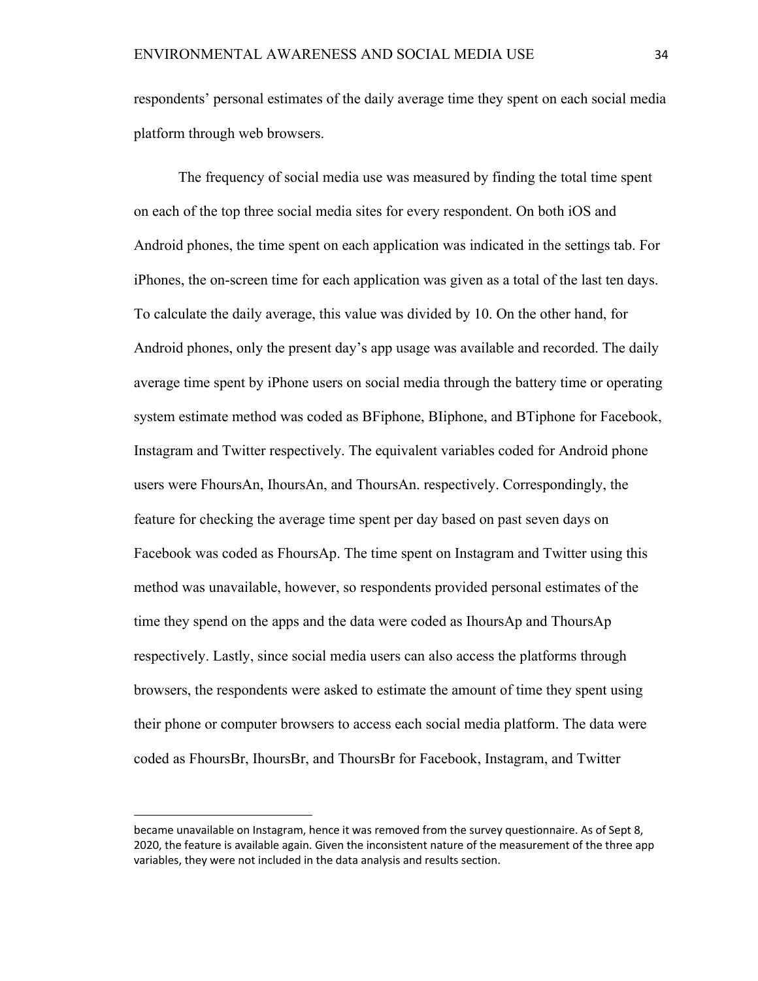respondents' personal estimates of the daily average time they spent on each social media platform through web browsers.

The frequency of social media use was measured by finding the total time spent on each of the top three social media sites for every respondent. On both iOS and Android phones, the time spent on each application was indicated in the settings tab. For iPhones, the on-screen time for each application was given as a total of the last ten days. To calculate the daily average, this value was divided by 10. On the other hand, for Android phones, only the present day's app usage was available and recorded. The daily average time spent by iPhone users on social media through the battery time or operating system estimate method was coded as BFiphone, BIiphone, and BTiphone for Facebook, Instagram and Twitter respectively. The equivalent variables coded for Android phone users were FhoursAn, IhoursAn, and ThoursAn. respectively. Correspondingly, the feature for checking the average time spent per day based on past seven days on Facebook was coded as FhoursAp. The time spent on Instagram and Twitter using this method was unavailable, however, so respondents provided personal estimates of the time they spend on the apps and the data were coded as IhoursAp and ThoursAp respectively. Lastly, since social media users can also access the platforms through browsers, the respondents were asked to estimate the amount of time they spent using their phone or computer browsers to access each social media platform. The data were coded as FhoursBr, IhoursBr, and ThoursBr for Facebook, Instagram, and Twitter

became unavailable on Instagram, hence it was removed from the survey questionnaire. As of Sept 8, 2020, the feature is available again. Given the inconsistent nature of the measurement of the three app variables, they were not included in the data analysis and results section.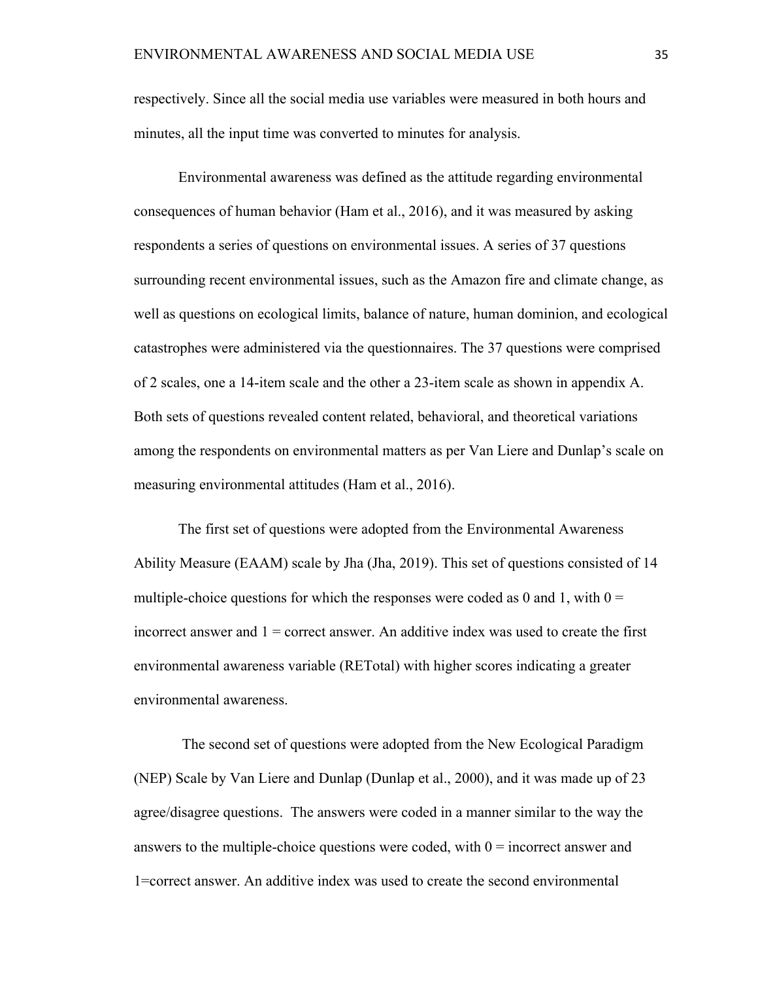respectively. Since all the social media use variables were measured in both hours and minutes, all the input time was converted to minutes for analysis.

Environmental awareness was defined as the attitude regarding environmental consequences of human behavior (Ham et al., 2016), and it was measured by asking respondents a series of questions on environmental issues. A series of 37 questions surrounding recent environmental issues, such as the Amazon fire and climate change, as well as questions on ecological limits, balance of nature, human dominion, and ecological catastrophes were administered via the questionnaires. The 37 questions were comprised of 2 scales, one a 14-item scale and the other a 23-item scale as shown in appendix A. Both sets of questions revealed content related, behavioral, and theoretical variations among the respondents on environmental matters as per Van Liere and Dunlap's scale on measuring environmental attitudes (Ham et al., 2016).

The first set of questions were adopted from the Environmental Awareness Ability Measure (EAAM) scale by Jha (Jha, 2019). This set of questions consisted of 14 multiple-choice questions for which the responses were coded as 0 and 1, with  $0 =$ incorrect answer and  $1 =$  correct answer. An additive index was used to create the first environmental awareness variable (RETotal) with higher scores indicating a greater environmental awareness.

The second set of questions were adopted from the New Ecological Paradigm (NEP) Scale by Van Liere and Dunlap (Dunlap et al., 2000), and it was made up of 23 agree/disagree questions. The answers were coded in a manner similar to the way the answers to the multiple-choice questions were coded, with  $0 =$  incorrect answer and 1=correct answer. An additive index was used to create the second environmental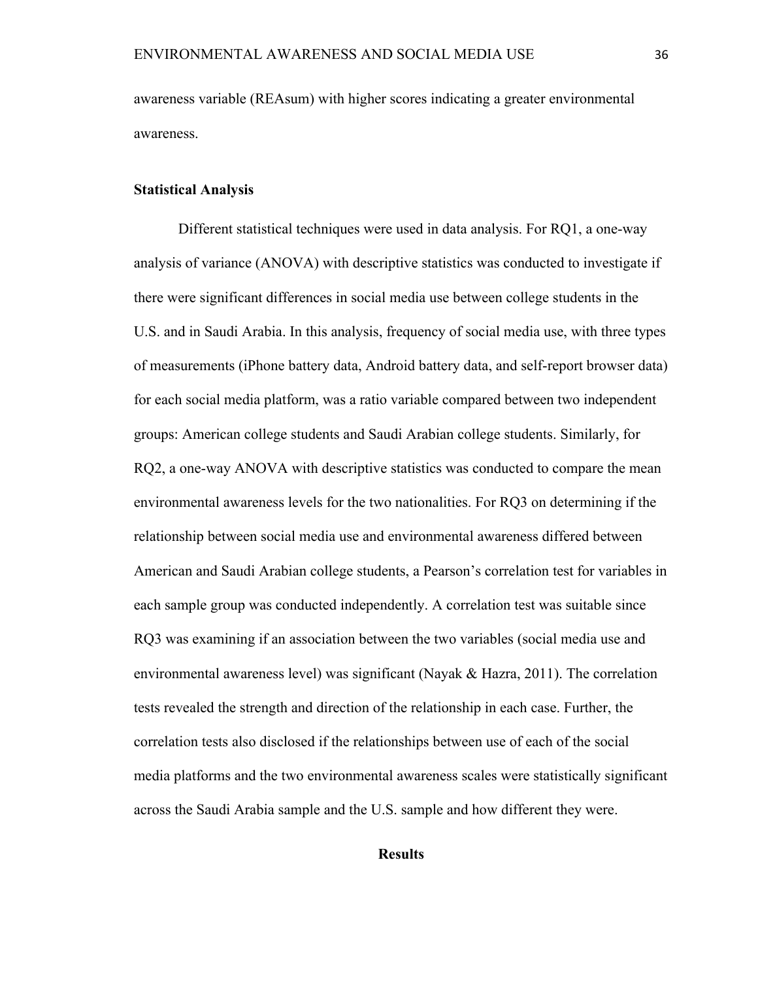awareness variable (REAsum) with higher scores indicating a greater environmental awareness.

#### **Statistical Analysis**

Different statistical techniques were used in data analysis. For RQ1, a one-way analysis of variance (ANOVA) with descriptive statistics was conducted to investigate if there were significant differences in social media use between college students in the U.S. and in Saudi Arabia. In this analysis, frequency of social media use, with three types of measurements (iPhone battery data, Android battery data, and self-report browser data) for each social media platform, was a ratio variable compared between two independent groups: American college students and Saudi Arabian college students. Similarly, for RQ2, a one-way ANOVA with descriptive statistics was conducted to compare the mean environmental awareness levels for the two nationalities. For RQ3 on determining if the relationship between social media use and environmental awareness differed between American and Saudi Arabian college students, a Pearson's correlation test for variables in each sample group was conducted independently. A correlation test was suitable since RQ3 was examining if an association between the two variables (social media use and environmental awareness level) was significant (Nayak & Hazra, 2011). The correlation tests revealed the strength and direction of the relationship in each case. Further, the correlation tests also disclosed if the relationships between use of each of the social media platforms and the two environmental awareness scales were statistically significant across the Saudi Arabia sample and the U.S. sample and how different they were.

## **Results**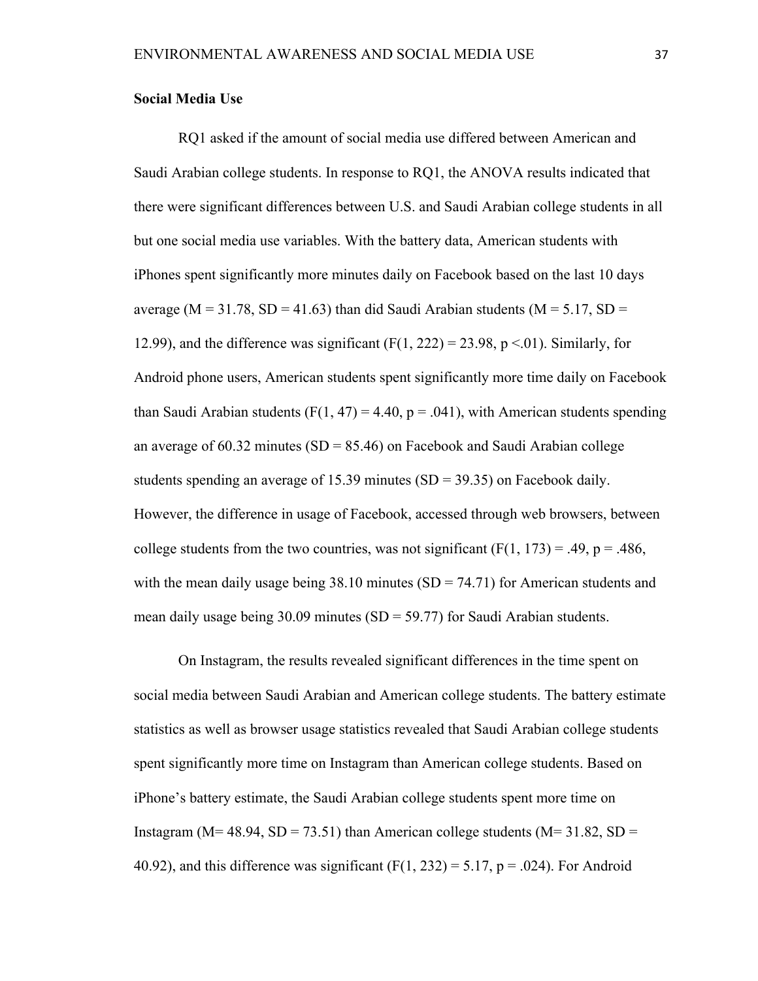### **Social Media Use**

RQ1 asked if the amount of social media use differed between American and Saudi Arabian college students. In response to RQ1, the ANOVA results indicated that there were significant differences between U.S. and Saudi Arabian college students in all but one social media use variables. With the battery data, American students with iPhones spent significantly more minutes daily on Facebook based on the last 10 days average ( $M = 31.78$ ,  $SD = 41.63$ ) than did Saudi Arabian students ( $M = 5.17$ ,  $SD =$ 12.99), and the difference was significant  $(F(1, 222) = 23.98, p \le 0.01)$ . Similarly, for Android phone users, American students spent significantly more time daily on Facebook than Saudi Arabian students (F(1, 47) = 4.40, p = .041), with American students spending an average of  $60.32$  minutes  $(SD = 85.46)$  on Facebook and Saudi Arabian college students spending an average of 15.39 minutes  $(SD = 39.35)$  on Facebook daily. However, the difference in usage of Facebook, accessed through web browsers, between college students from the two countries, was not significant (F(1, 173) = .49,  $p = .486$ , with the mean daily usage being  $38.10$  minutes (SD = 74.71) for American students and mean daily usage being 30.09 minutes (SD = 59.77) for Saudi Arabian students.

On Instagram, the results revealed significant differences in the time spent on social media between Saudi Arabian and American college students. The battery estimate statistics as well as browser usage statistics revealed that Saudi Arabian college students spent significantly more time on Instagram than American college students. Based on iPhone's battery estimate, the Saudi Arabian college students spent more time on Instagram ( $M = 48.94$ ,  $SD = 73.51$ ) than American college students ( $M = 31.82$ ,  $SD =$ 40.92), and this difference was significant  $(F(1, 232) = 5.17, p = .024)$ . For Android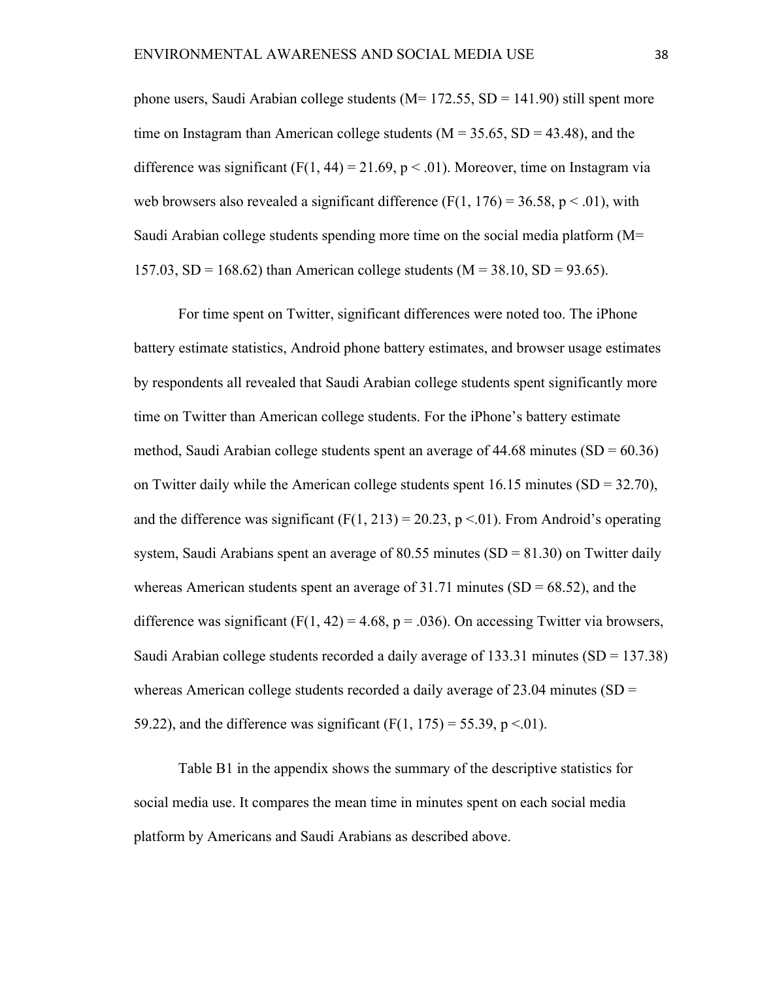phone users, Saudi Arabian college students ( $M= 172.55$ , SD = 141.90) still spent more time on Instagram than American college students ( $M = 35.65$ , SD = 43.48), and the difference was significant  $(F(1, 44) = 21.69, p < .01)$ . Moreover, time on Instagram via web browsers also revealed a significant difference (F(1, 176) = 36.58, p < .01), with Saudi Arabian college students spending more time on the social media platform (M= 157.03, SD = 168.62) than American college students ( $M = 38.10$ , SD = 93.65).

For time spent on Twitter, significant differences were noted too. The iPhone battery estimate statistics, Android phone battery estimates, and browser usage estimates by respondents all revealed that Saudi Arabian college students spent significantly more time on Twitter than American college students. For the iPhone's battery estimate method, Saudi Arabian college students spent an average of  $44.68$  minutes (SD =  $60.36$ ) on Twitter daily while the American college students spent  $16.15$  minutes  $(SD = 32.70)$ , and the difference was significant  $(F(1, 213) = 20.23$ , p < 01). From Android's operating system, Saudi Arabians spent an average of 80.55 minutes (SD =  $81.30$ ) on Twitter daily whereas American students spent an average of  $31.71$  minutes (SD = 68.52), and the difference was significant  $(F(1, 42) = 4.68, p = .036)$ . On accessing Twitter via browsers, Saudi Arabian college students recorded a daily average of 133.31 minutes  $(SD = 137.38)$ whereas American college students recorded a daily average of 23.04 minutes ( $SD =$ 59.22), and the difference was significant  $(F(1, 175) = 55.39, p < 0.01)$ .

Table B1 in the appendix shows the summary of the descriptive statistics for social media use. It compares the mean time in minutes spent on each social media platform by Americans and Saudi Arabians as described above.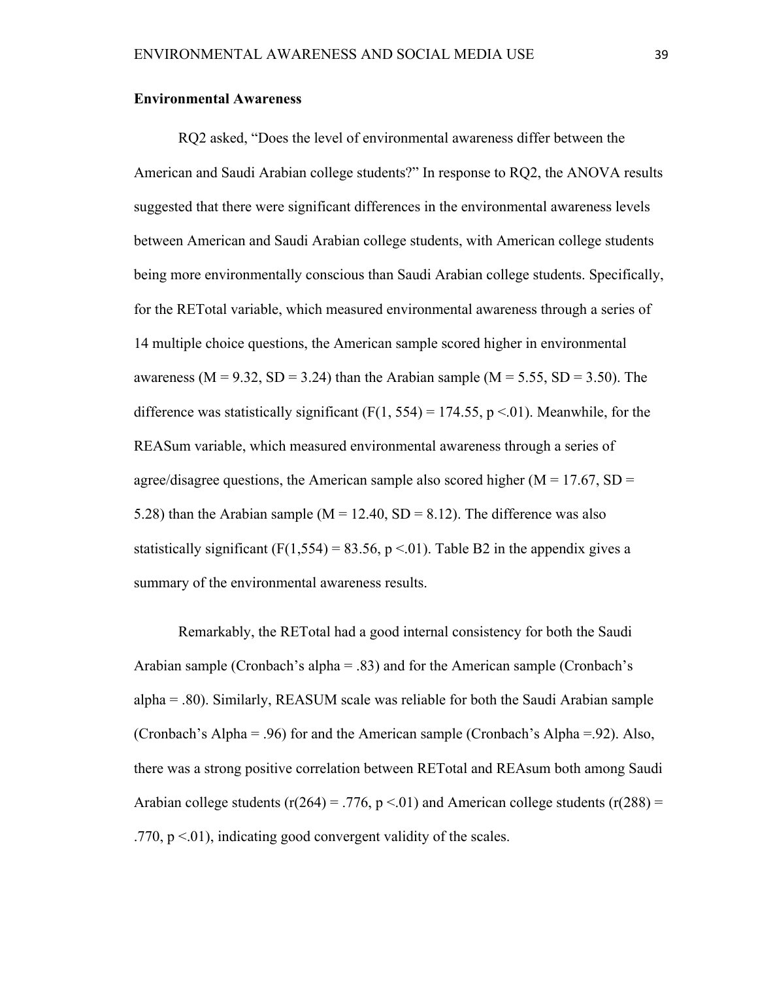### **Environmental Awareness**

RQ2 asked, "Does the level of environmental awareness differ between the American and Saudi Arabian college students?" In response to RQ2, the ANOVA results suggested that there were significant differences in the environmental awareness levels between American and Saudi Arabian college students, with American college students being more environmentally conscious than Saudi Arabian college students. Specifically, for the RETotal variable, which measured environmental awareness through a series of 14 multiple choice questions, the American sample scored higher in environmental awareness ( $M = 9.32$ ,  $SD = 3.24$ ) than the Arabian sample ( $M = 5.55$ ,  $SD = 3.50$ ). The difference was statistically significant (F(1, 554) = 174.55,  $p \le 01$ ). Meanwhile, for the REASum variable, which measured environmental awareness through a series of agree/disagree questions, the American sample also scored higher ( $M = 17.67$ , SD = 5.28) than the Arabian sample ( $M = 12.40$ , SD = 8.12). The difference was also statistically significant (F(1,554) = 83.56, p <.01). Table B2 in the appendix gives a summary of the environmental awareness results.

Remarkably, the RETotal had a good internal consistency for both the Saudi Arabian sample (Cronbach's alpha = .83) and for the American sample (Cronbach's alpha = .80). Similarly, REASUM scale was reliable for both the Saudi Arabian sample (Cronbach's Alpha = .96) for and the American sample (Cronbach's Alpha =.92). Also, there was a strong positive correlation between RETotal and REAsum both among Saudi Arabian college students ( $r(264) = .776$ ,  $p < .01$ ) and American college students ( $r(288) =$ .770,  $p \le 01$ ), indicating good convergent validity of the scales.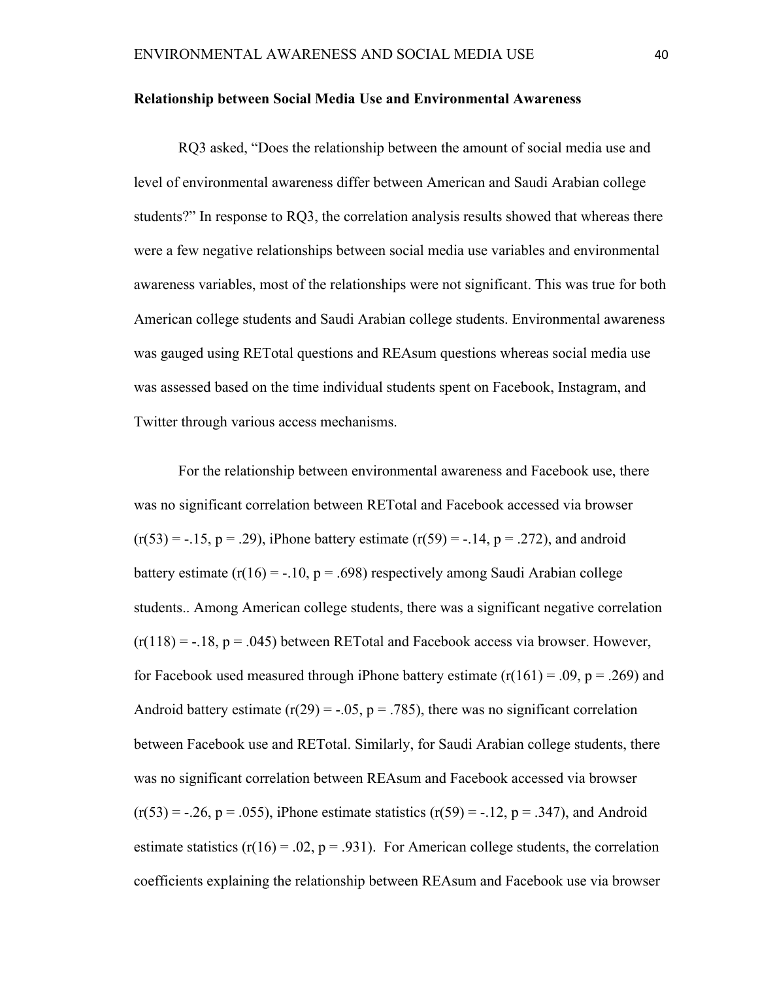#### **Relationship between Social Media Use and Environmental Awareness**

RQ3 asked, "Does the relationship between the amount of social media use and level of environmental awareness differ between American and Saudi Arabian college students?" In response to RQ3, the correlation analysis results showed that whereas there were a few negative relationships between social media use variables and environmental awareness variables, most of the relationships were not significant. This was true for both American college students and Saudi Arabian college students. Environmental awareness was gauged using RETotal questions and REAsum questions whereas social media use was assessed based on the time individual students spent on Facebook, Instagram, and Twitter through various access mechanisms.

For the relationship between environmental awareness and Facebook use, there was no significant correlation between RETotal and Facebook accessed via browser  $(r(53) = -.15, p = .29)$ , iPhone battery estimate  $(r(59) = -.14, p = .272)$ , and android battery estimate ( $r(16) = -0.10$ ,  $p = 0.698$ ) respectively among Saudi Arabian college students.. Among American college students, there was a significant negative correlation  $(r(118) = -.18, p = .045)$  between RETotal and Facebook access via browser. However, for Facebook used measured through iPhone battery estimate  $(r(161) = .09, p = .269)$  and Android battery estimate ( $r(29) = -0.05$ ,  $p = 0.785$ ), there was no significant correlation between Facebook use and RETotal. Similarly, for Saudi Arabian college students, there was no significant correlation between REAsum and Facebook accessed via browser  $(r(53) = -.26, p = .055)$ , iPhone estimate statistics  $(r(59) = -.12, p = .347)$ , and Android estimate statistics  $(r(16) = .02, p = .931)$ . For American college students, the correlation coefficients explaining the relationship between REAsum and Facebook use via browser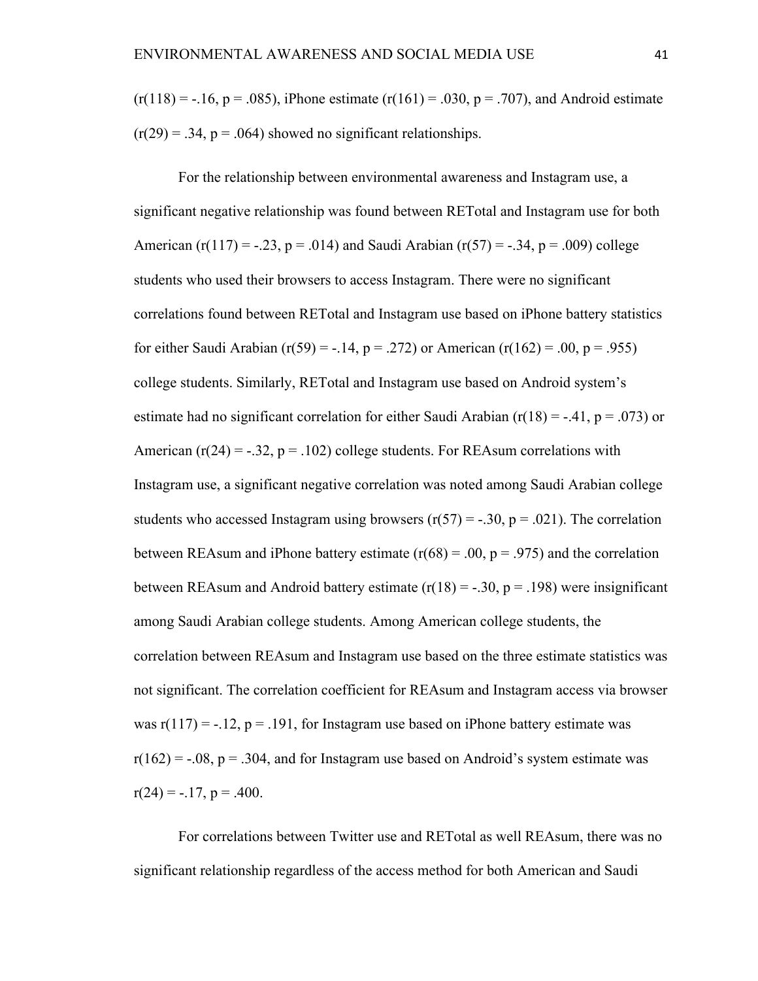$(r(118) = -.16, p = .085)$ , iPhone estimate  $(r(161) = .030, p = .707)$ , and Android estimate  $(r(29) = .34, p = .064)$  showed no significant relationships.

For the relationship between environmental awareness and Instagram use, a significant negative relationship was found between RETotal and Instagram use for both American (r(117) = -.23, p = .014) and Saudi Arabian (r(57) = -.34, p = .009) college students who used their browsers to access Instagram. There were no significant correlations found between RETotal and Instagram use based on iPhone battery statistics for either Saudi Arabian (r(59) = -.14, p = .272) or American (r(162) = .00, p = .955) college students. Similarly, RETotal and Instagram use based on Android system's estimate had no significant correlation for either Saudi Arabian ( $r(18) = -0.41$ ,  $p = 0.073$ ) or American  $(r(24) = -.32, p = .102)$  college students. For REAsum correlations with Instagram use, a significant negative correlation was noted among Saudi Arabian college students who accessed Instagram using browsers  $(r(57) = -.30, p = .021)$ . The correlation between REAsum and iPhone battery estimate  $(r(68) = .00, p = .975)$  and the correlation between REAsum and Android battery estimate  $(r(18) = -.30, p = .198)$  were insignificant among Saudi Arabian college students. Among American college students, the correlation between REAsum and Instagram use based on the three estimate statistics was not significant. The correlation coefficient for REAsum and Instagram access via browser was  $r(117) = -.12$ ,  $p = .191$ , for Instagram use based on iPhone battery estimate was  $r(162) = -.08$ ,  $p = .304$ , and for Instagram use based on Android's system estimate was  $r(24) = -.17$ ,  $p = .400$ .

For correlations between Twitter use and RETotal as well REAsum, there was no significant relationship regardless of the access method for both American and Saudi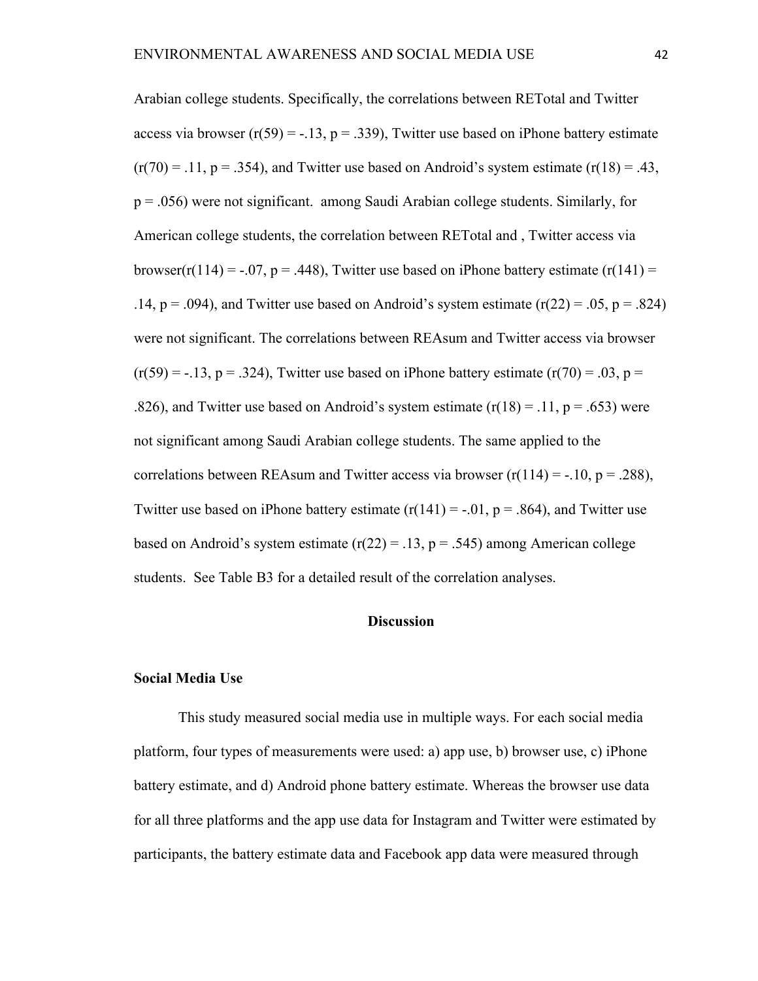Arabian college students. Specifically, the correlations between RETotal and Twitter access via browser ( $r(59) = -.13$ ,  $p = .339$ ), Twitter use based on iPhone battery estimate  $(r(70) = .11, p = .354)$ , and Twitter use based on Android's system estimate  $(r(18) = .43,$ p = .056) were not significant. among Saudi Arabian college students. Similarly, for American college students, the correlation between RETotal and , Twitter access via browser( $r(114) = -.07$ ,  $p = .448$ ), Twitter use based on iPhone battery estimate ( $r(141) =$ .14,  $p = .094$ ), and Twitter use based on Android's system estimate  $(r(22) = .05, p = .824)$ were not significant. The correlations between REAsum and Twitter access via browser  $(r(59) = -.13, p = .324)$ , Twitter use based on iPhone battery estimate  $(r(70) = .03, p =$ .826), and Twitter use based on Android's system estimate  $(r(18) = .11, p = .653)$  were not significant among Saudi Arabian college students. The same applied to the correlations between REAsum and Twitter access via browser ( $r(114) = -.10$ ,  $p = .288$ ), Twitter use based on iPhone battery estimate  $(r(141) = -.01, p = .864)$ , and Twitter use based on Android's system estimate ( $r(22) = .13$ ,  $p = .545$ ) among American college students. See Table B3 for a detailed result of the correlation analyses.

### **Discussion**

#### **Social Media Use**

This study measured social media use in multiple ways. For each social media platform, four types of measurements were used: a) app use, b) browser use, c) iPhone battery estimate, and d) Android phone battery estimate. Whereas the browser use data for all three platforms and the app use data for Instagram and Twitter were estimated by participants, the battery estimate data and Facebook app data were measured through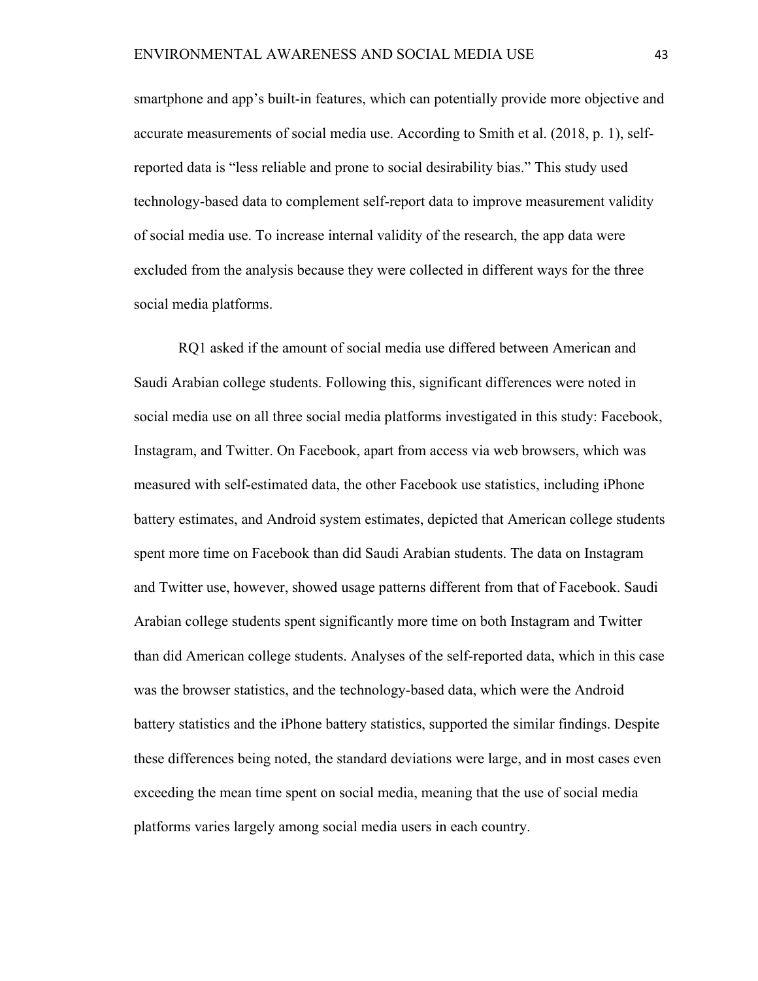smartphone and app's built-in features, which can potentially provide more objective and accurate measurements of social media use. According to Smith et al. (2018, p. 1), selfreported data is "less reliable and prone to social desirability bias." This study used technology-based data to complement self-report data to improve measurement validity of social media use. To increase internal validity of the research, the app data were excluded from the analysis because they were collected in different ways for the three social media platforms.

RQ1 asked if the amount of social media use differed between American and Saudi Arabian college students. Following this, significant differences were noted in social media use on all three social media platforms investigated in this study: Facebook, Instagram, and Twitter. On Facebook, apart from access via web browsers, which was measured with self-estimated data, the other Facebook use statistics, including iPhone battery estimates, and Android system estimates, depicted that American college students spent more time on Facebook than did Saudi Arabian students. The data on Instagram and Twitter use, however, showed usage patterns different from that of Facebook. Saudi Arabian college students spent significantly more time on both Instagram and Twitter than did American college students. Analyses of the self-reported data, which in this case was the browser statistics, and the technology-based data, which were the Android battery statistics and the iPhone battery statistics, supported the similar findings. Despite these differences being noted, the standard deviations were large, and in most cases even exceeding the mean time spent on social media, meaning that the use of social media platforms varies largely among social media users in each country.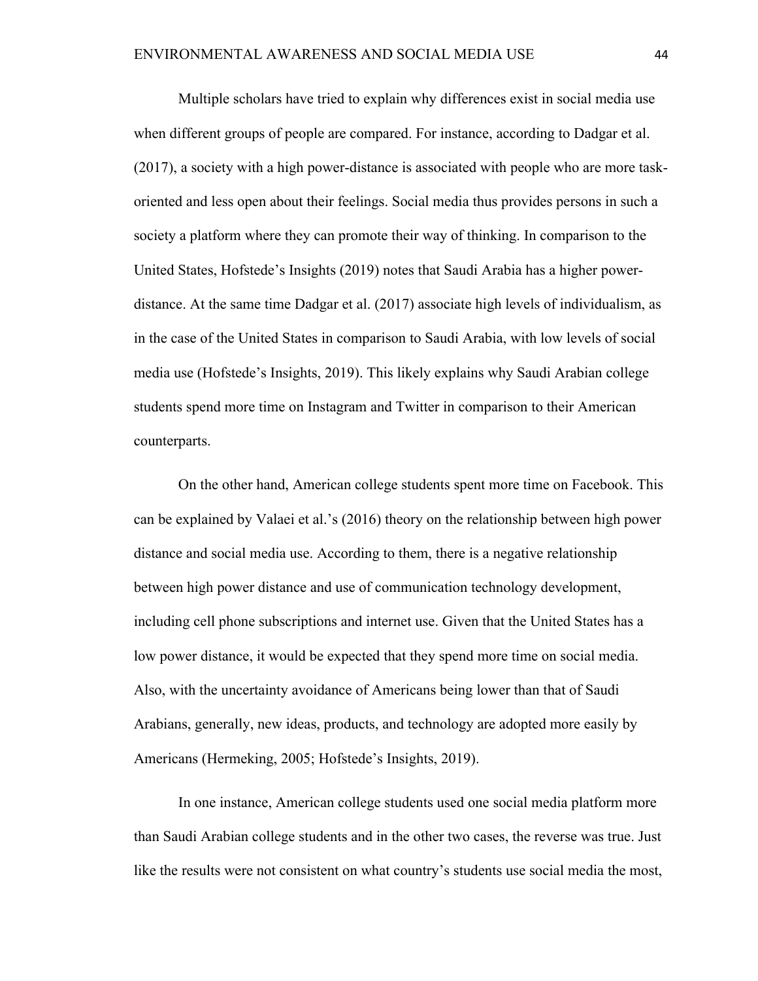Multiple scholars have tried to explain why differences exist in social media use when different groups of people are compared. For instance, according to Dadgar et al. (2017), a society with a high power-distance is associated with people who are more taskoriented and less open about their feelings. Social media thus provides persons in such a society a platform where they can promote their way of thinking. In comparison to the United States, Hofstede's Insights (2019) notes that Saudi Arabia has a higher powerdistance. At the same time Dadgar et al. (2017) associate high levels of individualism, as in the case of the United States in comparison to Saudi Arabia, with low levels of social media use (Hofstede's Insights, 2019). This likely explains why Saudi Arabian college students spend more time on Instagram and Twitter in comparison to their American counterparts.

On the other hand, American college students spent more time on Facebook. This can be explained by Valaei et al.'s (2016) theory on the relationship between high power distance and social media use. According to them, there is a negative relationship between high power distance and use of communication technology development, including cell phone subscriptions and internet use. Given that the United States has a low power distance, it would be expected that they spend more time on social media. Also, with the uncertainty avoidance of Americans being lower than that of Saudi Arabians, generally, new ideas, products, and technology are adopted more easily by Americans (Hermeking, 2005; Hofstede's Insights, 2019).

In one instance, American college students used one social media platform more than Saudi Arabian college students and in the other two cases, the reverse was true. Just like the results were not consistent on what country's students use social media the most,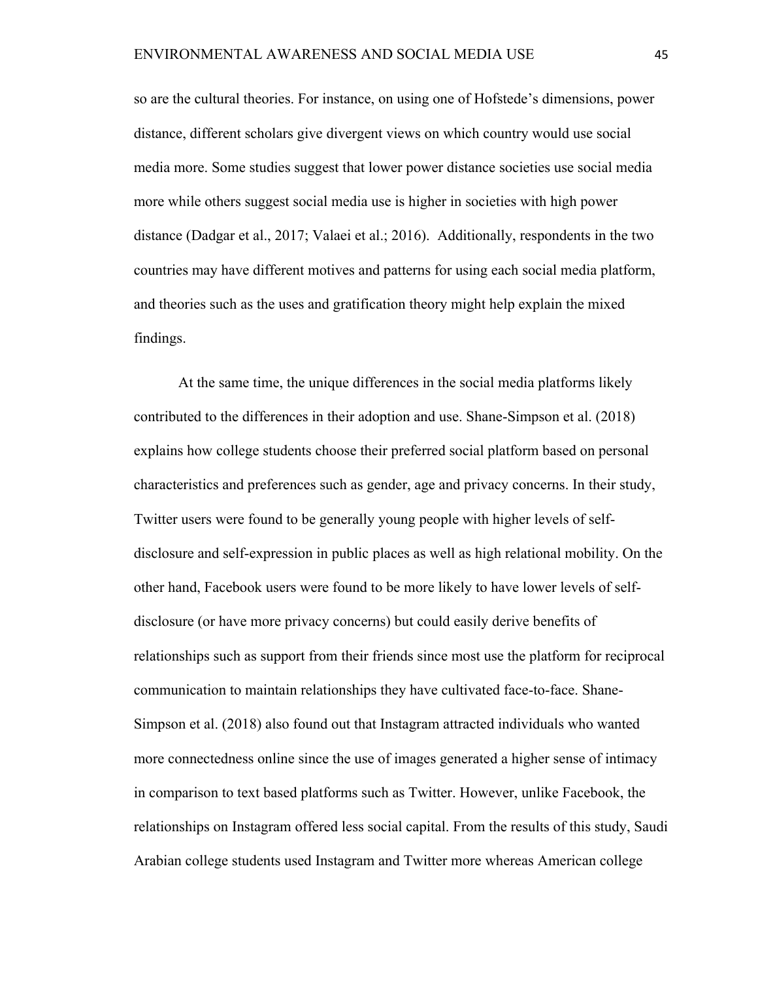so are the cultural theories. For instance, on using one of Hofstede's dimensions, power distance, different scholars give divergent views on which country would use social media more. Some studies suggest that lower power distance societies use social media more while others suggest social media use is higher in societies with high power distance (Dadgar et al., 2017; Valaei et al.; 2016). Additionally, respondents in the two countries may have different motives and patterns for using each social media platform, and theories such as the uses and gratification theory might help explain the mixed findings.

At the same time, the unique differences in the social media platforms likely contributed to the differences in their adoption and use. Shane-Simpson et al. (2018) explains how college students choose their preferred social platform based on personal characteristics and preferences such as gender, age and privacy concerns. In their study, Twitter users were found to be generally young people with higher levels of selfdisclosure and self-expression in public places as well as high relational mobility. On the other hand, Facebook users were found to be more likely to have lower levels of selfdisclosure (or have more privacy concerns) but could easily derive benefits of relationships such as support from their friends since most use the platform for reciprocal communication to maintain relationships they have cultivated face-to-face. Shane-Simpson et al. (2018) also found out that Instagram attracted individuals who wanted more connectedness online since the use of images generated a higher sense of intimacy in comparison to text based platforms such as Twitter. However, unlike Facebook, the relationships on Instagram offered less social capital. From the results of this study, Saudi Arabian college students used Instagram and Twitter more whereas American college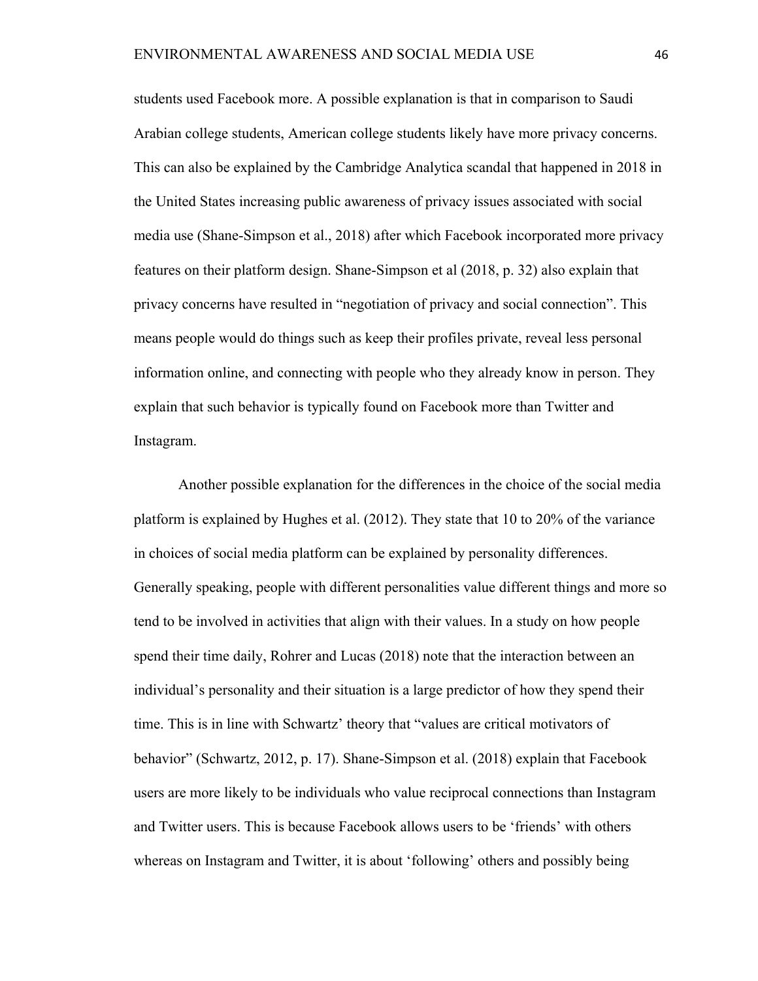students used Facebook more. A possible explanation is that in comparison to Saudi Arabian college students, American college students likely have more privacy concerns. This can also be explained by the Cambridge Analytica scandal that happened in 2018 in the United States increasing public awareness of privacy issues associated with social media use (Shane-Simpson et al., 2018) after which Facebook incorporated more privacy features on their platform design. Shane-Simpson et al (2018, p. 32) also explain that privacy concerns have resulted in "negotiation of privacy and social connection". This means people would do things such as keep their profiles private, reveal less personal information online, and connecting with people who they already know in person. They explain that such behavior is typically found on Facebook more than Twitter and Instagram.

Another possible explanation for the differences in the choice of the social media platform is explained by Hughes et al. (2012). They state that 10 to 20% of the variance in choices of social media platform can be explained by personality differences. Generally speaking, people with different personalities value different things and more so tend to be involved in activities that align with their values. In a study on how people spend their time daily, Rohrer and Lucas (2018) note that the interaction between an individual's personality and their situation is a large predictor of how they spend their time. This is in line with Schwartz' theory that "values are critical motivators of behavior" (Schwartz, 2012, p. 17). Shane-Simpson et al. (2018) explain that Facebook users are more likely to be individuals who value reciprocal connections than Instagram and Twitter users. This is because Facebook allows users to be 'friends' with others whereas on Instagram and Twitter, it is about 'following' others and possibly being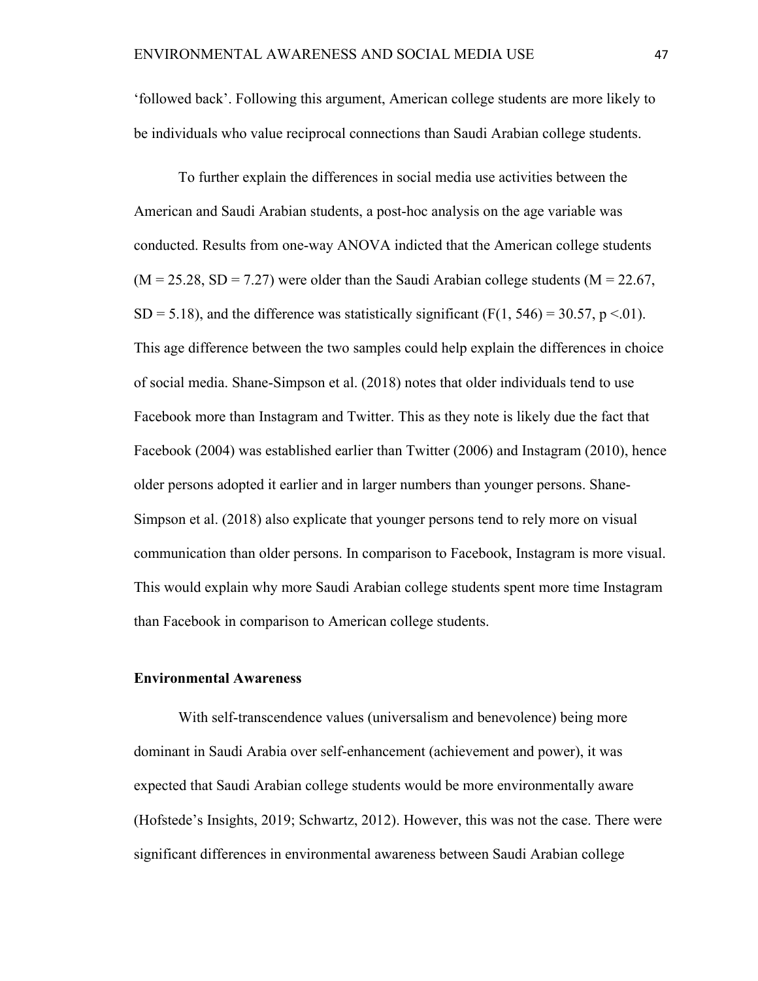'followed back'. Following this argument, American college students are more likely to be individuals who value reciprocal connections than Saudi Arabian college students.

To further explain the differences in social media use activities between the American and Saudi Arabian students, a post-hoc analysis on the age variable was conducted. Results from one-way ANOVA indicted that the American college students  $(M = 25.28, SD = 7.27)$  were older than the Saudi Arabian college students  $(M = 22.67,$  $SD = 5.18$ ), and the difference was statistically significant (F(1, 546) = 30.57, p <.01). This age difference between the two samples could help explain the differences in choice of social media. Shane-Simpson et al. (2018) notes that older individuals tend to use Facebook more than Instagram and Twitter. This as they note is likely due the fact that Facebook (2004) was established earlier than Twitter (2006) and Instagram (2010), hence older persons adopted it earlier and in larger numbers than younger persons. Shane-Simpson et al. (2018) also explicate that younger persons tend to rely more on visual communication than older persons. In comparison to Facebook, Instagram is more visual. This would explain why more Saudi Arabian college students spent more time Instagram than Facebook in comparison to American college students.

### **Environmental Awareness**

With self-transcendence values (universalism and benevolence) being more dominant in Saudi Arabia over self-enhancement (achievement and power), it was expected that Saudi Arabian college students would be more environmentally aware (Hofstede's Insights, 2019; Schwartz, 2012). However, this was not the case. There were significant differences in environmental awareness between Saudi Arabian college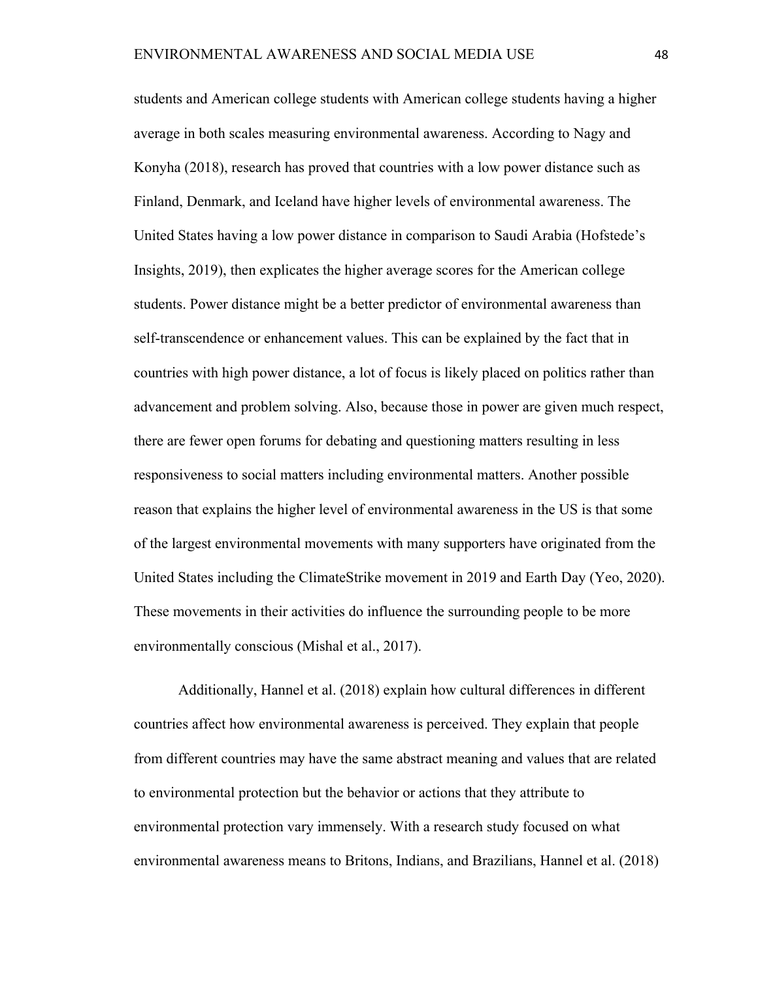students and American college students with American college students having a higher average in both scales measuring environmental awareness. According to Nagy and Konyha (2018), research has proved that countries with a low power distance such as Finland, Denmark, and Iceland have higher levels of environmental awareness. The United States having a low power distance in comparison to Saudi Arabia (Hofstede's Insights, 2019), then explicates the higher average scores for the American college students. Power distance might be a better predictor of environmental awareness than self-transcendence or enhancement values. This can be explained by the fact that in countries with high power distance, a lot of focus is likely placed on politics rather than advancement and problem solving. Also, because those in power are given much respect, there are fewer open forums for debating and questioning matters resulting in less responsiveness to social matters including environmental matters. Another possible reason that explains the higher level of environmental awareness in the US is that some of the largest environmental movements with many supporters have originated from the United States including the ClimateStrike movement in 2019 and Earth Day (Yeo, 2020). These movements in their activities do influence the surrounding people to be more environmentally conscious (Mishal et al., 2017).

Additionally, Hannel et al. (2018) explain how cultural differences in different countries affect how environmental awareness is perceived. They explain that people from different countries may have the same abstract meaning and values that are related to environmental protection but the behavior or actions that they attribute to environmental protection vary immensely. With a research study focused on what environmental awareness means to Britons, Indians, and Brazilians, Hannel et al. (2018)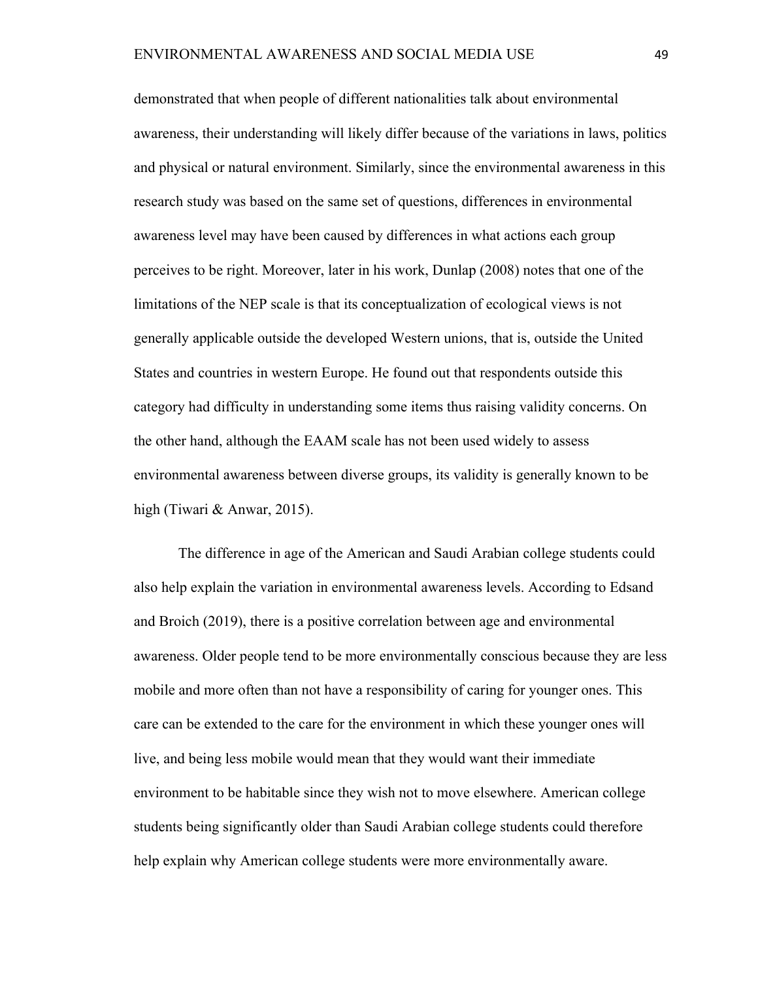demonstrated that when people of different nationalities talk about environmental awareness, their understanding will likely differ because of the variations in laws, politics and physical or natural environment. Similarly, since the environmental awareness in this research study was based on the same set of questions, differences in environmental awareness level may have been caused by differences in what actions each group perceives to be right. Moreover, later in his work, Dunlap (2008) notes that one of the limitations of the NEP scale is that its conceptualization of ecological views is not generally applicable outside the developed Western unions, that is, outside the United States and countries in western Europe. He found out that respondents outside this category had difficulty in understanding some items thus raising validity concerns. On the other hand, although the EAAM scale has not been used widely to assess environmental awareness between diverse groups, its validity is generally known to be high (Tiwari & Anwar, 2015).

The difference in age of the American and Saudi Arabian college students could also help explain the variation in environmental awareness levels. According to Edsand and Broich (2019), there is a positive correlation between age and environmental awareness. Older people tend to be more environmentally conscious because they are less mobile and more often than not have a responsibility of caring for younger ones. This care can be extended to the care for the environment in which these younger ones will live, and being less mobile would mean that they would want their immediate environment to be habitable since they wish not to move elsewhere. American college students being significantly older than Saudi Arabian college students could therefore help explain why American college students were more environmentally aware.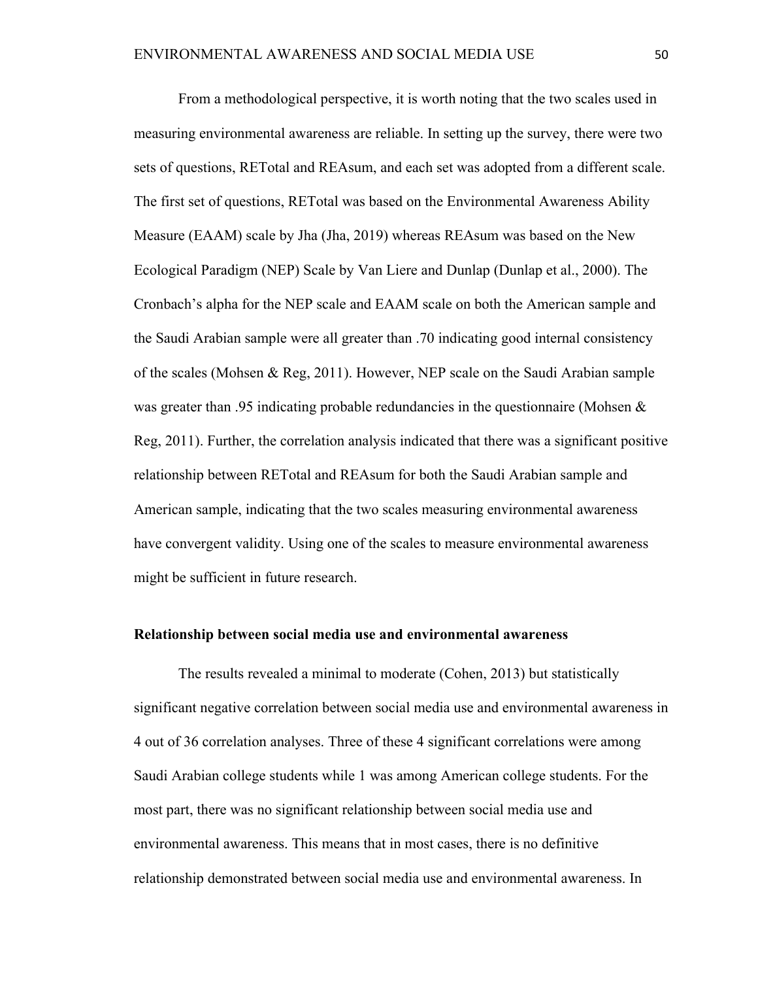From a methodological perspective, it is worth noting that the two scales used in measuring environmental awareness are reliable. In setting up the survey, there were two sets of questions, RETotal and REAsum, and each set was adopted from a different scale. The first set of questions, RETotal was based on the Environmental Awareness Ability Measure (EAAM) scale by Jha (Jha, 2019) whereas REAsum was based on the New Ecological Paradigm (NEP) Scale by Van Liere and Dunlap (Dunlap et al., 2000). The Cronbach's alpha for the NEP scale and EAAM scale on both the American sample and the Saudi Arabian sample were all greater than .70 indicating good internal consistency of the scales (Mohsen & Reg, 2011). However, NEP scale on the Saudi Arabian sample was greater than .95 indicating probable redundancies in the questionnaire (Mohsen  $\&$ Reg, 2011). Further, the correlation analysis indicated that there was a significant positive relationship between RETotal and REAsum for both the Saudi Arabian sample and American sample, indicating that the two scales measuring environmental awareness have convergent validity. Using one of the scales to measure environmental awareness might be sufficient in future research.

### **Relationship between social media use and environmental awareness**

The results revealed a minimal to moderate (Cohen, 2013) but statistically significant negative correlation between social media use and environmental awareness in 4 out of 36 correlation analyses. Three of these 4 significant correlations were among Saudi Arabian college students while 1 was among American college students. For the most part, there was no significant relationship between social media use and environmental awareness. This means that in most cases, there is no definitive relationship demonstrated between social media use and environmental awareness. In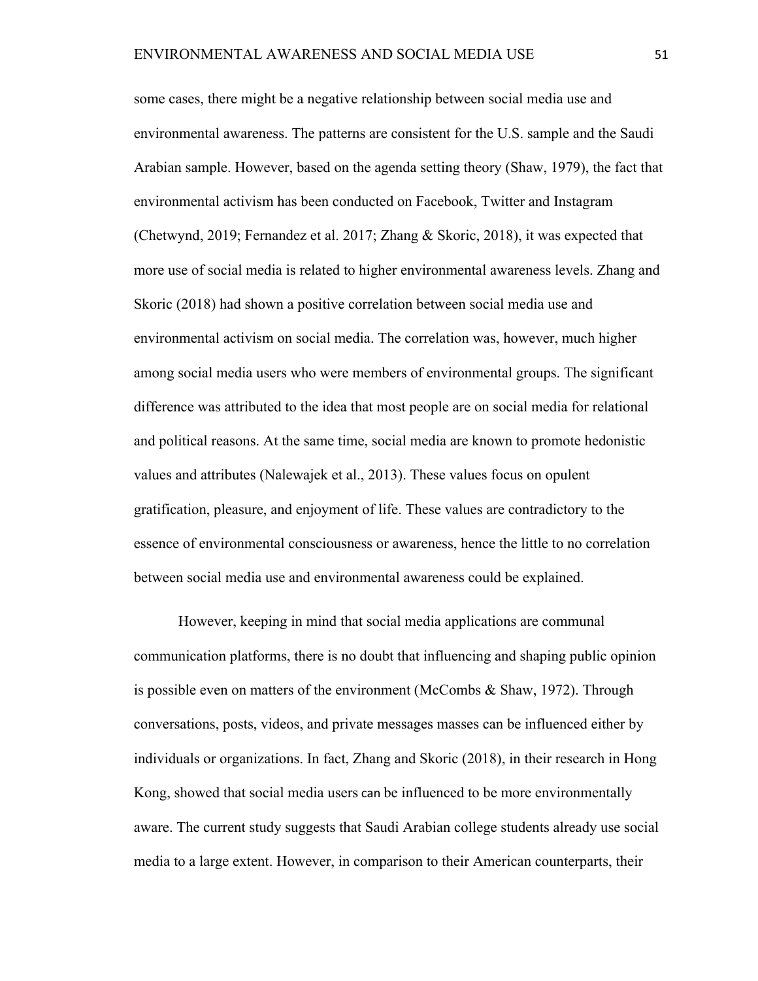some cases, there might be a negative relationship between social media use and environmental awareness. The patterns are consistent for the U.S. sample and the Saudi Arabian sample. However, based on the agenda setting theory (Shaw, 1979), the fact that environmental activism has been conducted on Facebook, Twitter and Instagram (Chetwynd, 2019; Fernandez et al. 2017; Zhang & Skoric, 2018), it was expected that more use of social media is related to higher environmental awareness levels. Zhang and Skoric (2018) had shown a positive correlation between social media use and environmental activism on social media. The correlation was, however, much higher among social media users who were members of environmental groups. The significant difference was attributed to the idea that most people are on social media for relational and political reasons. At the same time, social media are known to promote hedonistic values and attributes (Nalewajek et al., 2013). These values focus on opulent gratification, pleasure, and enjoyment of life. These values are contradictory to the essence of environmental consciousness or awareness, hence the little to no correlation between social media use and environmental awareness could be explained.

However, keeping in mind that social media applications are communal communication platforms, there is no doubt that influencing and shaping public opinion is possible even on matters of the environment (McCombs & Shaw, 1972). Through conversations, posts, videos, and private messages masses can be influenced either by individuals or organizations. In fact, Zhang and Skoric (2018), in their research in Hong Kong, showed that social media users can be influenced to be more environmentally aware. The current study suggests that Saudi Arabian college students already use social media to a large extent. However, in comparison to their American counterparts, their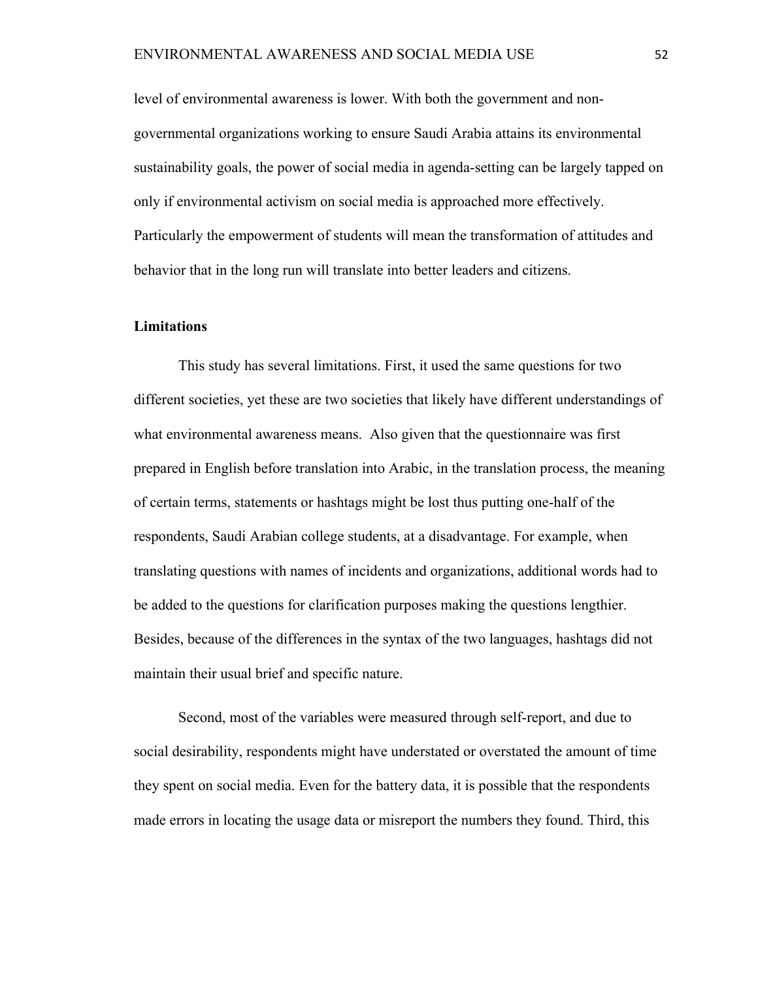level of environmental awareness is lower. With both the government and nongovernmental organizations working to ensure Saudi Arabia attains its environmental sustainability goals, the power of social media in agenda-setting can be largely tapped on only if environmental activism on social media is approached more effectively. Particularly the empowerment of students will mean the transformation of attitudes and behavior that in the long run will translate into better leaders and citizens.

### **Limitations**

This study has several limitations. First, it used the same questions for two different societies, yet these are two societies that likely have different understandings of what environmental awareness means. Also given that the questionnaire was first prepared in English before translation into Arabic, in the translation process, the meaning of certain terms, statements or hashtags might be lost thus putting one-half of the respondents, Saudi Arabian college students, at a disadvantage. For example, when translating questions with names of incidents and organizations, additional words had to be added to the questions for clarification purposes making the questions lengthier. Besides, because of the differences in the syntax of the two languages, hashtags did not maintain their usual brief and specific nature.

Second, most of the variables were measured through self-report, and due to social desirability, respondents might have understated or overstated the amount of time they spent on social media. Even for the battery data, it is possible that the respondents made errors in locating the usage data or misreport the numbers they found. Third, this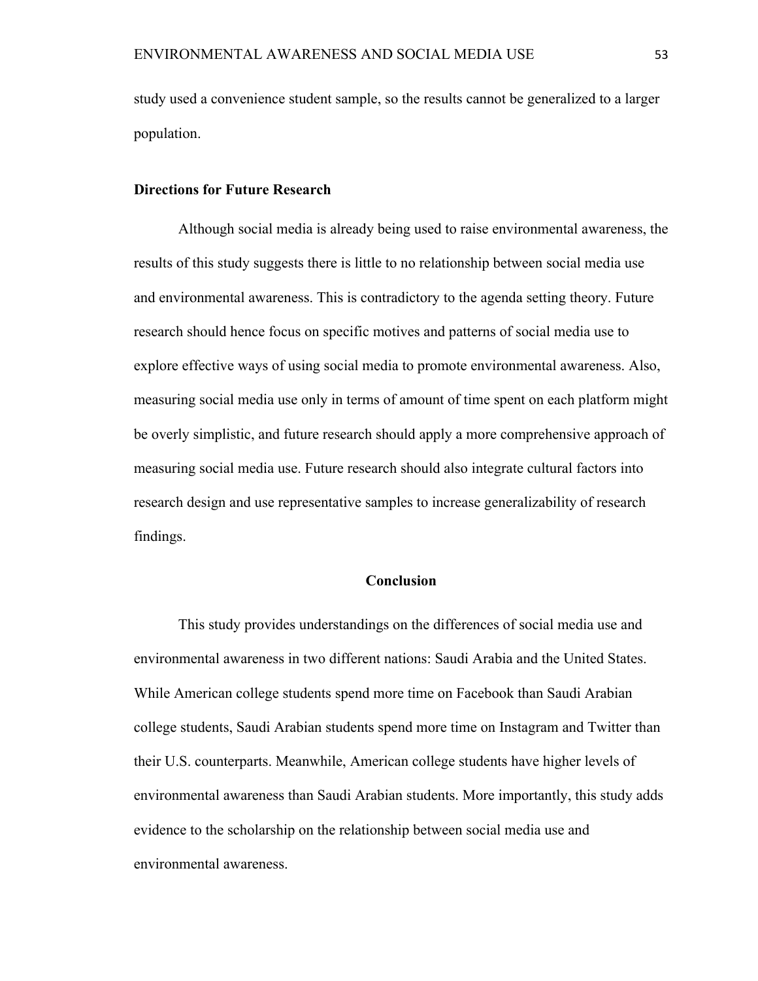study used a convenience student sample, so the results cannot be generalized to a larger population.

### **Directions for Future Research**

Although social media is already being used to raise environmental awareness, the results of this study suggests there is little to no relationship between social media use and environmental awareness. This is contradictory to the agenda setting theory. Future research should hence focus on specific motives and patterns of social media use to explore effective ways of using social media to promote environmental awareness. Also, measuring social media use only in terms of amount of time spent on each platform might be overly simplistic, and future research should apply a more comprehensive approach of measuring social media use. Future research should also integrate cultural factors into research design and use representative samples to increase generalizability of research findings.

## **Conclusion**

This study provides understandings on the differences of social media use and environmental awareness in two different nations: Saudi Arabia and the United States. While American college students spend more time on Facebook than Saudi Arabian college students, Saudi Arabian students spend more time on Instagram and Twitter than their U.S. counterparts. Meanwhile, American college students have higher levels of environmental awareness than Saudi Arabian students. More importantly, this study adds evidence to the scholarship on the relationship between social media use and environmental awareness.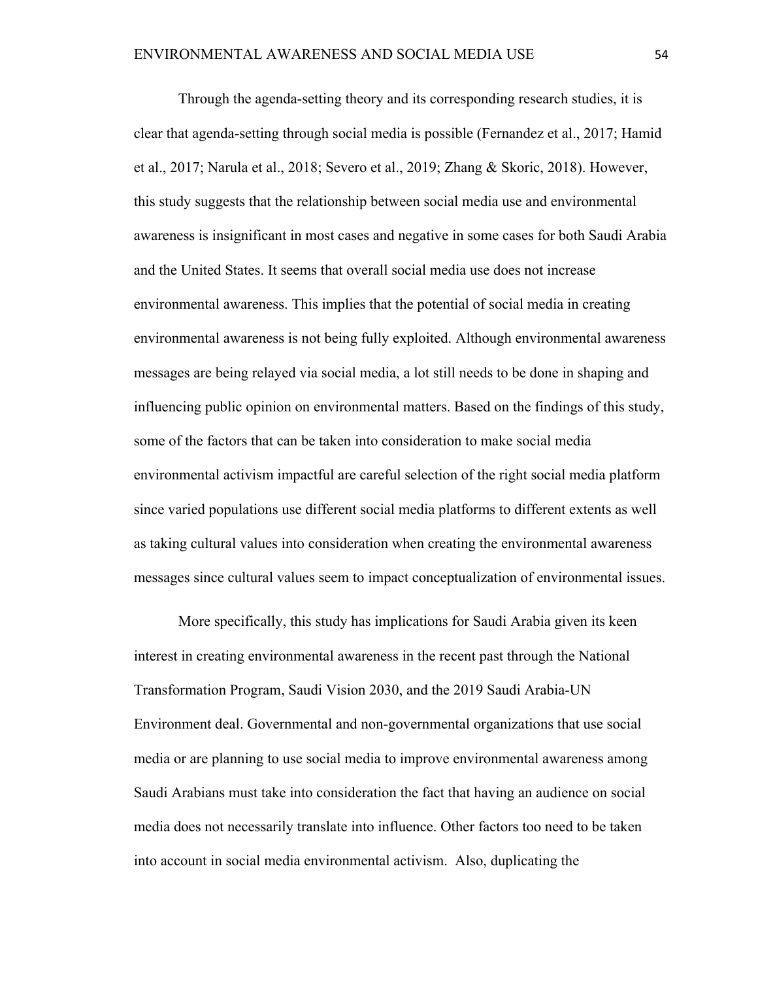Through the agenda-setting theory and its corresponding research studies, it is clear that agenda-setting through social media is possible (Fernandez et al., 2017; Hamid et al., 2017; Narula et al., 2018; Severo et al., 2019; Zhang & Skoric, 2018). However, this study suggests that the relationship between social media use and environmental awareness is insignificant in most cases and negative in some cases for both Saudi Arabia and the United States. It seems that overall social media use does not increase environmental awareness. This implies that the potential of social media in creating environmental awareness is not being fully exploited. Although environmental awareness messages are being relayed via social media, a lot still needs to be done in shaping and influencing public opinion on environmental matters. Based on the findings of this study, some of the factors that can be taken into consideration to make social media environmental activism impactful are careful selection of the right social media platform since varied populations use different social media platforms to different extents as well as taking cultural values into consideration when creating the environmental awareness messages since cultural values seem to impact conceptualization of environmental issues.

More specifically, this study has implications for Saudi Arabia given its keen interest in creating environmental awareness in the recent past through the National Transformation Program, Saudi Vision 2030, and the 2019 Saudi Arabia-UN Environment deal. Governmental and non-governmental organizations that use social media or are planning to use social media to improve environmental awareness among Saudi Arabians must take into consideration the fact that having an audience on social media does not necessarily translate into influence. Other factors too need to be taken into account in social media environmental activism. Also, duplicating the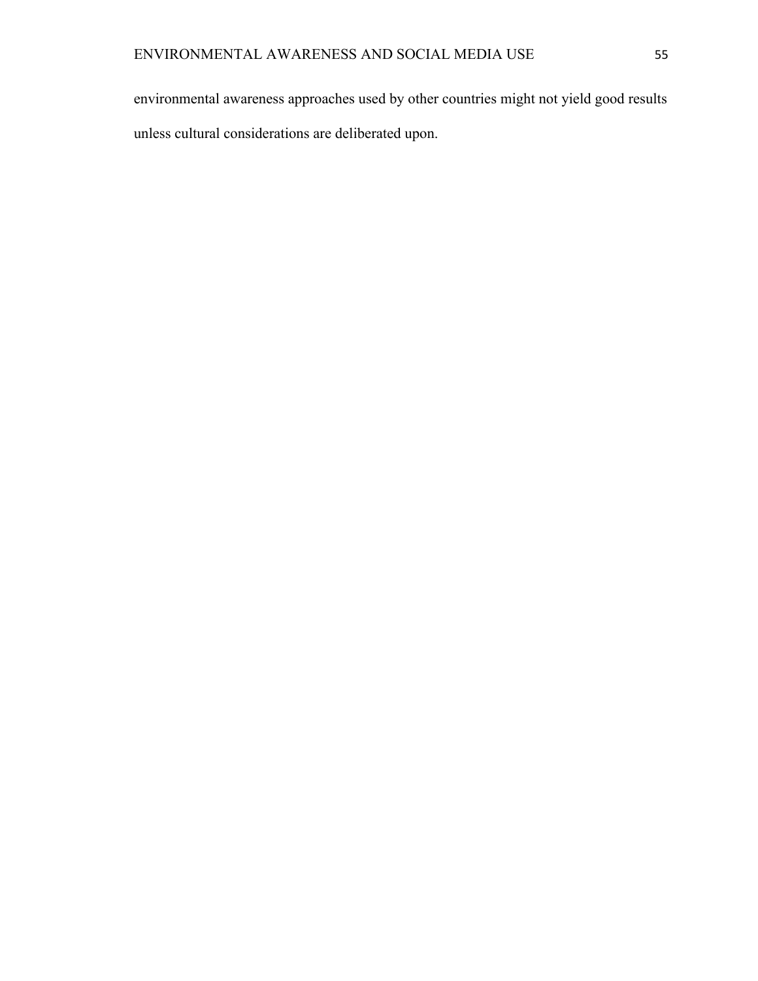environmental awareness approaches used by other countries might not yield good results unless cultural considerations are deliberated upon.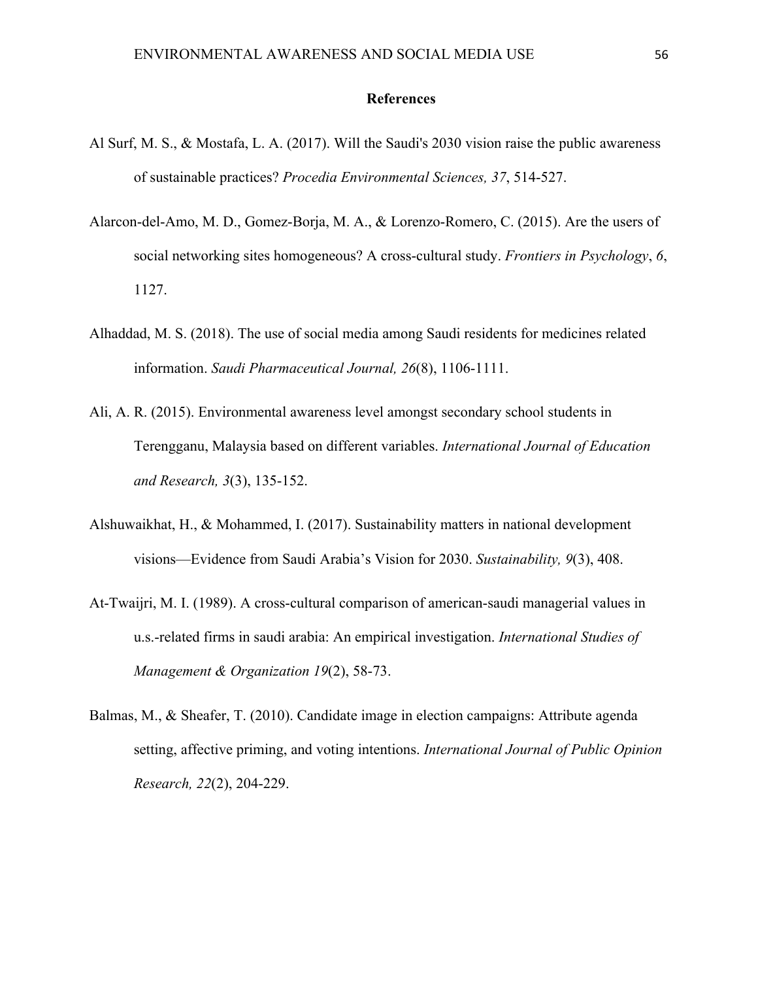### **References**

- Al Surf, M. S., & Mostafa, L. A. (2017). Will the Saudi's 2030 vision raise the public awareness of sustainable practices? *Procedia Environmental Sciences, 37*, 514-527.
- Alarcon-del-Amo, M. D., Gomez-Borja, M. A., & Lorenzo-Romero, C. (2015). Are the users of social networking sites homogeneous? A cross-cultural study. *Frontiers in Psychology*, *6*, 1127.
- Alhaddad, M. S. (2018). The use of social media among Saudi residents for medicines related information. *Saudi Pharmaceutical Journal, 26*(8), 1106-1111.
- Ali, A. R. (2015). Environmental awareness level amongst secondary school students in Terengganu, Malaysia based on different variables. *International Journal of Education and Research, 3*(3), 135-152.
- Alshuwaikhat, H., & Mohammed, I. (2017). Sustainability matters in national development visions—Evidence from Saudi Arabia's Vision for 2030. *Sustainability, 9*(3), 408.
- At-Twaijri, M. I. (1989). A cross-cultural comparison of american-saudi managerial values in u.s.-related firms in saudi arabia: An empirical investigation. *International Studies of Management & Organization 19*(2), 58-73.
- Balmas, M., & Sheafer, T. (2010). Candidate image in election campaigns: Attribute agenda setting, affective priming, and voting intentions. *International Journal of Public Opinion Research, 22*(2), 204-229.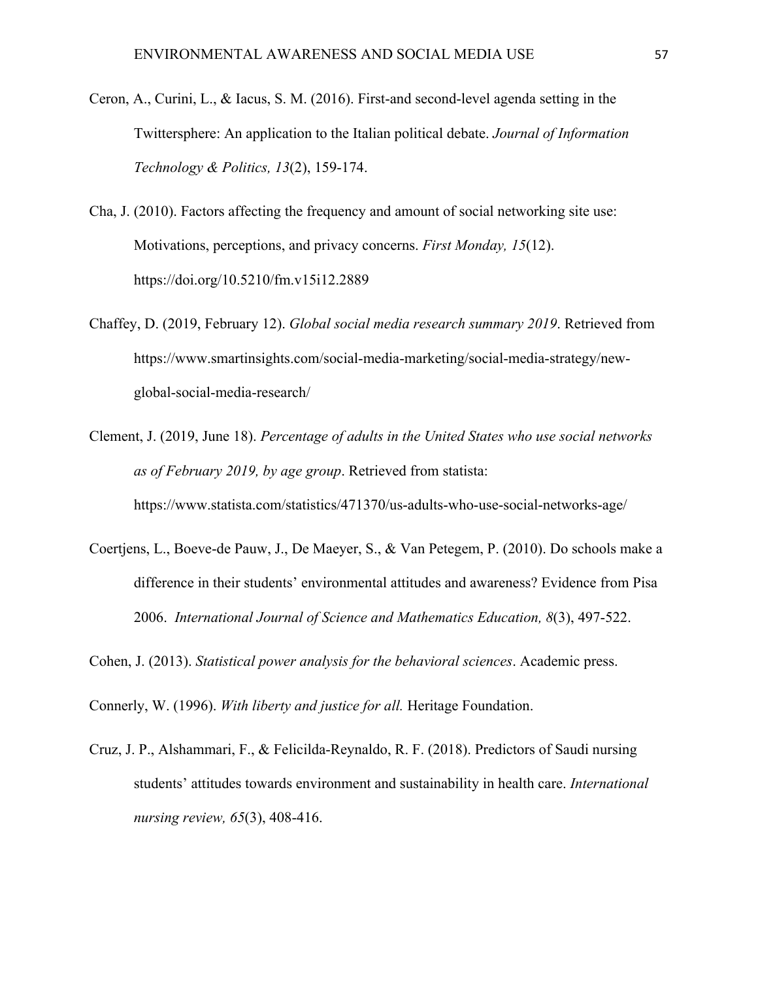- Ceron, A., Curini, L., & Iacus, S. M. (2016). First-and second-level agenda setting in the Twittersphere: An application to the Italian political debate. *Journal of Information Technology & Politics, 13*(2), 159-174.
- Cha, J. (2010). Factors affecting the frequency and amount of social networking site use: Motivations, perceptions, and privacy concerns. *First Monday, 15*(12). https://doi.org/10.5210/fm.v15i12.2889
- Chaffey, D. (2019, February 12). *Global social media research summary 2019*. Retrieved from https://www.smartinsights.com/social-media-marketing/social-media-strategy/newglobal-social-media-research/
- Clement, J. (2019, June 18). *Percentage of adults in the United States who use social networks as of February 2019, by age group*. Retrieved from statista: https://www.statista.com/statistics/471370/us-adults-who-use-social-networks-age/
- Coertjens, L., Boeve-de Pauw, J., De Maeyer, S., & Van Petegem, P. (2010). Do schools make a difference in their students' environmental attitudes and awareness? Evidence from Pisa 2006. *International Journal of Science and Mathematics Education, 8*(3), 497-522.

Cohen, J. (2013). *Statistical power analysis for the behavioral sciences*. Academic press.

Connerly, W. (1996). *With liberty and justice for all.* Heritage Foundation.

Cruz, J. P., Alshammari, F., & Felicilda‐Reynaldo, R. F. (2018). Predictors of Saudi nursing students' attitudes towards environment and sustainability in health care. *International nursing review, 65*(3), 408-416.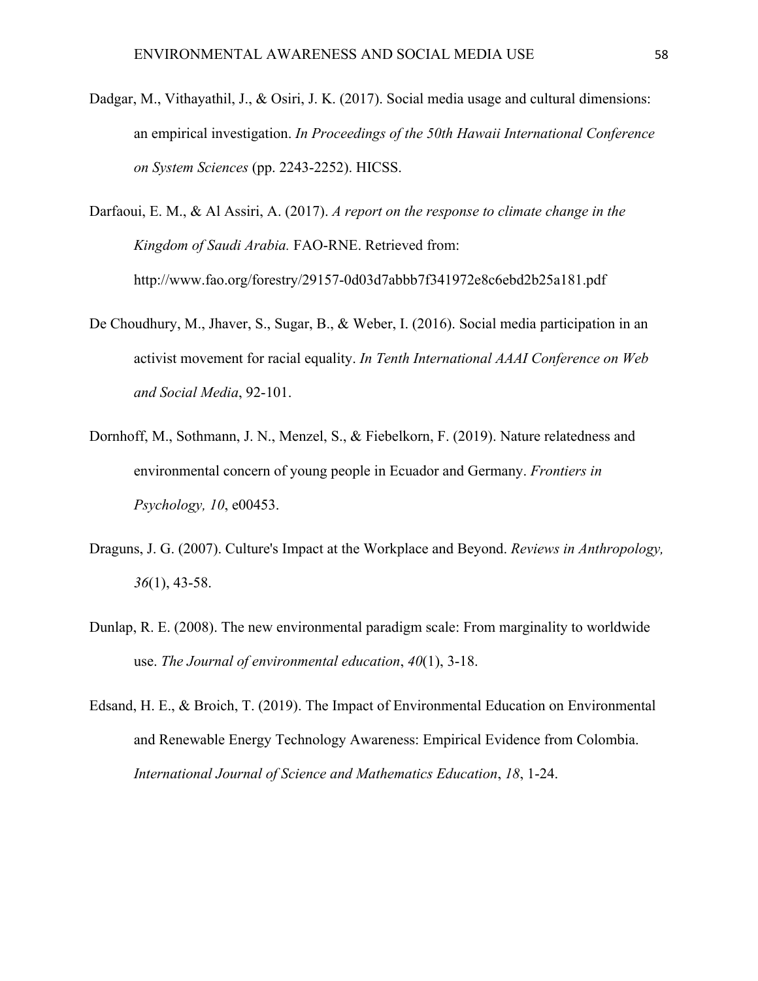- Dadgar, M., Vithayathil, J., & Osiri, J. K. (2017). Social media usage and cultural dimensions: an empirical investigation. *In Proceedings of the 50th Hawaii International Conference on System Sciences* (pp. 2243-2252). HICSS.
- Darfaoui, E. M., & Al Assiri, A. (2017). *A report on the response to climate change in the Kingdom of Saudi Arabia.* FAO-RNE. Retrieved from: http://www.fao.org/forestry/29157-0d03d7abbb7f341972e8c6ebd2b25a181.pdf
- De Choudhury, M., Jhaver, S., Sugar, B., & Weber, I. (2016). Social media participation in an activist movement for racial equality. *In Tenth International AAAI Conference on Web and Social Media*, 92-101.
- Dornhoff, M., Sothmann, J. N., Menzel, S., & Fiebelkorn, F. (2019). Nature relatedness and environmental concern of young people in Ecuador and Germany. *Frontiers in Psychology, 10*, e00453.
- Draguns, J. G. (2007). Culture's Impact at the Workplace and Beyond. *Reviews in Anthropology, 36*(1), 43-58.
- Dunlap, R. E. (2008). The new environmental paradigm scale: From marginality to worldwide use. *The Journal of environmental education*, *40*(1), 3-18.
- Edsand, H. E., & Broich, T. (2019). The Impact of Environmental Education on Environmental and Renewable Energy Technology Awareness: Empirical Evidence from Colombia. *International Journal of Science and Mathematics Education*, *18*, 1-24.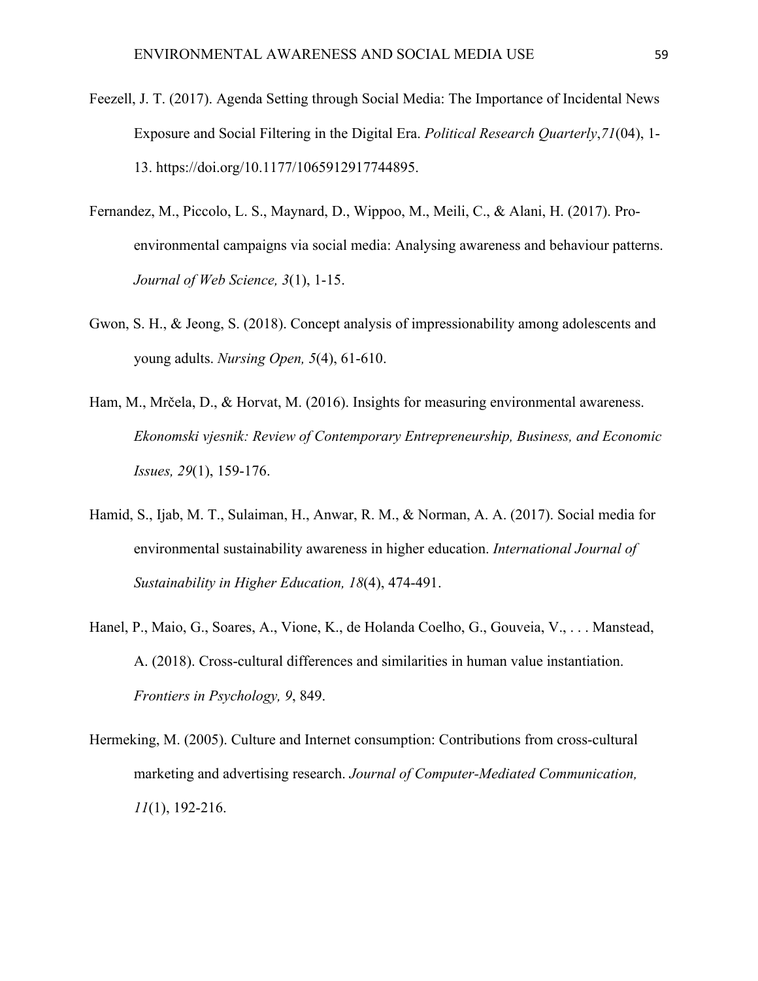- Feezell, J. T. (2017). Agenda Setting through Social Media: The Importance of Incidental News Exposure and Social Filtering in the Digital Era. *Political Research Quarterly*,*71*(04), 1- 13. https://doi.org/10.1177/1065912917744895.
- Fernandez, M., Piccolo, L. S., Maynard, D., Wippoo, M., Meili, C., & Alani, H. (2017). Proenvironmental campaigns via social media: Analysing awareness and behaviour patterns. *Journal of Web Science, 3*(1), 1-15.
- Gwon, S. H., & Jeong, S. (2018). Concept analysis of impressionability among adolescents and young adults. *Nursing Open, 5*(4), 61-610.
- Ham, M., Mrčela, D., & Horvat, M. (2016). Insights for measuring environmental awareness. *Ekonomski vjesnik: Review of Contemporary Entrepreneurship, Business, and Economic Issues, 29*(1), 159-176.
- Hamid, S., Ijab, M. T., Sulaiman, H., Anwar, R. M., & Norman, A. A. (2017). Social media for environmental sustainability awareness in higher education. *International Journal of Sustainability in Higher Education, 18*(4), 474-491.
- Hanel, P., Maio, G., Soares, A., Vione, K., de Holanda Coelho, G., Gouveia, V., . . . Manstead, A. (2018). Cross-cultural differences and similarities in human value instantiation. *Frontiers in Psychology, 9*, 849.
- Hermeking, M. (2005). Culture and Internet consumption: Contributions from cross-cultural marketing and advertising research. *Journal of Computer-Mediated Communication, 11*(1), 192-216.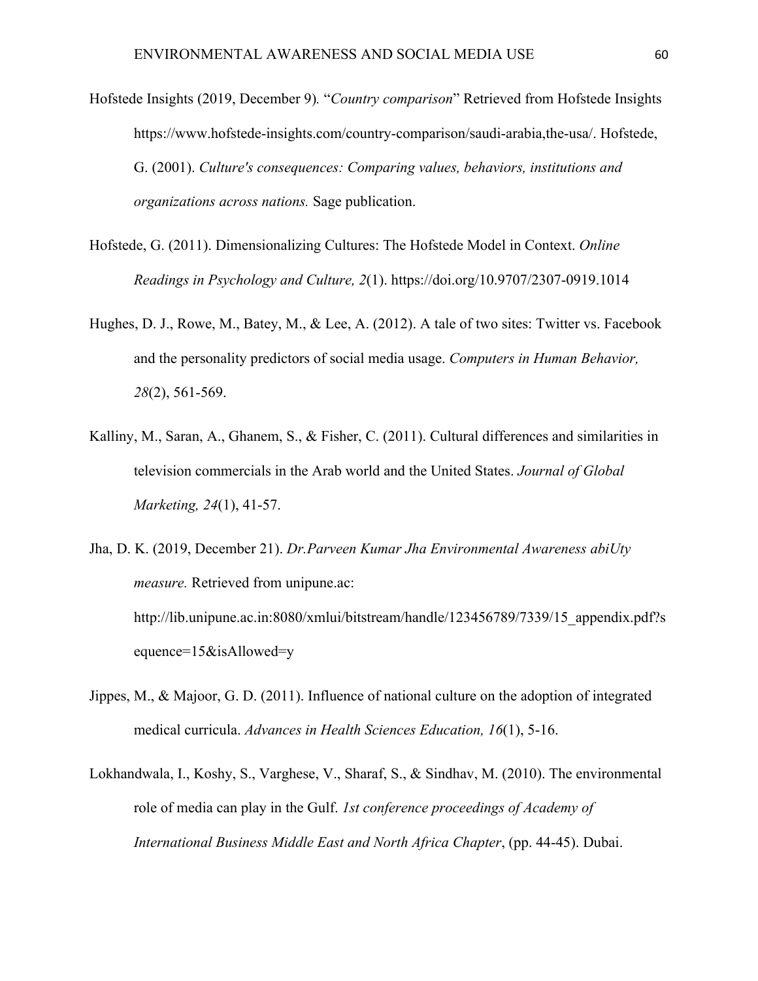- Hofstede Insights (2019, December 9)*.* "*Country comparison*" Retrieved from Hofstede Insights https://www.hofstede-insights.com/country-comparison/saudi-arabia,the-usa/. Hofstede, G. (2001). *Culture's consequences: Comparing values, behaviors, institutions and organizations across nations.* Sage publication.
- Hofstede, G. (2011). Dimensionalizing Cultures: The Hofstede Model in Context. *Online Readings in Psychology and Culture, 2*(1). https://doi.org/10.9707/2307-0919.1014
- Hughes, D. J., Rowe, M., Batey, M., & Lee, A. (2012). A tale of two sites: Twitter vs. Facebook and the personality predictors of social media usage. *Computers in Human Behavior, 28*(2), 561-569.
- Kalliny, M., Saran, A., Ghanem, S., & Fisher, C. (2011). Cultural differences and similarities in television commercials in the Arab world and the United States. *Journal of Global Marketing, 24*(1), 41-57.
- Jha, D. K. (2019, December 21). *Dr.Parveen Kumar Jha Environmental Awareness abiUty measure.* Retrieved from unipune.ac: http://lib.unipune.ac.in:8080/xmlui/bitstream/handle/123456789/7339/15 appendix.pdf?s equence=15&isAllowed=y
- Jippes, M., & Majoor, G. D. (2011). Influence of national culture on the adoption of integrated medical curricula. *Advances in Health Sciences Education, 16*(1), 5-16.
- Lokhandwala, I., Koshy, S., Varghese, V., Sharaf, S., & Sindhav, M. (2010). The environmental role of media can play in the Gulf. *1st conference proceedings of Academy of International Business Middle East and North Africa Chapter*, (pp. 44-45). Dubai.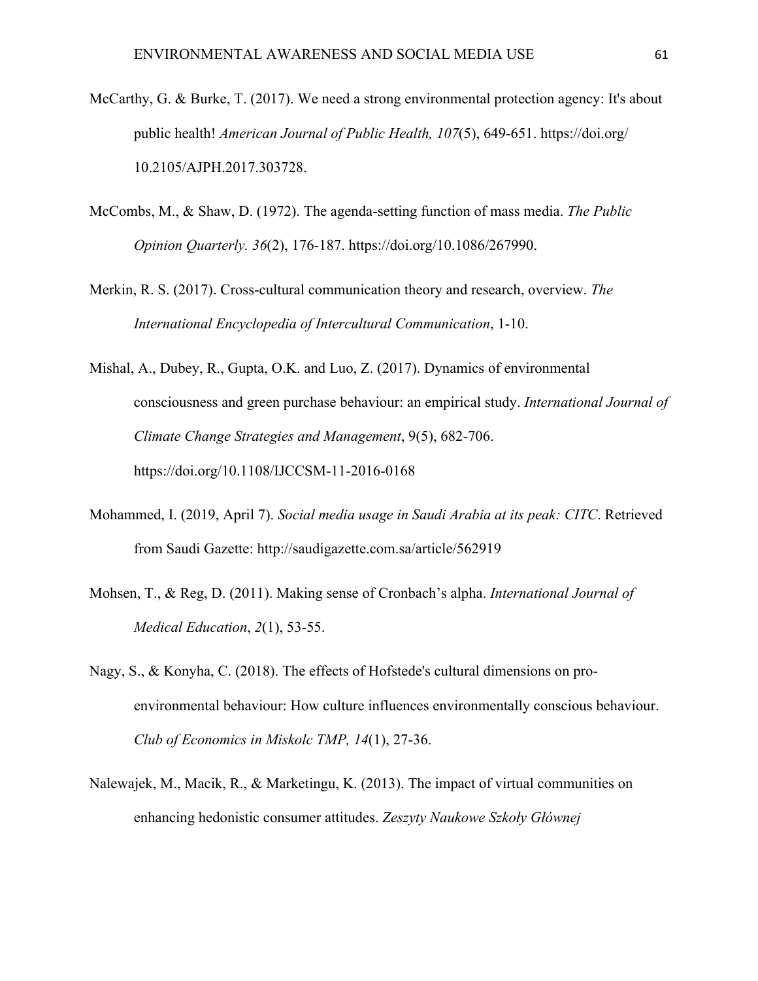- McCarthy, G. & Burke, T. (2017). We need a strong environmental protection agency: It's about public health! *American Journal of Public Health, 107*(5), 649-651. https://doi.org/ 10.2105/AJPH.2017.303728.
- McCombs, M., & Shaw, D. (1972). The agenda-setting function of mass media. *The Public Opinion Quarterly. 36*(2), 176-187. https://doi.org/10.1086/267990.
- Merkin, R. S. (2017). Cross-cultural communication theory and research, overview. *The International Encyclopedia of Intercultural Communication*, 1-10.
- Mishal, A., Dubey, R., Gupta, O.K. and Luo, Z. (2017). Dynamics of environmental consciousness and green purchase behaviour: an empirical study. *International Journal of Climate Change Strategies and Management*, 9(5), 682-706. https://doi.org/10.1108/IJCCSM-11-2016-0168
- Mohammed, I. (2019, April 7). *Social media usage in Saudi Arabia at its peak: CITC*. Retrieved from Saudi Gazette: http://saudigazette.com.sa/article/562919
- Mohsen, T., & Reg, D. (2011). Making sense of Cronbach's alpha. *International Journal of Medical Education*, *2*(1), 53-55.
- Nagy, S., & Konyha, C. (2018). The effects of Hofstede's cultural dimensions on proenvironmental behaviour: How culture influences environmentally conscious behaviour. *Club of Economics in Miskolc TMP, 14*(1), 27-36.
- Nalewajek, M., Macik, R., & Marketingu, K. (2013). The impact of virtual communities on enhancing hedonistic consumer attitudes. *Zeszyty Naukowe Szkoły Głównej*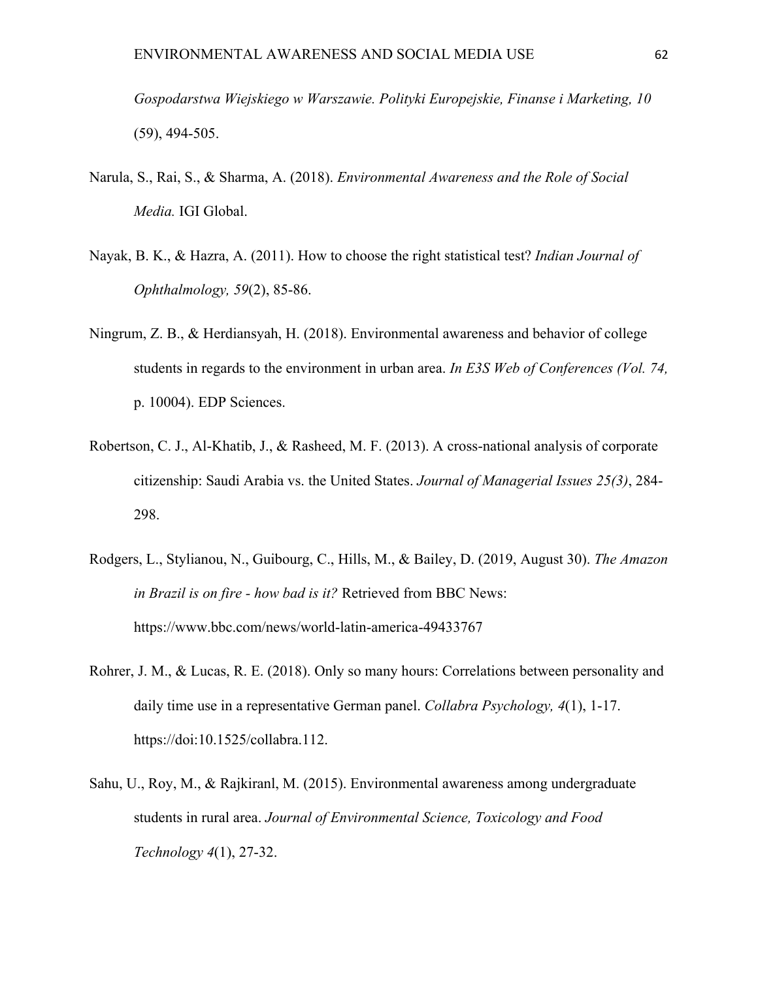*Gospodarstwa Wiejskiego w Warszawie. Polityki Europejskie, Finanse i Marketing, 10*  (59), 494-505.

- Narula, S., Rai, S., & Sharma, A. (2018). *Environmental Awareness and the Role of Social Media.* IGI Global.
- Nayak, B. K., & Hazra, A. (2011). How to choose the right statistical test? *Indian Journal of Ophthalmology, 59*(2), 85-86.
- Ningrum, Z. B., & Herdiansyah, H. (2018). Environmental awareness and behavior of college students in regards to the environment in urban area. *In E3S Web of Conferences (Vol. 74,*  p. 10004). EDP Sciences.
- Robertson, C. J., Al-Khatib, J., & Rasheed, M. F. (2013). A cross-national analysis of corporate citizenship: Saudi Arabia vs. the United States. *Journal of Managerial Issues 25(3)*, 284- 298.
- Rodgers, L., Stylianou, N., Guibourg, C., Hills, M., & Bailey, D. (2019, August 30). *The Amazon in Brazil is on fire - how bad is it?* Retrieved from BBC News: https://www.bbc.com/news/world-latin-america-49433767
- Rohrer, J. M., & Lucas, R. E. (2018). Only so many hours: Correlations between personality and daily time use in a representative German panel. *Collabra Psychology, 4*(1), 1-17. https://doi:10.1525/collabra.112.
- Sahu, U., Roy, M., & Rajkiranl, M. (2015). Environmental awareness among undergraduate students in rural area. *Journal of Environmental Science, Toxicology and Food Technology 4*(1), 27-32.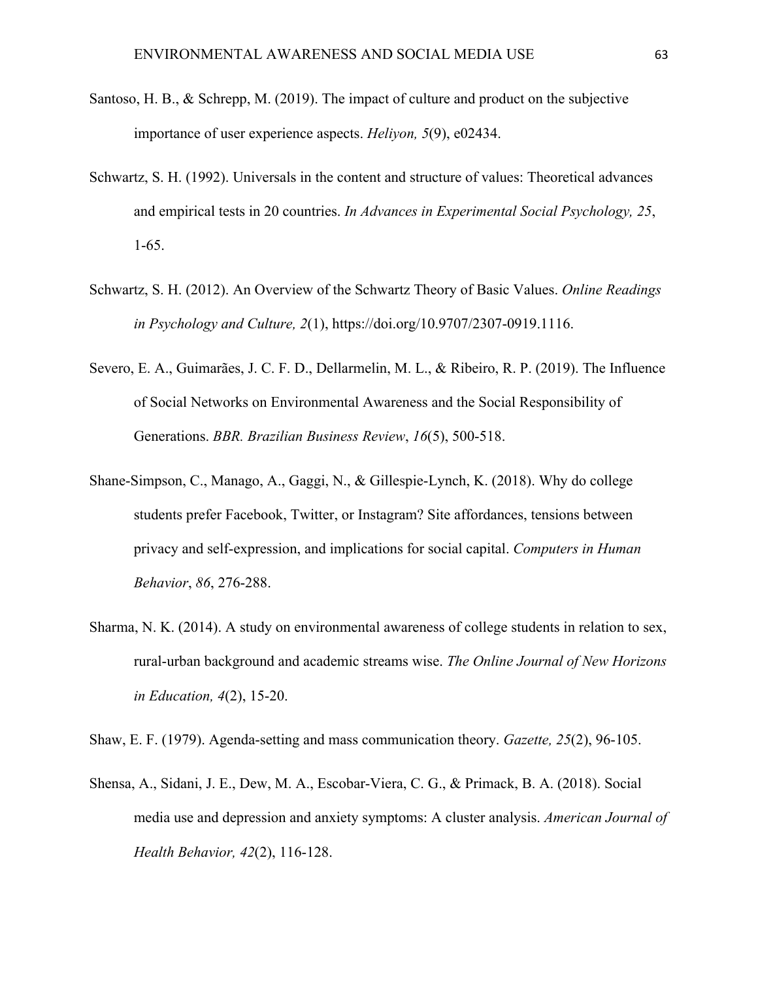- Santoso, H. B., & Schrepp, M. (2019). The impact of culture and product on the subjective importance of user experience aspects. *Heliyon, 5*(9), e02434.
- Schwartz, S. H. (1992). Universals in the content and structure of values: Theoretical advances and empirical tests in 20 countries. *In Advances in Experimental Social Psychology, 25*, 1-65.
- Schwartz, S. H. (2012). An Overview of the Schwartz Theory of Basic Values. *Online Readings in Psychology and Culture, 2*(1), https://doi.org/10.9707/2307-0919.1116.
- Severo, E. A., Guimarães, J. C. F. D., Dellarmelin, M. L., & Ribeiro, R. P. (2019). The Influence of Social Networks on Environmental Awareness and the Social Responsibility of Generations. *BBR. Brazilian Business Review*, *16*(5), 500-518.
- Shane-Simpson, C., Manago, A., Gaggi, N., & Gillespie-Lynch, K. (2018). Why do college students prefer Facebook, Twitter, or Instagram? Site affordances, tensions between privacy and self-expression, and implications for social capital. *Computers in Human Behavior*, *86*, 276-288.
- Sharma, N. K. (2014). A study on environmental awareness of college students in relation to sex, rural-urban background and academic streams wise. *The Online Journal of New Horizons in Education, 4*(2), 15-20.

Shaw, E. F. (1979). Agenda-setting and mass communication theory. *Gazette, 25*(2), 96-105.

Shensa, A., Sidani, J. E., Dew, M. A., Escobar-Viera, C. G., & Primack, B. A. (2018). Social media use and depression and anxiety symptoms: A cluster analysis. *American Journal of Health Behavior, 42*(2), 116-128.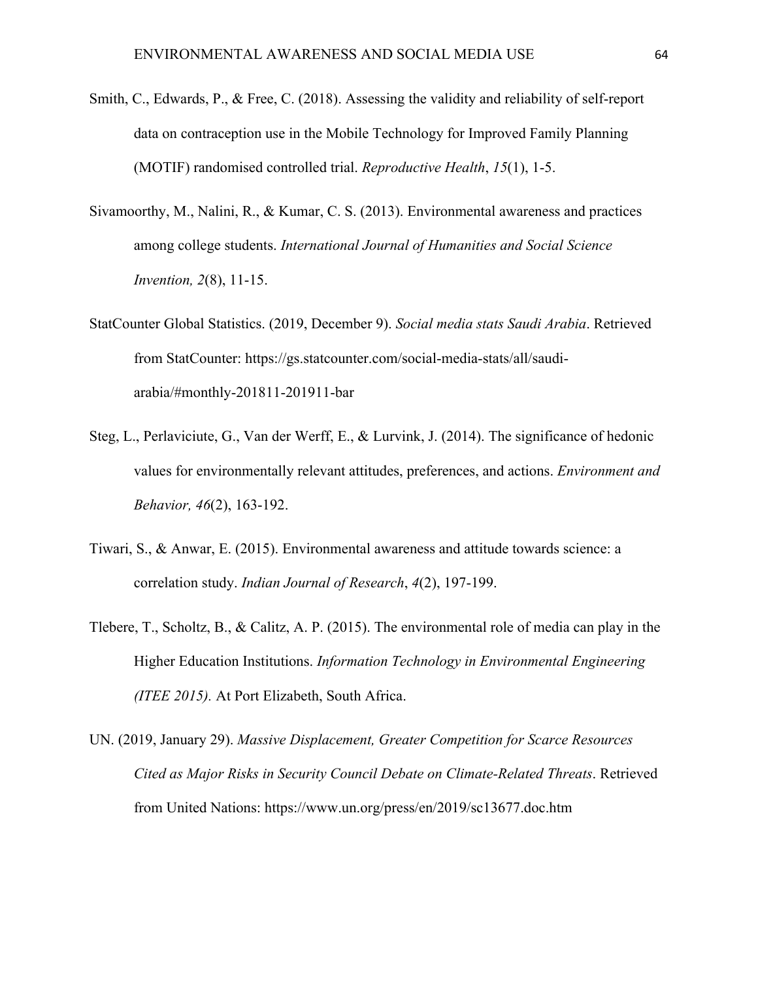- Smith, C., Edwards, P., & Free, C. (2018). Assessing the validity and reliability of self-report data on contraception use in the Mobile Technology for Improved Family Planning (MOTIF) randomised controlled trial. *Reproductive Health*, *15*(1), 1-5.
- Sivamoorthy, M., Nalini, R., & Kumar, C. S. (2013). Environmental awareness and practices among college students. *International Journal of Humanities and Social Science Invention, 2*(8), 11-15.
- StatCounter Global Statistics. (2019, December 9). *Social media stats Saudi Arabia*. Retrieved from StatCounter: https://gs.statcounter.com/social-media-stats/all/saudiarabia/#monthly-201811-201911-bar
- Steg, L., Perlaviciute, G., Van der Werff, E., & Lurvink, J. (2014). The significance of hedonic values for environmentally relevant attitudes, preferences, and actions. *Environment and Behavior, 46*(2), 163-192.
- Tiwari, S., & Anwar, E. (2015). Environmental awareness and attitude towards science: a correlation study. *Indian Journal of Research*, *4*(2), 197-199.
- Tlebere, T., Scholtz, B., & Calitz, A. P. (2015). The environmental role of media can play in the Higher Education Institutions. *Information Technology in Environmental Engineering (ITEE 2015).* At Port Elizabeth, South Africa.
- UN. (2019, January 29). *Massive Displacement, Greater Competition for Scarce Resources Cited as Major Risks in Security Council Debate on Climate-Related Threats*. Retrieved from United Nations: https://www.un.org/press/en/2019/sc13677.doc.htm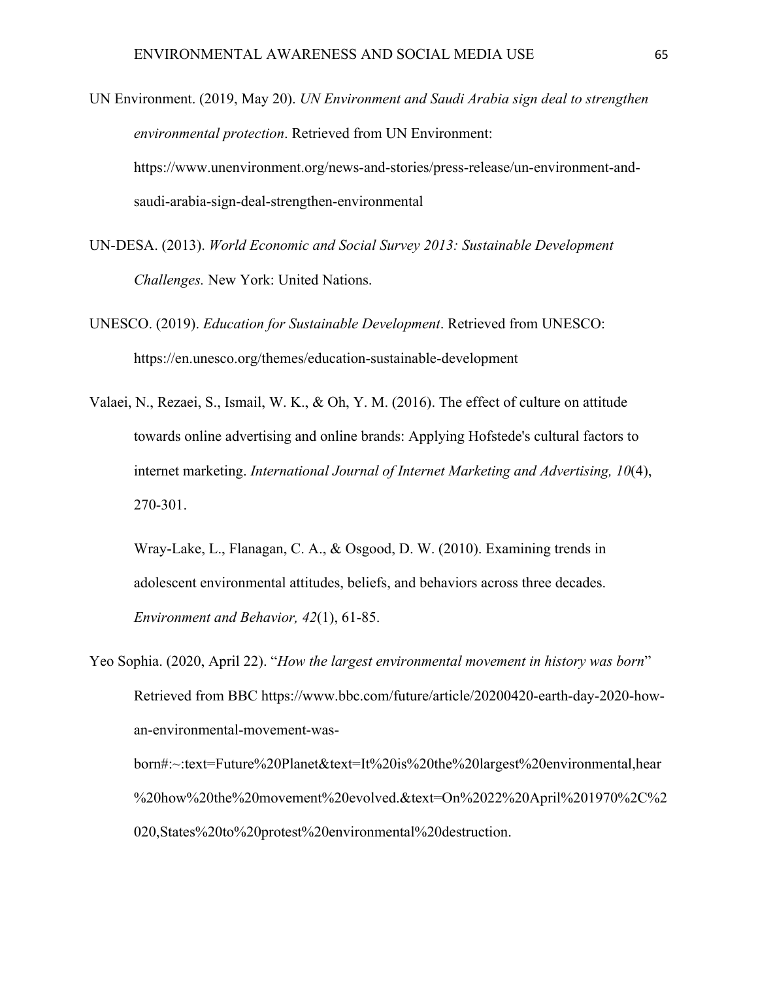- UN Environment. (2019, May 20). *UN Environment and Saudi Arabia sign deal to strengthen environmental protection*. Retrieved from UN Environment: https://www.unenvironment.org/news-and-stories/press-release/un-environment-andsaudi-arabia-sign-deal-strengthen-environmental
- UN-DESA. (2013). *World Economic and Social Survey 2013: Sustainable Development Challenges.* New York: United Nations.
- UNESCO. (2019). *Education for Sustainable Development*. Retrieved from UNESCO: https://en.unesco.org/themes/education-sustainable-development
- Valaei, N., Rezaei, S., Ismail, W. K., & Oh, Y. M. (2016). The effect of culture on attitude towards online advertising and online brands: Applying Hofstede's cultural factors to internet marketing. *International Journal of Internet Marketing and Advertising, 10*(4), 270-301.
	- Wray-Lake, L., Flanagan, C. A., & Osgood, D. W. (2010). Examining trends in adolescent environmental attitudes, beliefs, and behaviors across three decades. *Environment and Behavior, 42*(1), 61-85.
- Yeo Sophia. (2020, April 22). "*How the largest environmental movement in history was born*" Retrieved from BBC https://www.bbc.com/future/article/20200420-earth-day-2020-howan-environmental-movement-was-

born#:~:text=Future%20Planet&text=It%20is%20the%20largest%20environmental,hear %20how%20the%20movement%20evolved.&text=On%2022%20April%201970%2C%2 020,States%20to%20protest%20environmental%20destruction.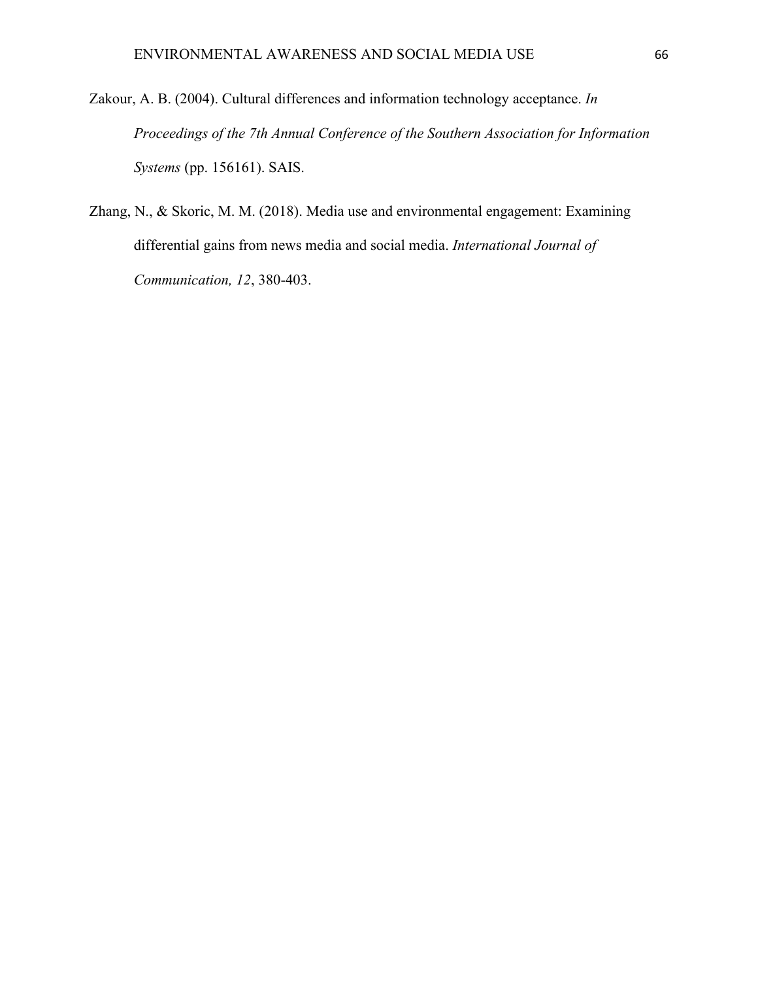- Zakour, A. B. (2004). Cultural differences and information technology acceptance. *In Proceedings of the 7th Annual Conference of the Southern Association for Information Systems* (pp. 156161). SAIS.
- Zhang, N., & Skoric, M. M. (2018). Media use and environmental engagement: Examining differential gains from news media and social media. *International Journal of Communication, 12*, 380-403.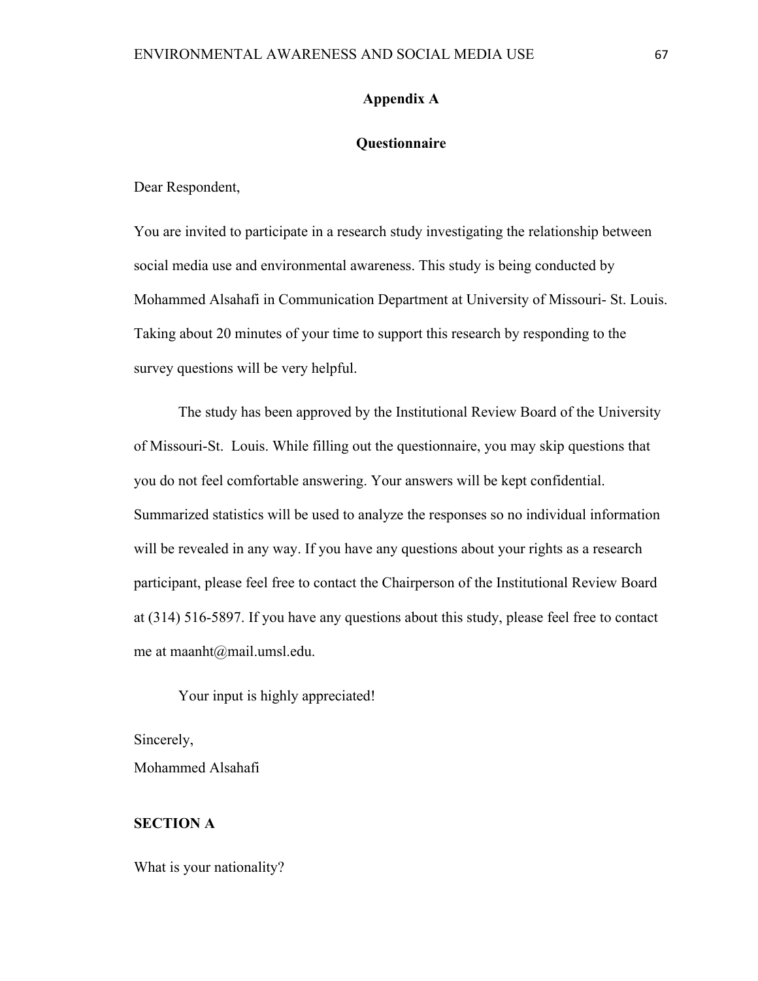## **Appendix A**

### **Questionnaire**

Dear Respondent,

You are invited to participate in a research study investigating the relationship between social media use and environmental awareness. This study is being conducted by Mohammed Alsahafi in Communication Department at University of Missouri- St. Louis. Taking about 20 minutes of your time to support this research by responding to the survey questions will be very helpful.

The study has been approved by the Institutional Review Board of the University of Missouri-St. Louis. While filling out the questionnaire, you may skip questions that you do not feel comfortable answering. Your answers will be kept confidential. Summarized statistics will be used to analyze the responses so no individual information will be revealed in any way. If you have any questions about your rights as a research participant, please feel free to contact the Chairperson of the Institutional Review Board at (314) 516-5897. If you have any questions about this study, please feel free to contact me at maanht@mail.umsl.edu.

Your input is highly appreciated!

Sincerely, Mohammed Alsahafi

## **SECTION A**

What is your nationality?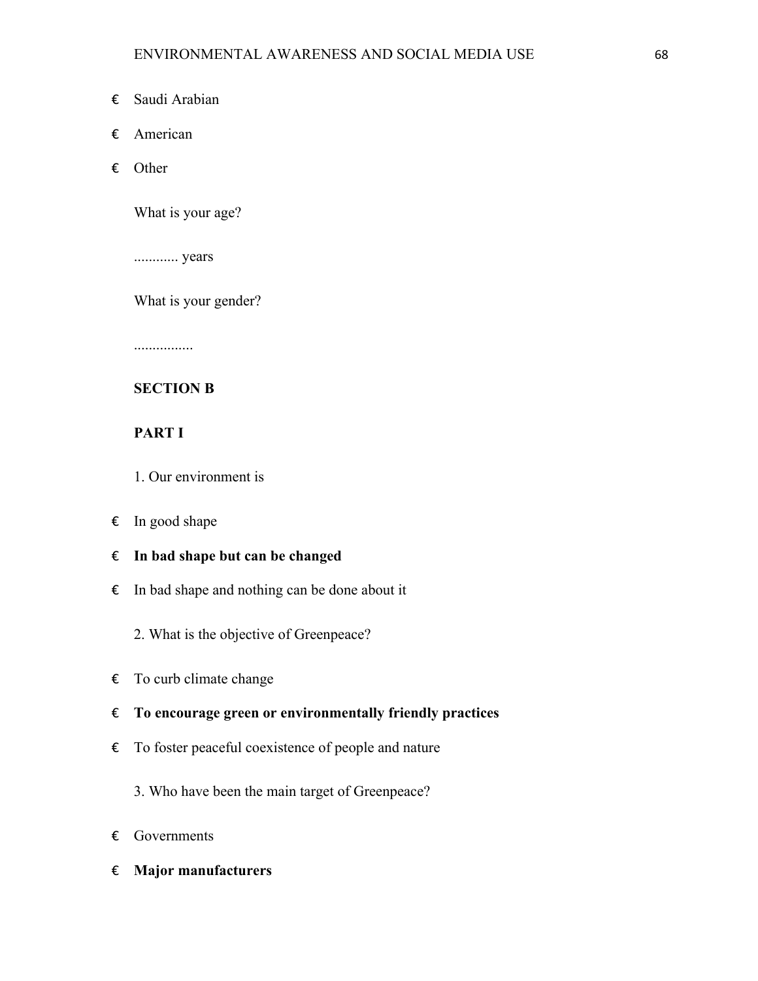- € Saudi Arabian
- € American
- € Other

What is your age?

............ years

What is your gender?

................

# **SECTION B**

# **PART I**

- 1. Our environment is
- $\epsilon$  In good shape
- € **In bad shape but can be changed**
- € In bad shape and nothing can be done about it
	- 2. What is the objective of Greenpeace?
- $\epsilon$  To curb climate change
- € **To encourage green or environmentally friendly practices**
- € To foster peaceful coexistence of people and nature
	- 3. Who have been the main target of Greenpeace?
- € Governments
- € **Major manufacturers**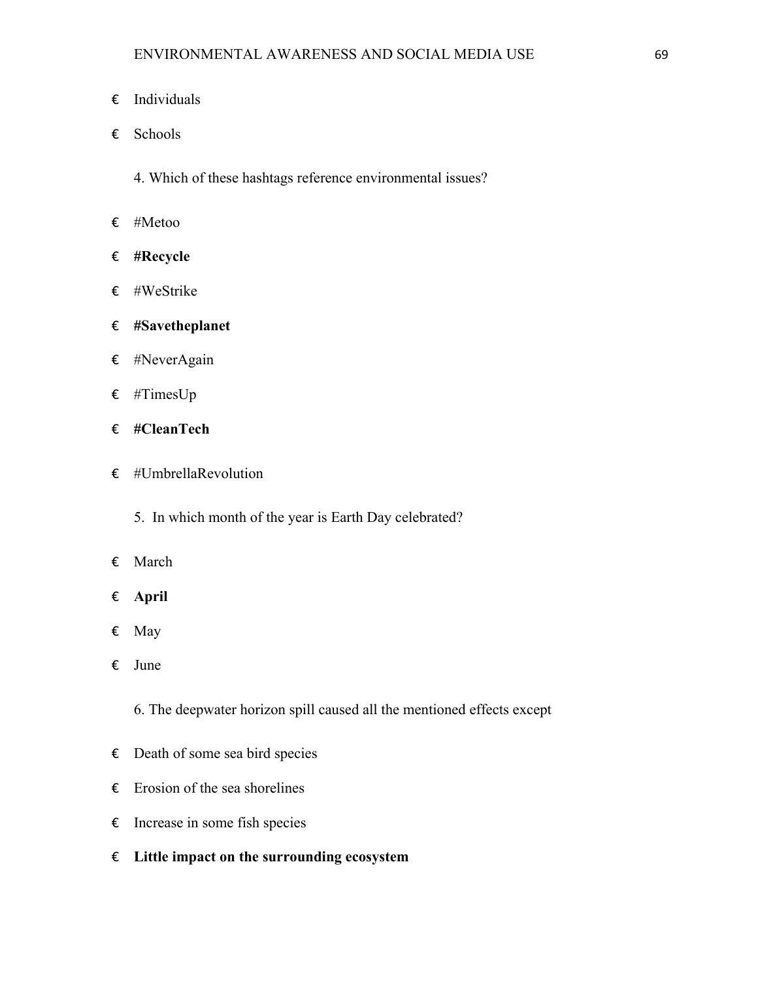- € Individuals
- € Schools
	- 4. Which of these hashtags reference environmental issues?
- € #Metoo
- € **#Recycle**
- € #WeStrike
- € **#Savetheplanet**
- € #NeverAgain
- $\epsilon$  #TimesUp
- € **#CleanTech**
- € #UmbrellaRevolution
	- 5. In which month of the year is Earth Day celebrated?
- € March
- € **April**
- € May
- € June
	- 6. The deepwater horizon spill caused all the mentioned effects except
- € Death of some sea bird species
- $\epsilon$  Erosion of the sea shorelines
- $\epsilon$  Increase in some fish species
- € **Little impact on the surrounding ecosystem**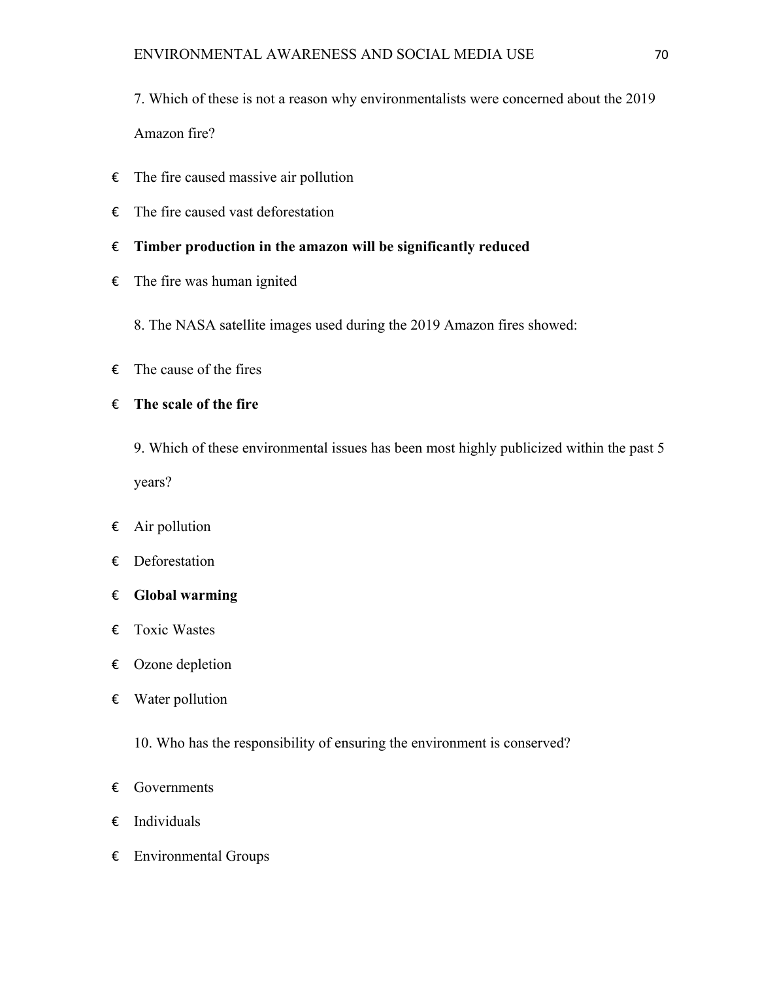7. Which of these is not a reason why environmentalists were concerned about the 2019 Amazon fire?

- $\epsilon$  The fire caused massive air pollution
- $\epsilon$  The fire caused vast deforestation
- € **Timber production in the amazon will be significantly reduced**
- $E$  The fire was human ignited
	- 8. The NASA satellite images used during the 2019 Amazon fires showed:
- $\epsilon$  The cause of the fires
- € **The scale of the fire**

9. Which of these environmental issues has been most highly publicized within the past 5 years?

- $\epsilon$  Air pollution
- € Deforestation
- € **Global warming**
- € Toxic Wastes
- € Ozone depletion
- $\epsilon$  Water pollution
	- 10. Who has the responsibility of ensuring the environment is conserved?
- $\epsilon$  Governments
- $\epsilon$  Individuals
- € Environmental Groups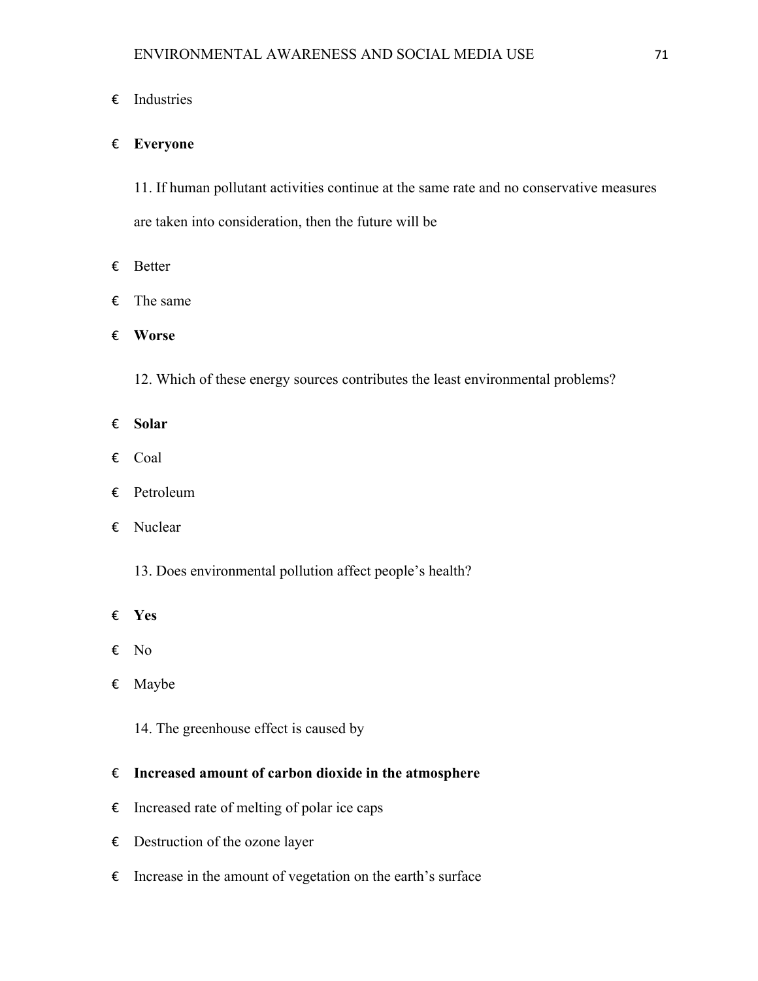# € Industries

## € **Everyone**

11. If human pollutant activities continue at the same rate and no conservative measures are taken into consideration, then the future will be

- € Better
- $\epsilon$  The same
- € **Worse**

12. Which of these energy sources contributes the least environmental problems?

- € **Solar**
- € Coal
- € Petroleum
- € Nuclear
	- 13. Does environmental pollution affect people's health?
- € **Yes**
- € No
- € Maybe
	- 14. The greenhouse effect is caused by

# € **Increased amount of carbon dioxide in the atmosphere**

- $\epsilon$  Increased rate of melting of polar ice caps
- € Destruction of the ozone layer
- $\epsilon$  Increase in the amount of vegetation on the earth's surface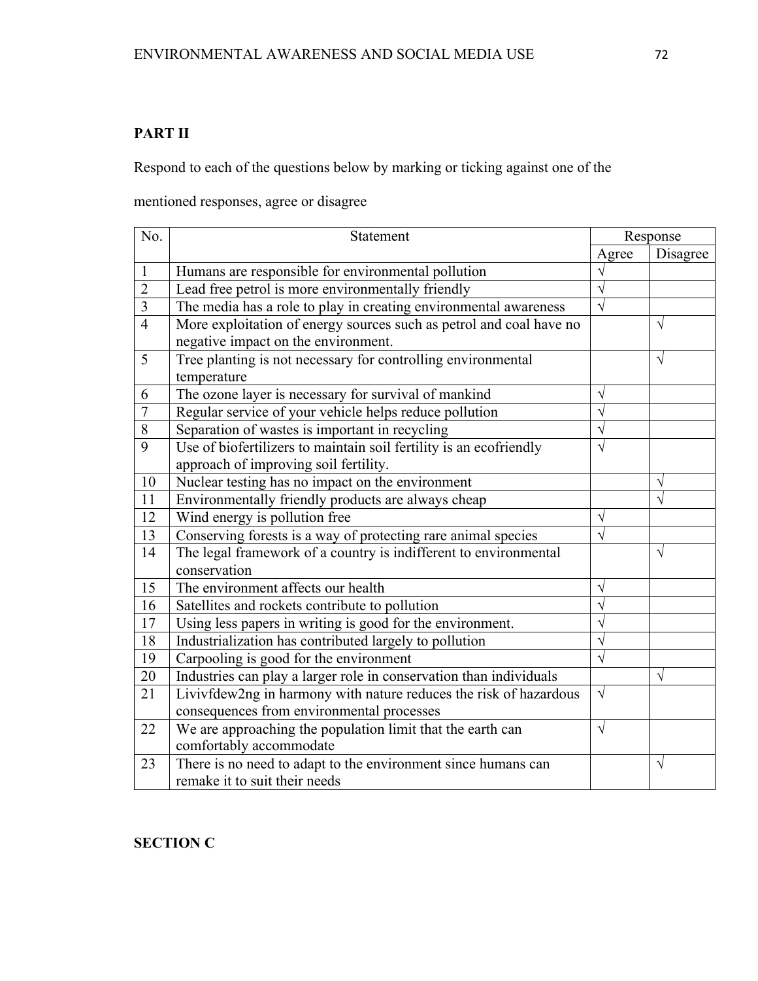# **PART II**

Respond to each of the questions below by marking or ticking against one of the

mentioned responses, agree or disagree

| No.            | Statement                                                           |                       | Response  |  |
|----------------|---------------------------------------------------------------------|-----------------------|-----------|--|
|                |                                                                     | Agree                 | Disagree  |  |
| $\mathbf{1}$   | Humans are responsible for environmental pollution                  |                       |           |  |
| $\overline{2}$ | Lead free petrol is more environmentally friendly                   |                       |           |  |
| $\overline{3}$ | The media has a role to play in creating environmental awareness    | $\sqrt{}$             |           |  |
| $\overline{4}$ | More exploitation of energy sources such as petrol and coal have no |                       | V         |  |
|                | negative impact on the environment.                                 |                       |           |  |
| 5              | Tree planting is not necessary for controlling environmental        |                       | V         |  |
|                | temperature                                                         |                       |           |  |
| 6              | The ozone layer is necessary for survival of mankind                | V                     |           |  |
| $\overline{7}$ | Regular service of your vehicle helps reduce pollution              | $\sqrt{}$             |           |  |
| $\,8\,$        | Separation of wastes is important in recycling                      | $\sqrt{2}$            |           |  |
| 9              | Use of biofertilizers to maintain soil fertility is an ecofriendly  | $\sqrt{}$             |           |  |
|                | approach of improving soil fertility.                               |                       |           |  |
| 10             | Nuclear testing has no impact on the environment                    |                       |           |  |
| 11             | Environmentally friendly products are always cheap                  |                       |           |  |
| 12             | Wind energy is pollution free                                       | V                     |           |  |
| 13             | Conserving forests is a way of protecting rare animal species       | $\sqrt{}$             |           |  |
| 14             | The legal framework of a country is indifferent to environmental    |                       | $\sqrt{}$ |  |
|                | conservation                                                        |                       |           |  |
| 15             | The environment affects our health                                  | $\sqrt{}$             |           |  |
| 16             | Satellites and rockets contribute to pollution                      | $\sqrt{}$             |           |  |
| 17             | Using less papers in writing is good for the environment.           | $\overline{\sqrt{2}}$ |           |  |
| 18             | Industrialization has contributed largely to pollution              | V                     |           |  |
| 19             | Carpooling is good for the environment                              |                       |           |  |
| 20             | Industries can play a larger role in conservation than individuals  |                       | $\sqrt{}$ |  |
| 21             | Livivfdew2ng in harmony with nature reduces the risk of hazardous   | $\sqrt{ }$            |           |  |
|                | consequences from environmental processes                           |                       |           |  |
| 22             | We are approaching the population limit that the earth can          | $\sqrt{ }$            |           |  |
|                | comfortably accommodate                                             |                       |           |  |
| 23             | There is no need to adapt to the environment since humans can       |                       | $\sqrt{}$ |  |
|                | remake it to suit their needs                                       |                       |           |  |

**SECTION C**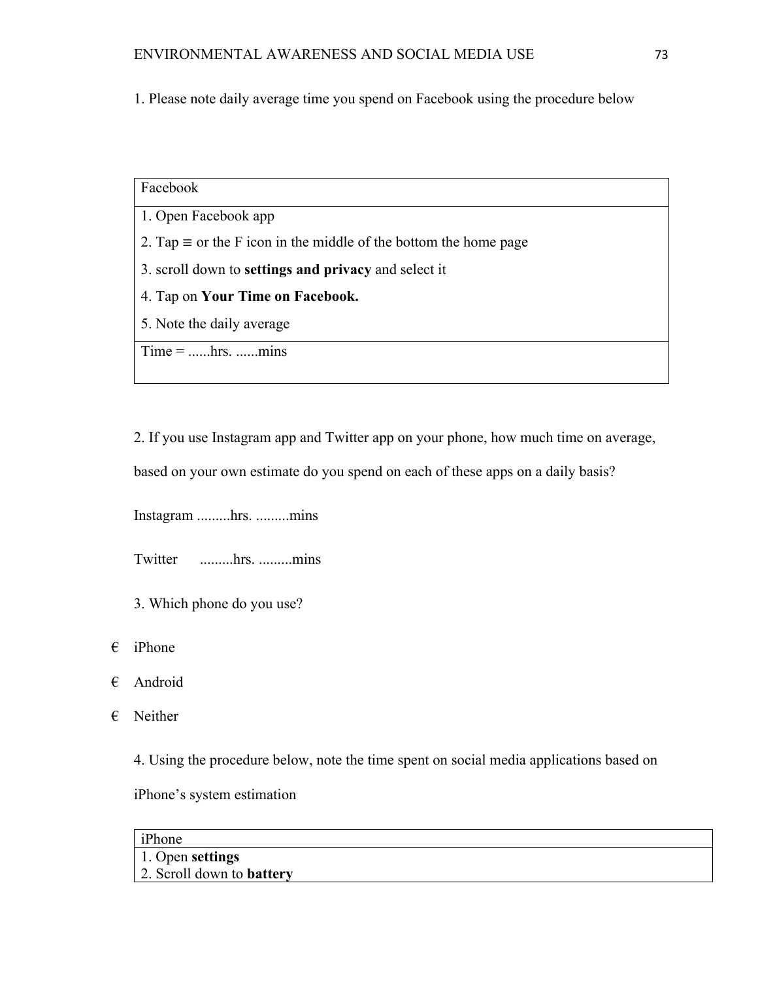1. Please note daily average time you spend on Facebook using the procedure below

## Facebook

1. Open Facebook app

- 2. Tap  $\equiv$  or the F icon in the middle of the bottom the home page
- 3. scroll down to **settings and privacy** and select it
- 4. Tap on **Your Time on Facebook.**
- 5. Note the daily average

 $Time = \dots hrs. \dots \dots mins$ 

2. If you use Instagram app and Twitter app on your phone, how much time on average,

based on your own estimate do you spend on each of these apps on a daily basis?

Instagram .........hrs. .........mins

Twitter .........hrs. .........mins

- 3. Which phone do you use?
- $\epsilon$  iPhone
- € Android
- $\epsilon$  Neither

4. Using the procedure below, note the time spent on social media applications based on iPhone's system estimation

| iPhone                           |  |
|----------------------------------|--|
| 1. Open settings                 |  |
| 2. Scroll down to <b>battery</b> |  |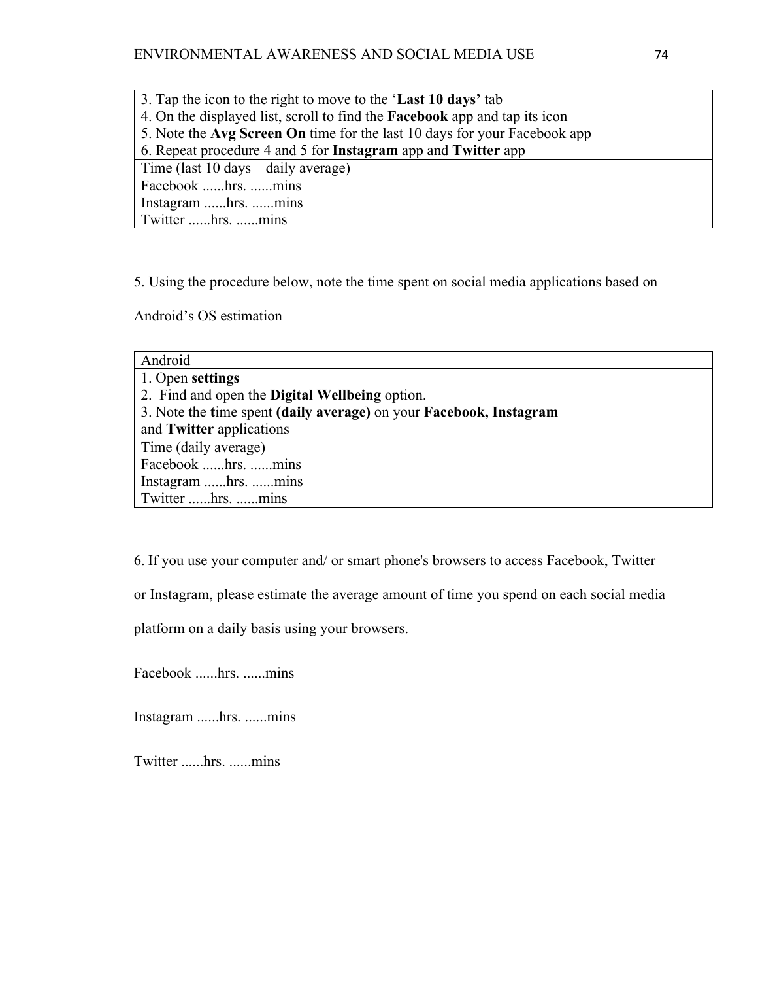3. Tap the icon to the right to move to the '**Last 10 days'** tab 4. On the displayed list, scroll to find the **Facebook** app and tap its icon 5. Note the **Avg Screen On** time for the last 10 days for your Facebook app 6. Repeat procedure 4 and 5 for **Instagram** app and **Twitter** app Time (last 10 days – daily average) Facebook ......hrs. ......mins Instagram ......hrs. ......mins Twitter ......hrs. ......mins

5. Using the procedure below, note the time spent on social media applications based on

Android's OS estimation

| Android                                                            |  |  |  |  |  |
|--------------------------------------------------------------------|--|--|--|--|--|
| 1. Open settings                                                   |  |  |  |  |  |
| 2. Find and open the <b>Digital Wellbeing</b> option.              |  |  |  |  |  |
| 3. Note the time spent (daily average) on your Facebook, Instagram |  |  |  |  |  |
| and Twitter applications                                           |  |  |  |  |  |
| Time (daily average)                                               |  |  |  |  |  |
| Facebook hrs. mins                                                 |  |  |  |  |  |
| Instagram hrs. mins                                                |  |  |  |  |  |
| Twitter hrs. mins                                                  |  |  |  |  |  |

6. If you use your computer and/ or smart phone's browsers to access Facebook, Twitter

or Instagram, please estimate the average amount of time you spend on each social media

platform on a daily basis using your browsers.

Facebook ......hrs. ......mins

Instagram ......hrs. ......mins

Twitter ......hrs. ......mins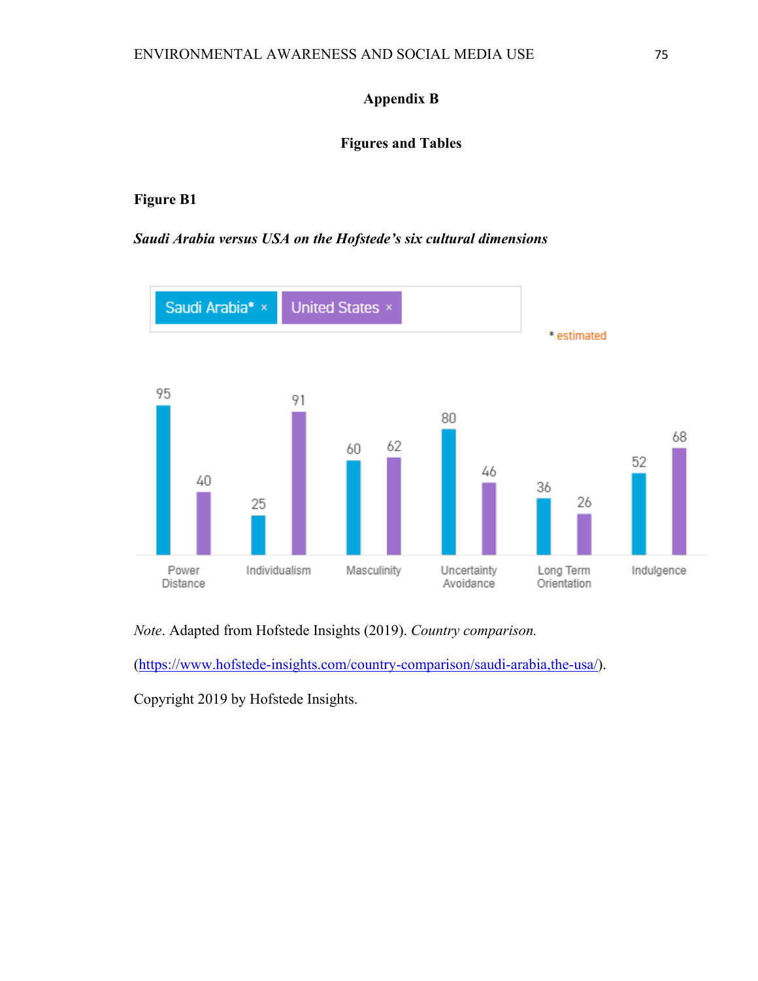## **Appendix B**

#### **Figures and Tables**

## **Figure B1**

#### *Saudi Arabia versus USA on the Hofstede's six cultural dimensions*



#### *Note*. Adapted from Hofstede Insights (2019). *Country comparison.*

(https://www.hofstede-insights.com/country-comparison/saudi-arabia,the-usa/).

Copyright 2019 by Hofstede Insights.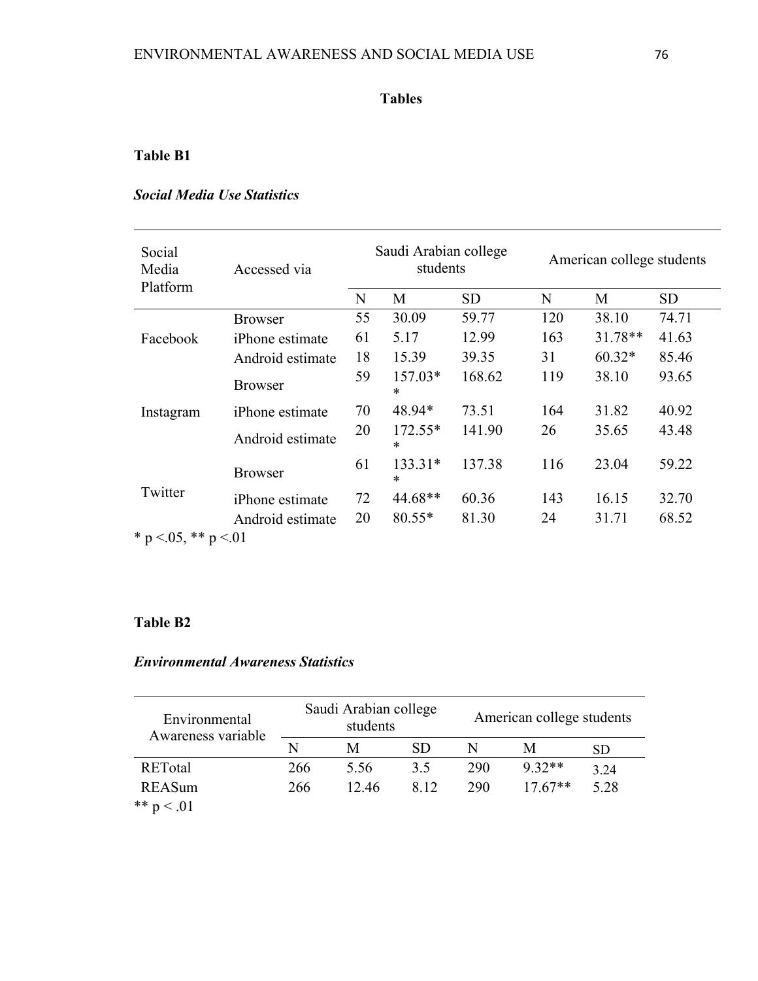## **Tables**

#### **Table B1**

## *Social Media Use Statistics*

| Social<br>Media<br>Platform  | Accessed via           | Saudi Arabian college<br>students |                     |           | American college students |           |           |
|------------------------------|------------------------|-----------------------------------|---------------------|-----------|---------------------------|-----------|-----------|
|                              |                        | N                                 | M                   | <b>SD</b> | N                         | M         | <b>SD</b> |
|                              | <b>Browser</b>         | 55                                | 30.09               | 59.77     | 120                       | 38.10     | 74.71     |
| Facebook                     | <i>iPhone</i> estimate | 61                                | 5.17                | 12.99     | 163                       | $31.78**$ | 41.63     |
|                              | Android estimate       | 18                                | 15.39               | 39.35     | 31                        | $60.32*$  | 85.46     |
|                              | <b>Browser</b>         | 59                                | $157.03*$<br>$\ast$ | 168.62    | 119                       | 38.10     | 93.65     |
| Instagram                    | <i>iPhone</i> estimate | 70                                | 48.94*              | 73.51     | 164                       | 31.82     | 40.92     |
|                              | Android estimate       | 20                                | $172.55*$<br>*      | 141.90    | 26                        | 35.65     | 43.48     |
|                              | <b>Browser</b>         | 61                                | $133.31*$<br>*      | 137.38    | 116                       | 23.04     | 59.22     |
| Twitter                      | iPhone estimate        | 72                                | $44.68**$           | 60.36     | 143                       | 16.15     | 32.70     |
|                              | Android estimate       | 20                                | $80.55*$            | 81.30     | 24                        | 31.71     | 68.52     |
| * $p < 0.05$ , ** $p < 0.01$ |                        |                                   |                     |           |                           |           |           |

#### **Table B2**

### *Environmental Awareness Statistics*

| Environmental<br>Awareness variable |     | Saudi Arabian college<br>students |      | American college students |           |      |
|-------------------------------------|-----|-----------------------------------|------|---------------------------|-----------|------|
|                                     | N   | М                                 | SD   |                           | М         | SD   |
| <b>RETotal</b>                      | 266 | 5.56                              | 3.5  | 290                       | $9.32**$  | 3.24 |
| <b>REASum</b>                       | 266 | 12.46                             | 8.12 | 290                       | $17.67**$ | 5.28 |
| ** $p < .01$                        |     |                                   |      |                           |           |      |